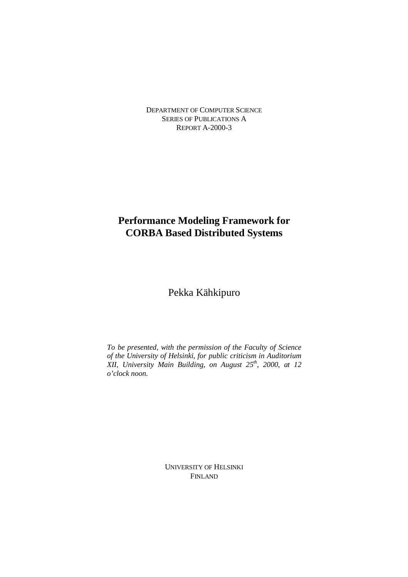DEPARTMENT OF COMPUTER SCIENCE SERIES OF PUBLICATIONS A REPORT A-2000-3

## **Performance Modeling Framework for CORBA Based Distributed Systems**

Pekka Kähkipuro

*To be presented, with the permission of the Faculty of Science of the University of Helsinki, for public criticism in Auditorium XII, University Main Building, on August 25th, 2000, at 12 o'clock noon.*

> UNIVERSITY OF HELSINKI FINLAND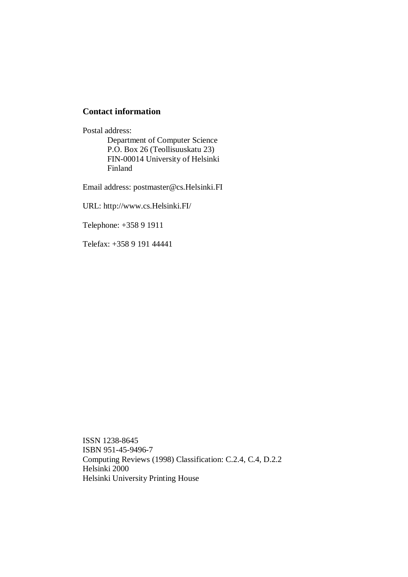## **Contact information**

Postal address:

Department of Computer Science P.O. Box 26 (Teollisuuskatu 23) FIN-00014 University of Helsinki Finland

Email address: postmaster@cs.Helsinki.FI

URL: http://www.cs.Helsinki.FI/

Telephone: +358 9 1911

Telefax: +358 9 191 44441

ISSN 1238-8645 ISBN 951-45-9496-7 Computing Reviews (1998) Classification: C.2.4, C.4, D.2.2 Helsinki 2000 Helsinki University Printing House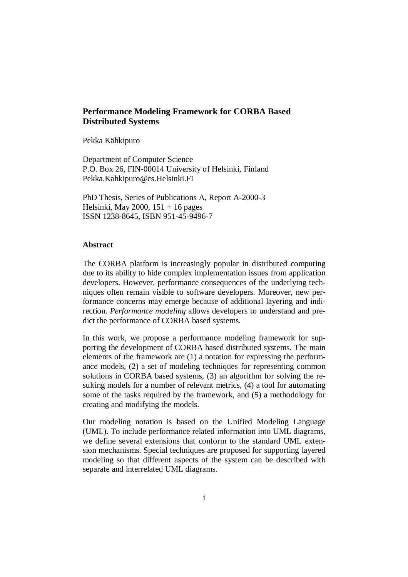## **Performance Modeling Framework for CORBA Based Distributed Systems**

Pekka Kähkipuro

Department of Computer Science P.O. Box 26, FIN-00014 University of Helsinki, Finland Pekka.Kahkipuro@cs.Helsinki.FI

PhD Thesis, Series of Publications A, Report A-2000-3 Helsinki, May 2000, 151 + 16 pages ISSN 1238-8645, ISBN 951-45-9496-7

### **Abstract**

The CORBA platform is increasingly popular in distributed computing due to its ability to hide complex implementation issues from application developers. However, performance consequences of the underlying techniques often remain visible to software developers. Moreover, new performance concerns may emerge because of additional layering and indirection. *Performance modeling* allows developers to understand and predict the performance of CORBA based systems.

In this work, we propose a performance modeling framework for supporting the development of CORBA based distributed systems. The main elements of the framework are (1) a notation for expressing the performance models, (2) a set of modeling techniques for representing common solutions in CORBA based systems, (3) an algorithm for solving the resulting models for a number of relevant metrics, (4) a tool for automating some of the tasks required by the framework, and (5) a methodology for creating and modifying the models.

Our modeling notation is based on the Unified Modeling Language (UML). To include performance related information into UML diagrams, we define several extensions that conform to the standard UML extension mechanisms. Special techniques are proposed for supporting layered modeling so that different aspects of the system can be described with separate and interrelated UML diagrams.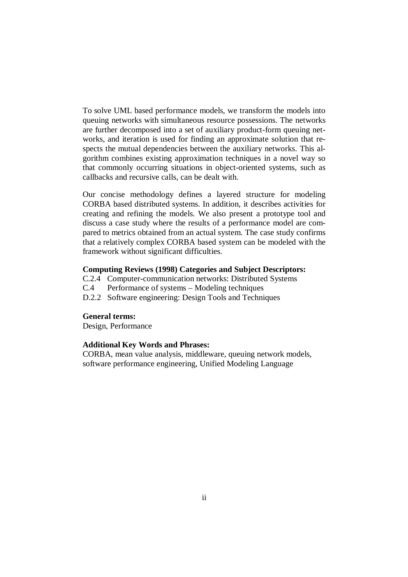To solve UML based performance models, we transform the models into queuing networks with simultaneous resource possessions. The networks are further decomposed into a set of auxiliary product-form queuing networks, and iteration is used for finding an approximate solution that respects the mutual dependencies between the auxiliary networks. This algorithm combines existing approximation techniques in a novel way so that commonly occurring situations in object-oriented systems, such as callbacks and recursive calls, can be dealt with.

Our concise methodology defines a layered structure for modeling CORBA based distributed systems. In addition, it describes activities for creating and refining the models. We also present a prototype tool and discuss a case study where the results of a performance model are compared to metrics obtained from an actual system. The case study confirms that a relatively complex CORBA based system can be modeled with the framework without significant difficulties.

#### **Computing Reviews (1998) Categories and Subject Descriptors:**

C.2.4 Computer-communication networks: Distributed Systems

C.4 Performance of systems – Modeling techniques

D.2.2 Software engineering: Design Tools and Techniques

#### **General terms:**

Design, Performance

### **Additional Key Words and Phrases:**

CORBA, mean value analysis, middleware, queuing network models, software performance engineering, Unified Modeling Language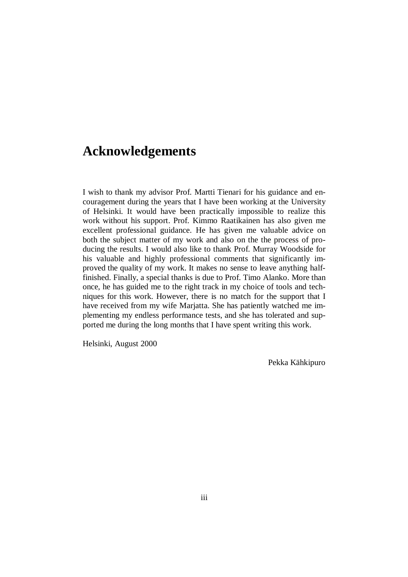## **Acknowledgements**

I wish to thank my advisor Prof. Martti Tienari for his guidance and encouragement during the years that I have been working at the University of Helsinki. It would have been practically impossible to realize this work without his support. Prof. Kimmo Raatikainen has also given me excellent professional guidance. He has given me valuable advice on both the subject matter of my work and also on the the process of producing the results. I would also like to thank Prof. Murray Woodside for his valuable and highly professional comments that significantly improved the quality of my work. It makes no sense to leave anything halffinished. Finally, a special thanks is due to Prof. Timo Alanko. More than once, he has guided me to the right track in my choice of tools and techniques for this work. However, there is no match for the support that I have received from my wife Marjatta. She has patiently watched me implementing my endless performance tests, and she has tolerated and supported me during the long months that I have spent writing this work.

Helsinki, August 2000

Pekka Kähkipuro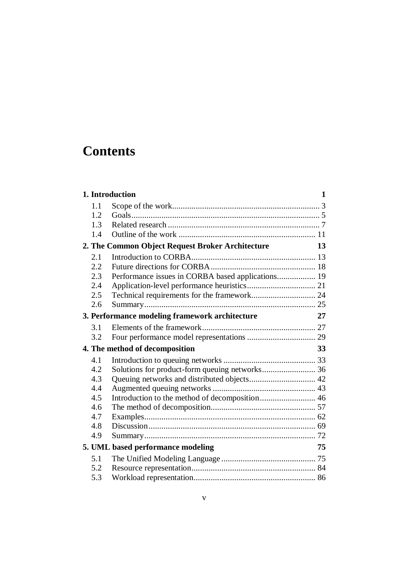# **Contents**

| 1. Introduction<br>1                             |                                                   |    |  |
|--------------------------------------------------|---------------------------------------------------|----|--|
| 1.1                                              |                                                   |    |  |
| 1.2                                              |                                                   |    |  |
| 1.3                                              |                                                   |    |  |
| 1.4                                              |                                                   |    |  |
| 2. The Common Object Request Broker Architecture |                                                   | 13 |  |
| 2.1                                              |                                                   |    |  |
| 2.2                                              |                                                   |    |  |
| 2.3                                              | Performance issues in CORBA based applications 19 |    |  |
| 2.4                                              |                                                   |    |  |
| 2.5                                              |                                                   |    |  |
| 2.6                                              |                                                   |    |  |
| 3. Performance modeling framework architecture   |                                                   | 27 |  |
| 3.1                                              |                                                   |    |  |
| 3.2                                              |                                                   |    |  |
| 4. The method of decomposition                   |                                                   | 33 |  |
| 4.1                                              |                                                   |    |  |
| 4.2                                              | Solutions for product-form queuing networks 36    |    |  |
| 4.3                                              |                                                   |    |  |
| 4.4                                              |                                                   |    |  |
| 4.5                                              |                                                   |    |  |
| 4.6                                              |                                                   |    |  |
| 4.7                                              |                                                   |    |  |
| 4.8                                              |                                                   |    |  |
| 4.9                                              |                                                   |    |  |
| 5. UML based performance modeling                |                                                   |    |  |
| 5.1                                              |                                                   |    |  |
| 5.2                                              |                                                   |    |  |
| 5.3                                              |                                                   |    |  |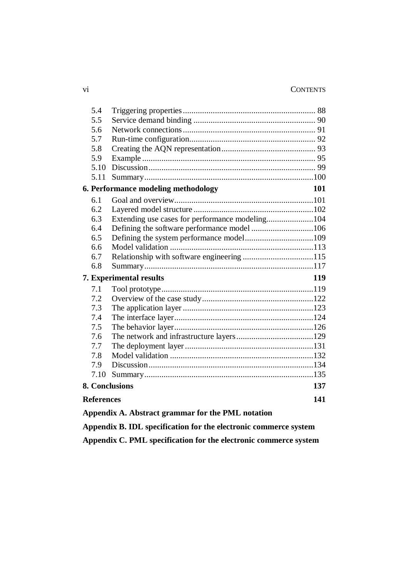## vi CONTENTS

| 5.4                            |                                                 |     |
|--------------------------------|-------------------------------------------------|-----|
| 5.5                            |                                                 |     |
| 5.6                            |                                                 |     |
| 5.7                            |                                                 |     |
| 5.8                            |                                                 |     |
| 5.9                            |                                                 |     |
| 5.10                           |                                                 |     |
| 5.11                           |                                                 |     |
|                                | 6. Performance modeling methodology             | 101 |
| 6.1                            |                                                 |     |
| 6.2                            |                                                 |     |
| 6.3                            | Extending use cases for performance modeling104 |     |
| 6.4                            | Defining the software performance model 106     |     |
| 6.5                            |                                                 |     |
| 6.6                            |                                                 |     |
| 6.7                            |                                                 |     |
| 6.8                            |                                                 |     |
| <b>7. Experimental results</b> |                                                 | 119 |
| 7.1                            |                                                 |     |
| 7.2                            |                                                 |     |
| 7.3                            |                                                 |     |
| 7.4                            |                                                 |     |
| 7.5                            |                                                 |     |
| 7.6                            |                                                 |     |
| 7.7                            |                                                 |     |
| 7.8                            |                                                 |     |
| 7.9                            |                                                 |     |
| 7.10                           |                                                 |     |
| 8. Conclusions                 |                                                 | 137 |
| <b>References</b>              |                                                 | 141 |

**Appendix A. Abstract grammar for the PML notation**

**Appendix B. IDL specification for the electronic commerce system Appendix C. PML specification for the electronic commerce system**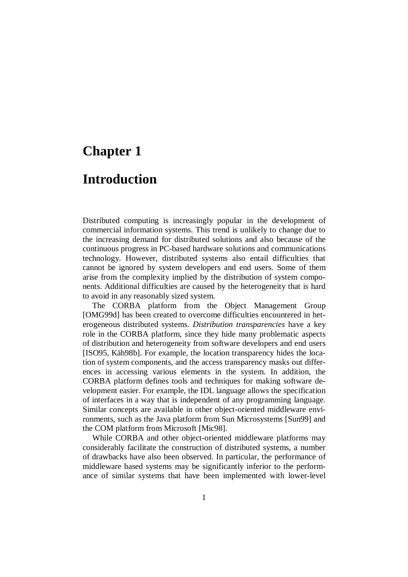# **Chapter 1**

# **Introduction**

Distributed computing is increasingly popular in the development of commercial information systems. This trend is unlikely to change due to the increasing demand for distributed solutions and also because of the continuous progress in PC-based hardware solutions and communications technology. However, distributed systems also entail difficulties that cannot be ignored by system developers and end users. Some of them arise from the complexity implied by the distribution of system components. Additional difficulties are caused by the heterogeneity that is hard to avoid in any reasonably sized system.

The CORBA platform from the Object Management Group [OMG99d] has been created to overcome difficulties encountered in heterogeneous distributed systems. *Distribution transparencies* have a key role in the CORBA platform, since they hide many problematic aspects of distribution and heterogeneity from software developers and end users [ISO95, Käh98b]. For example, the location transparency hides the location of system components, and the access transparency masks out differences in accessing various elements in the system. In addition, the CORBA platform defines tools and techniques for making software development easier. For example, the IDL language allows the specification of interfaces in a way that is independent of any programming language. Similar concepts are available in other object-oriented middleware environments, such as the Java platform from Sun Microsystems [Sun99] and the COM platform from Microsoft [Mic98].

While CORBA and other object-oriented middleware platforms may considerably facilitate the construction of distributed systems, a number of drawbacks have also been observed. In particular, the performance of middleware based systems may be significantly inferior to the performance of similar systems that have been implemented with lower-level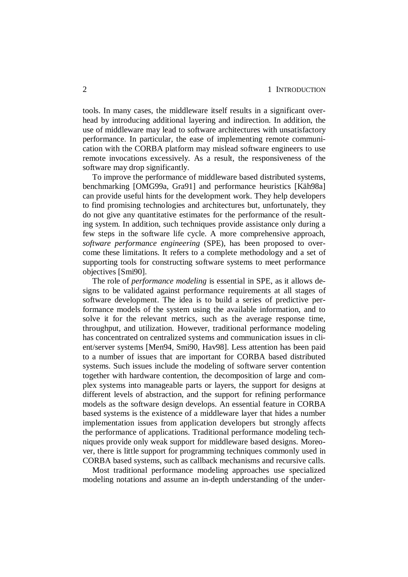tools. In many cases, the middleware itself results in a significant overhead by introducing additional layering and indirection. In addition, the use of middleware may lead to software architectures with unsatisfactory performance. In particular, the ease of implementing remote communication with the CORBA platform may mislead software engineers to use remote invocations excessively. As a result, the responsiveness of the software may drop significantly.

To improve the performance of middleware based distributed systems, benchmarking [OMG99a, Gra91] and performance heuristics [Käh98a] can provide useful hints for the development work. They help developers to find promising technologies and architectures but, unfortunately, they do not give any quantitative estimates for the performance of the resulting system. In addition, such techniques provide assistance only during a few steps in the software life cycle. A more comprehensive approach, *software performance engineering* (SPE), has been proposed to overcome these limitations. It refers to a complete methodology and a set of supporting tools for constructing software systems to meet performance objectives [Smi90].

The role of *performance modeling* is essential in SPE, as it allows designs to be validated against performance requirements at all stages of software development. The idea is to build a series of predictive performance models of the system using the available information, and to solve it for the relevant metrics, such as the average response time, throughput, and utilization. However, traditional performance modeling has concentrated on centralized systems and communication issues in client/server systems [Men94, Smi90, Hav98]. Less attention has been paid to a number of issues that are important for CORBA based distributed systems. Such issues include the modeling of software server contention together with hardware contention, the decomposition of large and complex systems into manageable parts or layers, the support for designs at different levels of abstraction, and the support for refining performance models as the software design develops. An essential feature in CORBA based systems is the existence of a middleware layer that hides a number implementation issues from application developers but strongly affects the performance of applications. Traditional performance modeling techniques provide only weak support for middleware based designs. Moreover, there is little support for programming techniques commonly used in CORBA based systems, such as callback mechanisms and recursive calls.

Most traditional performance modeling approaches use specialized modeling notations and assume an in-depth understanding of the under-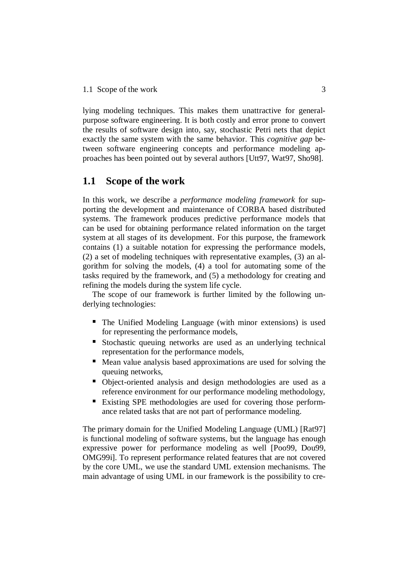lying modeling techniques. This makes them unattractive for generalpurpose software engineering. It is both costly and error prone to convert the results of software design into, say, stochastic Petri nets that depict exactly the same system with the same behavior. This *cognitive gap* between software engineering concepts and performance modeling approaches has been pointed out by several authors [Utt97, Wat97, Sho98].

## **1.1 Scope of the work**

In this work, we describe a *performance modeling framework* for supporting the development and maintenance of CORBA based distributed systems. The framework produces predictive performance models that can be used for obtaining performance related information on the target system at all stages of its development. For this purpose, the framework contains (1) a suitable notation for expressing the performance models, (2) a set of modeling techniques with representative examples, (3) an algorithm for solving the models, (4) a tool for automating some of the tasks required by the framework, and (5) a methodology for creating and refining the models during the system life cycle.

The scope of our framework is further limited by the following underlying technologies: J.

- The Unified Modeling Language (with minor extensions) is used for representing the performance models,
- Stochastic queuing networks are used as an underlying technical representation for the performance models,
- Mean value analysis based approximations are used for solving the queuing networks,
- Object-oriented analysis and design methodologies are used as a reference environment for our performance modeling methodology,
- Existing SPE methodologies are used for covering those performance related tasks that are not part of performance modeling.

The primary domain for the Unified Modeling Language (UML) [Rat97] is functional modeling of software systems, but the language has enough expressive power for performance modeling as well [Poo99, Dou99, OMG99i]. To represent performance related features that are not covered by the core UML, we use the standard UML extension mechanisms. The main advantage of using UML in our framework is the possibility to cre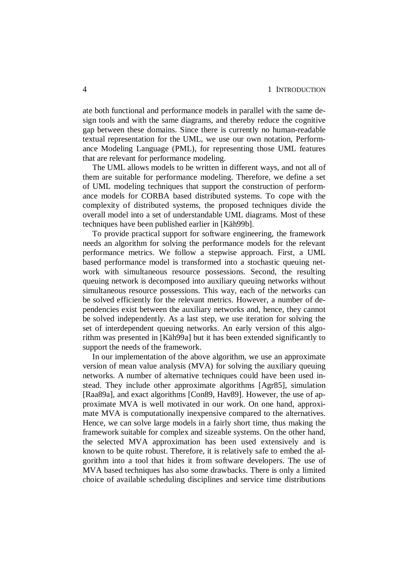ate both functional and performance models in parallel with the same design tools and with the same diagrams, and thereby reduce the cognitive gap between these domains. Since there is currently no human-readable textual representation for the UML, we use our own notation, Performance Modeling Language (PML), for representing those UML features that are relevant for performance modeling.

The UML allows models to be written in different ways, and not all of them are suitable for performance modeling. Therefore, we define a set of UML modeling techniques that support the construction of performance models for CORBA based distributed systems. To cope with the complexity of distributed systems, the proposed techniques divide the overall model into a set of understandable UML diagrams. Most of these techniques have been published earlier in [Käh99b].

To provide practical support for software engineering, the framework needs an algorithm for solving the performance models for the relevant performance metrics. We follow a stepwise approach. First, a UML based performance model is transformed into a stochastic queuing network with simultaneous resource possessions. Second, the resulting queuing network is decomposed into auxiliary queuing networks without simultaneous resource possessions. This way, each of the networks can be solved efficiently for the relevant metrics. However, a number of dependencies exist between the auxiliary networks and, hence, they cannot be solved independently. As a last step, we use iteration for solving the set of interdependent queuing networks. An early version of this algorithm was presented in [Käh99a] but it has been extended significantly to support the needs of the framework.

In our implementation of the above algorithm, we use an approximate version of mean value analysis (MVA) for solving the auxiliary queuing networks. A number of alternative techniques could have been used instead. They include other approximate algorithms [Agr85], simulation [Raa89a], and exact algorithms [Con89, Hav89]. However, the use of approximate MVA is well motivated in our work. On one hand, approximate MVA is computationally inexpensive compared to the alternatives. Hence, we can solve large models in a fairly short time, thus making the framework suitable for complex and sizeable systems. On the other hand, the selected MVA approximation has been used extensively and is known to be quite robust. Therefore, it is relatively safe to embed the algorithm into a tool that hides it from software developers. The use of MVA based techniques has also some drawbacks. There is only a limited choice of available scheduling disciplines and service time distributions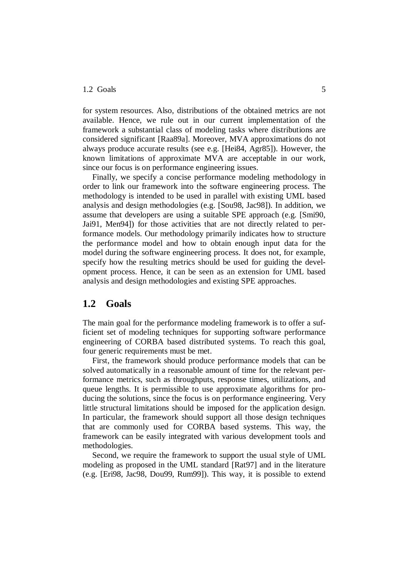### $1.2 \text{ Goals}$  5

for system resources. Also, distributions of the obtained metrics are not available. Hence, we rule out in our current implementation of the framework a substantial class of modeling tasks where distributions are considered significant [Raa89a]. Moreover, MVA approximations do not always produce accurate results (see e.g. [Hei84, Agr85]). However, the known limitations of approximate MVA are acceptable in our work, since our focus is on performance engineering issues.

Finally, we specify a concise performance modeling methodology in order to link our framework into the software engineering process. The methodology is intended to be used in parallel with existing UML based analysis and design methodologies (e.g. [Sou98, Jac98]). In addition, we assume that developers are using a suitable SPE approach (e.g. [Smi90, Jai91, Men94]) for those activities that are not directly related to performance models. Our methodology primarily indicates how to structure the performance model and how to obtain enough input data for the model during the software engineering process. It does not, for example, specify how the resulting metrics should be used for guiding the development process. Hence, it can be seen as an extension for UML based analysis and design methodologies and existing SPE approaches.

## **1.2 Goals**

The main goal for the performance modeling framework is to offer a sufficient set of modeling techniques for supporting software performance engineering of CORBA based distributed systems. To reach this goal, four generic requirements must be met.

First, the framework should produce performance models that can be solved automatically in a reasonable amount of time for the relevant performance metrics, such as throughputs, response times, utilizations, and queue lengths. It is permissible to use approximate algorithms for producing the solutions, since the focus is on performance engineering. Very little structural limitations should be imposed for the application design. In particular, the framework should support all those design techniques that are commonly used for CORBA based systems. This way, the framework can be easily integrated with various development tools and methodologies.

Second, we require the framework to support the usual style of UML modeling as proposed in the UML standard [Rat97] and in the literature (e.g. [Eri98, Jac98, Dou99, Rum99]). This way, it is possible to extend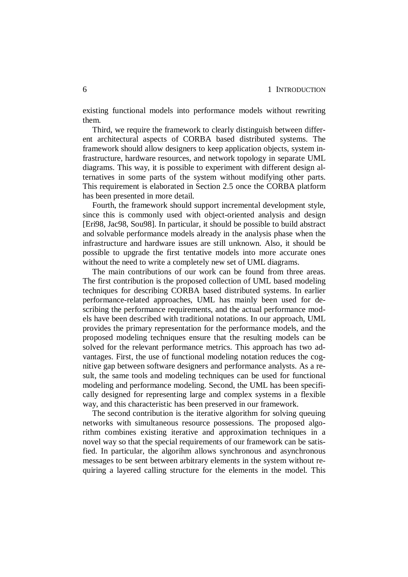existing functional models into performance models without rewriting them.

Third, we require the framework to clearly distinguish between different architectural aspects of CORBA based distributed systems. The framework should allow designers to keep application objects, system infrastructure, hardware resources, and network topology in separate UML diagrams. This way, it is possible to experiment with different design alternatives in some parts of the system without modifying other parts. This requirement is elaborated in Section 2.5 once the CORBA platform has been presented in more detail.

Fourth, the framework should support incremental development style, since this is commonly used with object-oriented analysis and design [Eri98, Jac98, Sou98]. In particular, it should be possible to build abstract and solvable performance models already in the analysis phase when the infrastructure and hardware issues are still unknown. Also, it should be possible to upgrade the first tentative models into more accurate ones without the need to write a completely new set of UML diagrams.

The main contributions of our work can be found from three areas. The first contribution is the proposed collection of UML based modeling techniques for describing CORBA based distributed systems. In earlier performance-related approaches, UML has mainly been used for describing the performance requirements, and the actual performance models have been described with traditional notations. In our approach, UML provides the primary representation for the performance models, and the proposed modeling techniques ensure that the resulting models can be solved for the relevant performance metrics. This approach has two advantages. First, the use of functional modeling notation reduces the cognitive gap between software designers and performance analysts. As a result, the same tools and modeling techniques can be used for functional modeling and performance modeling. Second, the UML has been specifically designed for representing large and complex systems in a flexible way, and this characteristic has been preserved in our framework.

The second contribution is the iterative algorithm for solving queuing networks with simultaneous resource possessions. The proposed algorithm combines existing iterative and approximation techniques in a novel way so that the special requirements of our framework can be satisfied. In particular, the algorihm allows synchronous and asynchronous messages to be sent between arbitrary elements in the system without requiring a layered calling structure for the elements in the model. This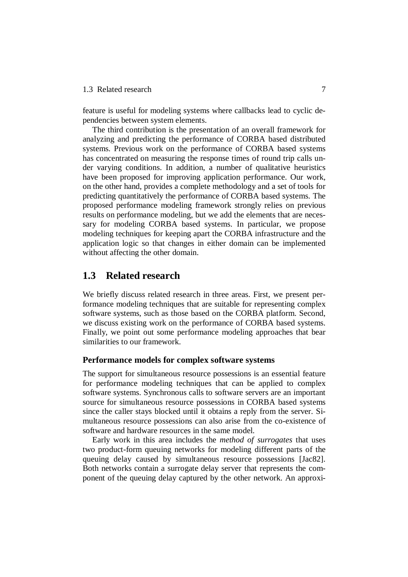### 1.3 Related research 7

feature is useful for modeling systems where callbacks lead to cyclic dependencies between system elements.

The third contribution is the presentation of an overall framework for analyzing and predicting the performance of CORBA based distributed systems. Previous work on the performance of CORBA based systems has concentrated on measuring the response times of round trip calls under varying conditions. In addition, a number of qualitative heuristics have been proposed for improving application performance. Our work, on the other hand, provides a complete methodology and a set of tools for predicting quantitatively the performance of CORBA based systems. The proposed performance modeling framework strongly relies on previous results on performance modeling, but we add the elements that are necessary for modeling CORBA based systems. In particular, we propose modeling techniques for keeping apart the CORBA infrastructure and the application logic so that changes in either domain can be implemented without affecting the other domain.

## **1.3 Related research**

We briefly discuss related research in three areas. First, we present performance modeling techniques that are suitable for representing complex software systems, such as those based on the CORBA platform. Second, we discuss existing work on the performance of CORBA based systems. Finally, we point out some performance modeling approaches that bear similarities to our framework.

### **Performance models for complex software systems**

The support for simultaneous resource possessions is an essential feature for performance modeling techniques that can be applied to complex software systems. Synchronous calls to software servers are an important source for simultaneous resource possessions in CORBA based systems since the caller stays blocked until it obtains a reply from the server. Simultaneous resource possessions can also arise from the co-existence of software and hardware resources in the same model.

Early work in this area includes the *method of surrogates* that uses two product-form queuing networks for modeling different parts of the queuing delay caused by simultaneous resource possessions [Jac82]. Both networks contain a surrogate delay server that represents the component of the queuing delay captured by the other network. An approxi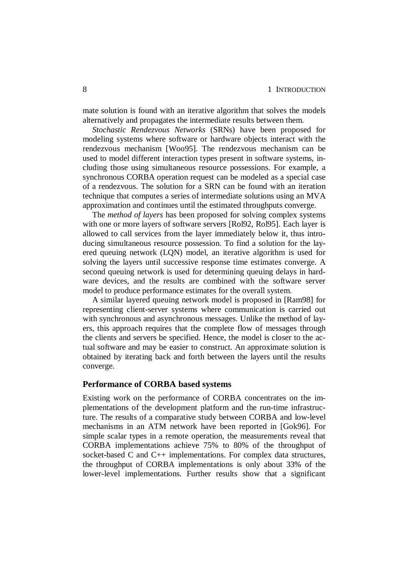mate solution is found with an iterative algorithm that solves the models alternatively and propagates the intermediate results between them.

*Stochastic Rendezvous Networks* (SRNs) have been proposed for modeling systems where software or hardware objects interact with the rendezvous mechanism [Woo95]. The rendezvous mechanism can be used to model different interaction types present in software systems, including those using simultaneous resource possessions. For example, a synchronous CORBA operation request can be modeled as a special case of a rendezvous. The solution for a SRN can be found with an iteration technique that computes a series of intermediate solutions using an MVA approximation and continues until the estimated throughputs converge.

The *method of layers* has been proposed for solving complex systems with one or more layers of software servers [Rol92, Rol95]. Each layer is allowed to call services from the layer immediately below it, thus introducing simultaneous resource possession. To find a solution for the layered queuing network (LQN) model, an iterative algorithm is used for solving the layers until successive response time estimates converge. A second queuing network is used for determining queuing delays in hardware devices, and the results are combined with the software server model to produce performance estimates for the overall system.

A similar layered queuing network model is proposed in [Ram98] for representing client-server systems where communication is carried out with synchronous and asynchronous messages. Unlike the method of layers, this approach requires that the complete flow of messages through the clients and servers be specified. Hence, the model is closer to the actual software and may be easier to construct. An approximate solution is obtained by iterating back and forth between the layers until the results converge.

### **Performance of CORBA based systems**

Existing work on the performance of CORBA concentrates on the implementations of the development platform and the run-time infrastructure. The results of a comparative study between CORBA and low-level mechanisms in an ATM network have been reported in [Gok96]. For simple scalar types in a remote operation, the measurements reveal that CORBA implementations achieve 75% to 80% of the throughput of socket-based C and C++ implementations. For complex data structures, the throughput of CORBA implementations is only about 33% of the lower-level implementations. Further results show that a significant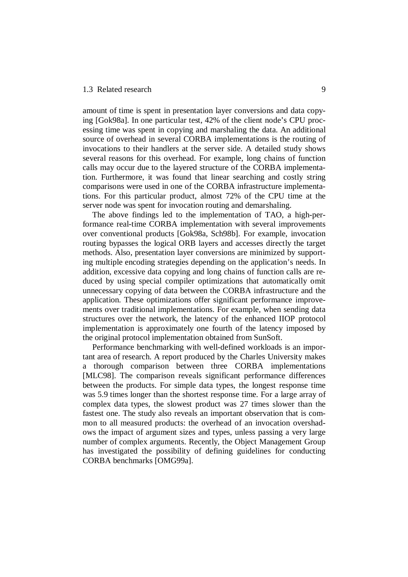### 1.3 Related research 9

amount of time is spent in presentation layer conversions and data copying [Gok98a]. In one particular test, 42% of the client node's CPU processing time was spent in copying and marshaling the data. An additional source of overhead in several CORBA implementations is the routing of invocations to their handlers at the server side. A detailed study shows several reasons for this overhead. For example, long chains of function calls may occur due to the layered structure of the CORBA implementation. Furthermore, it was found that linear searching and costly string comparisons were used in one of the CORBA infrastructure implementations. For this particular product, almost 72% of the CPU time at the server node was spent for invocation routing and demarshaling.

The above findings led to the implementation of TAO, a high-performance real-time CORBA implementation with several improvements over conventional products [Gok98a, Sch98b]. For example, invocation routing bypasses the logical ORB layers and accesses directly the target methods. Also, presentation layer conversions are minimized by supporting multiple encoding strategies depending on the application's needs. In addition, excessive data copying and long chains of function calls are reduced by using special compiler optimizations that automatically omit unnecessary copying of data between the CORBA infrastructure and the application. These optimizations offer significant performance improvements over traditional implementations. For example, when sending data structures over the network, the latency of the enhanced IIOP protocol implementation is approximately one fourth of the latency imposed by the original protocol implementation obtained from SunSoft.

Performance benchmarking with well-defined workloads is an important area of research. A report produced by the Charles University makes a thorough comparison between three CORBA implementations [MLC98]. The comparison reveals significant performance differences between the products. For simple data types, the longest response time was 5.9 times longer than the shortest response time. For a large array of complex data types, the slowest product was 27 times slower than the fastest one. The study also reveals an important observation that is common to all measured products: the overhead of an invocation overshadows the impact of argument sizes and types, unless passing a very large number of complex arguments. Recently, the Object Management Group has investigated the possibility of defining guidelines for conducting CORBA benchmarks [OMG99a].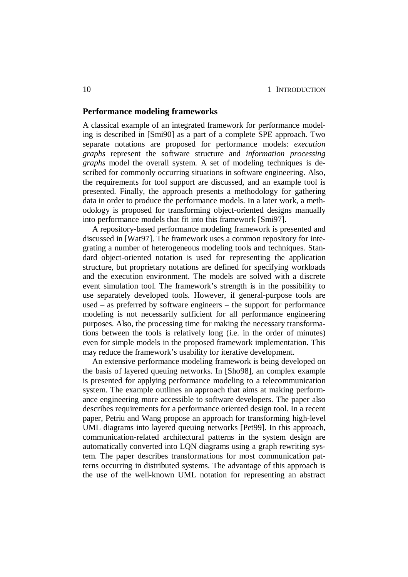### **Performance modeling frameworks**

A classical example of an integrated framework for performance modeling is described in [Smi90] as a part of a complete SPE approach. Two separate notations are proposed for performance models: *execution graphs* represent the software structure and *information processing graphs* model the overall system. A set of modeling techniques is described for commonly occurring situations in software engineering. Also, the requirements for tool support are discussed, and an example tool is presented. Finally, the approach presents a methodology for gathering data in order to produce the performance models. In a later work, a methodology is proposed for transforming object-oriented designs manually into performance models that fit into this framework [Smi97].

A repository-based performance modeling framework is presented and discussed in [Wat97]. The framework uses a common repository for integrating a number of heterogeneous modeling tools and techniques. Standard object-oriented notation is used for representing the application structure, but proprietary notations are defined for specifying workloads and the execution environment. The models are solved with a discrete event simulation tool. The framework's strength is in the possibility to use separately developed tools. However, if general-purpose tools are used – as preferred by software engineers – the support for performance modeling is not necessarily sufficient for all performance engineering purposes. Also, the processing time for making the necessary transformations between the tools is relatively long (i.e. in the order of minutes) even for simple models in the proposed framework implementation. This may reduce the framework's usability for iterative development.

An extensive performance modeling framework is being developed on the basis of layered queuing networks. In [Sho98], an complex example is presented for applying performance modeling to a telecommunication system. The example outlines an approach that aims at making performance engineering more accessible to software developers. The paper also describes requirements for a performance oriented design tool. In a recent paper, Petriu and Wang propose an approach for transforming high-level UML diagrams into layered queuing networks [Pet99]. In this approach, communication-related architectural patterns in the system design are automatically converted into LQN diagrams using a graph rewriting system. The paper describes transformations for most communication patterns occurring in distributed systems. The advantage of this approach is the use of the well-known UML notation for representing an abstract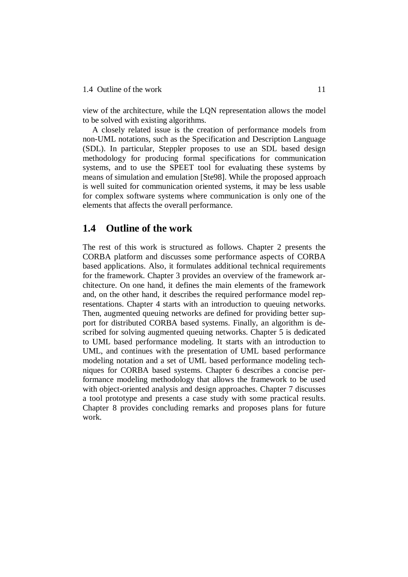view of the architecture, while the LQN representation allows the model to be solved with existing algorithms.

A closely related issue is the creation of performance models from non-UML notations, such as the Specification and Description Language (SDL). In particular, Steppler proposes to use an SDL based design methodology for producing formal specifications for communication systems, and to use the SPEET tool for evaluating these systems by means of simulation and emulation [Ste98]. While the proposed approach is well suited for communication oriented systems, it may be less usable for complex software systems where communication is only one of the elements that affects the overall performance.

## **1.4 Outline of the work**

The rest of this work is structured as follows. Chapter 2 presents the CORBA platform and discusses some performance aspects of CORBA based applications. Also, it formulates additional technical requirements for the framework. Chapter 3 provides an overview of the framework architecture. On one hand, it defines the main elements of the framework and, on the other hand, it describes the required performance model representations. Chapter 4 starts with an introduction to queuing networks. Then, augmented queuing networks are defined for providing better support for distributed CORBA based systems. Finally, an algorithm is described for solving augmented queuing networks. Chapter 5 is dedicated to UML based performance modeling. It starts with an introduction to UML, and continues with the presentation of UML based performance modeling notation and a set of UML based performance modeling techniques for CORBA based systems. Chapter 6 describes a concise performance modeling methodology that allows the framework to be used with object-oriented analysis and design approaches. Chapter 7 discusses a tool prototype and presents a case study with some practical results. Chapter 8 provides concluding remarks and proposes plans for future work.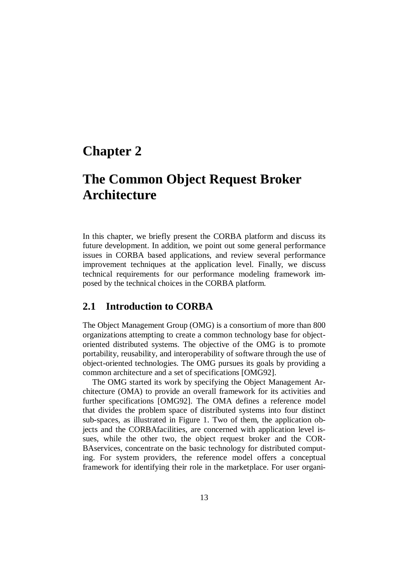# **Chapter 2**

# **The Common Object Request Broker Architecture**

In this chapter, we briefly present the CORBA platform and discuss its future development. In addition, we point out some general performance issues in CORBA based applications, and review several performance improvement techniques at the application level. Finally, we discuss technical requirements for our performance modeling framework imposed by the technical choices in the CORBA platform.

## **2.1 Introduction to CORBA**

The Object Management Group (OMG) is a consortium of more than 800 organizations attempting to create a common technology base for objectoriented distributed systems. The objective of the OMG is to promote portability, reusability, and interoperability of software through the use of object-oriented technologies. The OMG pursues its goals by providing a common architecture and a set of specifications [OMG92].

The OMG started its work by specifying the Object Management Architecture (OMA) to provide an overall framework for its activities and further specifications [OMG92]. The OMA defines a reference model that divides the problem space of distributed systems into four distinct sub-spaces, as illustrated in Figure 1. Two of them, the application objects and the CORBAfacilities, are concerned with application level issues, while the other two, the object request broker and the COR-BAservices, concentrate on the basic technology for distributed computing. For system providers, the reference model offers a conceptual framework for identifying their role in the marketplace. For user organi-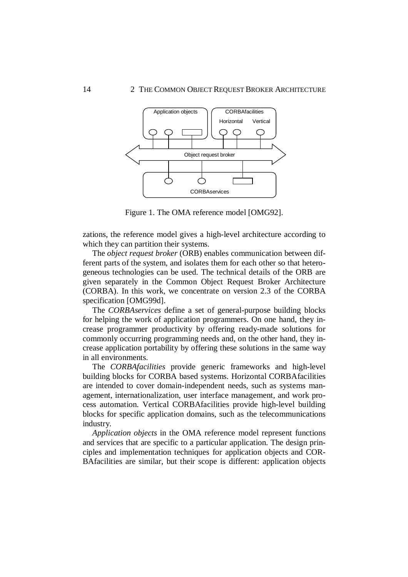

Figure 1. The OMA reference model [OMG92].

zations, the reference model gives a high-level architecture according to which they can partition their systems.

The *object request broker* (ORB) enables communication between different parts of the system, and isolates them for each other so that heterogeneous technologies can be used. The technical details of the ORB are given separately in the Common Object Request Broker Architecture (CORBA). In this work, we concentrate on version 2.3 of the CORBA specification [OMG99d].

The *CORBAservices* define a set of general-purpose building blocks for helping the work of application programmers. On one hand, they increase programmer productivity by offering ready-made solutions for commonly occurring programming needs and, on the other hand, they increase application portability by offering these solutions in the same way in all environments.

The *CORBAfacilities* provide generic frameworks and high-level building blocks for CORBA based systems. Horizontal CORBAfacilities are intended to cover domain-independent needs, such as systems management, internationalization, user interface management, and work process automation. Vertical CORBAfacilities provide high-level building blocks for specific application domains, such as the telecommunications industry.

*Application objects* in the OMA reference model represent functions and services that are specific to a particular application. The design principles and implementation techniques for application objects and COR-BAfacilities are similar, but their scope is different: application objects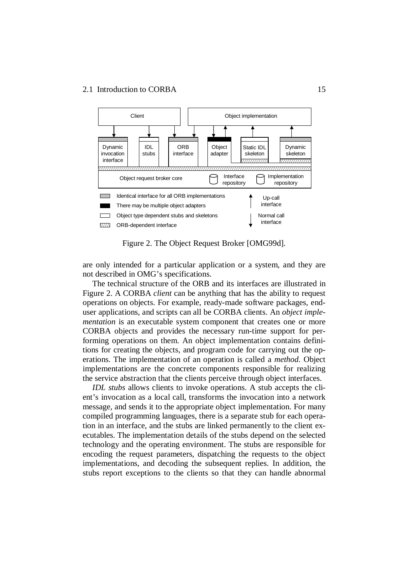

Figure 2. The Object Request Broker [OMG99d].

are only intended for a particular application or a system, and they are not described in OMG's specifications.

The technical structure of the ORB and its interfaces are illustrated in Figure 2. A CORBA *client* can be anything that has the ability to request operations on objects. For example, ready-made software packages, enduser applications, and scripts can all be CORBA clients. An *object implementation* is an executable system component that creates one or more CORBA objects and provides the necessary run-time support for performing operations on them. An object implementation contains definitions for creating the objects, and program code for carrying out the operations. The implementation of an operation is called a *method*. Object implementations are the concrete components responsible for realizing the service abstraction that the clients perceive through object interfaces.

*IDL stubs* allows clients to invoke operations. A stub accepts the client's invocation as a local call, transforms the invocation into a network message, and sends it to the appropriate object implementation. For many compiled programming languages, there is a separate stub for each operation in an interface, and the stubs are linked permanently to the client executables. The implementation details of the stubs depend on the selected technology and the operating environment. The stubs are responsible for encoding the request parameters, dispatching the requests to the object implementations, and decoding the subsequent replies. In addition, the stubs report exceptions to the clients so that they can handle abnormal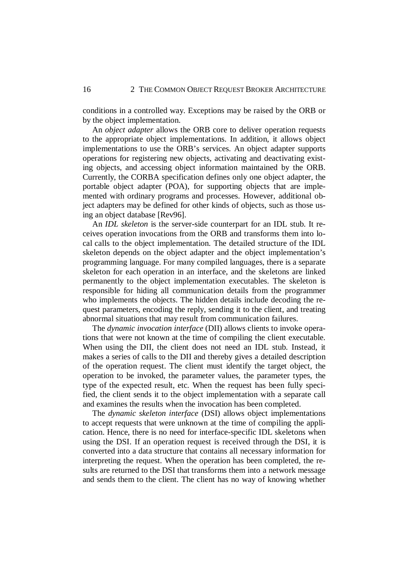conditions in a controlled way. Exceptions may be raised by the ORB or by the object implementation.

An *object adapter* allows the ORB core to deliver operation requests to the appropriate object implementations. In addition, it allows object implementations to use the ORB's services. An object adapter supports operations for registering new objects, activating and deactivating existing objects, and accessing object information maintained by the ORB. Currently, the CORBA specification defines only one object adapter, the portable object adapter (POA), for supporting objects that are implemented with ordinary programs and processes. However, additional object adapters may be defined for other kinds of objects, such as those using an object database [Rev96].

An *IDL skeleton* is the server-side counterpart for an IDL stub. It receives operation invocations from the ORB and transforms them into local calls to the object implementation. The detailed structure of the IDL skeleton depends on the object adapter and the object implementation's programming language. For many compiled languages, there is a separate skeleton for each operation in an interface, and the skeletons are linked permanently to the object implementation executables. The skeleton is responsible for hiding all communication details from the programmer who implements the objects. The hidden details include decoding the request parameters, encoding the reply, sending it to the client, and treating abnormal situations that may result from communication failures.

The *dynamic invocation interface* (DII) allows clients to invoke operations that were not known at the time of compiling the client executable. When using the DII, the client does not need an IDL stub. Instead, it makes a series of calls to the DII and thereby gives a detailed description of the operation request. The client must identify the target object, the operation to be invoked, the parameter values, the parameter types, the type of the expected result, etc. When the request has been fully specified, the client sends it to the object implementation with a separate call and examines the results when the invocation has been completed.

The *dynamic skeleton interface* (DSI) allows object implementations to accept requests that were unknown at the time of compiling the application. Hence, there is no need for interface-specific IDL skeletons when using the DSI. If an operation request is received through the DSI, it is converted into a data structure that contains all necessary information for interpreting the request. When the operation has been completed, the results are returned to the DSI that transforms them into a network message and sends them to the client. The client has no way of knowing whether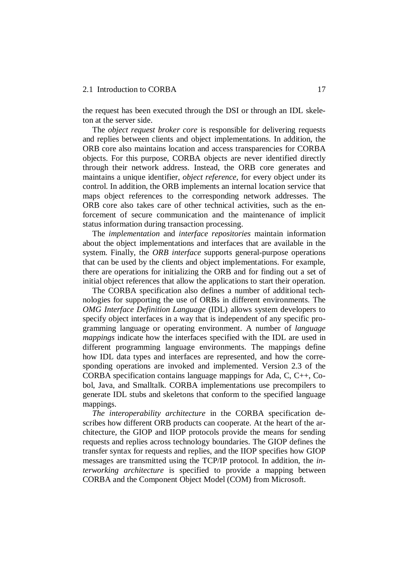### 2.1 Introduction to CORBA 17

the request has been executed through the DSI or through an IDL skeleton at the server side.

The *object request broker core* is responsible for delivering requests and replies between clients and object implementations. In addition, the ORB core also maintains location and access transparencies for CORBA objects. For this purpose, CORBA objects are never identified directly through their network address. Instead, the ORB core generates and maintains a unique identifier, *object reference,* for every object under its control. In addition, the ORB implements an internal location service that maps object references to the corresponding network addresses. The ORB core also takes care of other technical activities, such as the enforcement of secure communication and the maintenance of implicit status information during transaction processing.

The *implementation* and *interface repositories* maintain information about the object implementations and interfaces that are available in the system. Finally, the *ORB interface* supports general-purpose operations that can be used by the clients and object implementations. For example, there are operations for initializing the ORB and for finding out a set of initial object references that allow the applications to start their operation.

The CORBA specification also defines a number of additional technologies for supporting the use of ORBs in different environments. The *OMG Interface Definition Language* (IDL) allows system developers to specify object interfaces in a way that is independent of any specific programming language or operating environment. A number of *language mappings* indicate how the interfaces specified with the IDL are used in different programming language environments. The mappings define how IDL data types and interfaces are represented, and how the corresponding operations are invoked and implemented. Version 2.3 of the CORBA specification contains language mappings for Ada, C, C++, Cobol, Java, and Smalltalk. CORBA implementations use precompilers to generate IDL stubs and skeletons that conform to the specified language mappings.

*The interoperability architecture* in the CORBA specification describes how different ORB products can cooperate. At the heart of the architecture, the GIOP and IIOP protocols provide the means for sending requests and replies across technology boundaries. The GIOP defines the transfer syntax for requests and replies, and the IIOP specifies how GIOP messages are transmitted using the TCP/IP protocol. In addition, the *interworking architecture* is specified to provide a mapping between CORBA and the Component Object Model (COM) from Microsoft.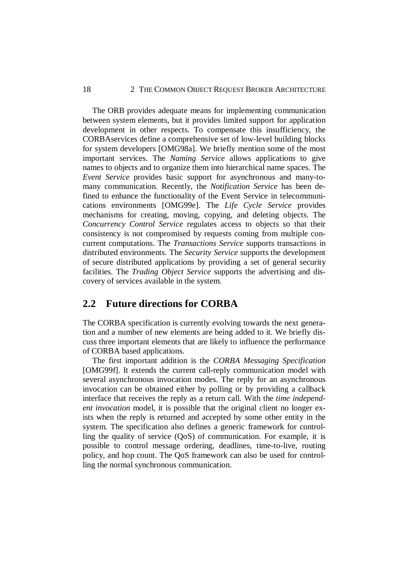### 18 2 THE COMMON OBJECT REQUEST BROKER ARCHITECTURE

The ORB provides adequate means for implementing communication between system elements, but it provides limited support for application development in other respects. To compensate this insufficiency, the CORBAservices define a comprehensive set of low-level building blocks for system developers [OMG98a]. We briefly mention some of the most important services. The *Naming Service* allows applications to give names to objects and to organize them into hierarchical name spaces. The *Event Service* provides basic support for asynchronous and many-tomany communication. Recently, the *Notification Service* has been defined to enhance the functionality of the Event Service in telecommunications environments [OMG99e]. The *Life Cycle Service* provides mechanisms for creating, moving, copying, and deleting objects. The *Concurrency Control Service* regulates access to objects so that their consistency is not compromised by requests coming from multiple concurrent computations. The *Transactions Service* supports transactions in distributed environments. The *Security Service* supports the development of secure distributed applications by providing a set of general security facilities. The *Trading Object Service* supports the advertising and discovery of services available in the system.

## **2.2 Future directions for CORBA**

The CORBA specification is currently evolving towards the next generation and a number of new elements are being added to it. We briefly discuss three important elements that are likely to influence the performance of CORBA based applications.

The first important addition is the *CORBA Messaging Specification* [OMG99f]. It extends the current call-reply communication model with several asynchronous invocation modes. The reply for an asynchronous invocation can be obtained either by polling or by providing a callback interface that receives the reply as a return call. With the *time independent invocation* model, it is possible that the original client no longer exists when the reply is returned and accepted by some other entity in the system. The specification also defines a generic framework for controlling the quality of service (QoS) of communication. For example, it is possible to control message ordering, deadlines, time-to-live, routing policy, and hop count. The QoS framework can also be used for controlling the normal synchronous communication.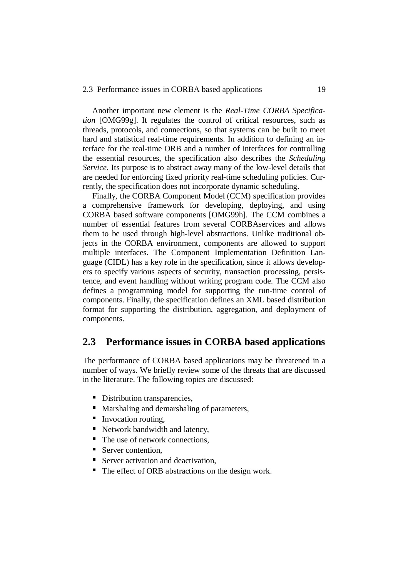### 2.3 Performance issues in CORBA based applications 19

Another important new element is the *Real-Time CORBA Specification* [OMG99g]. It regulates the control of critical resources, such as threads, protocols, and connections, so that systems can be built to meet hard and statistical real-time requirements. In addition to defining an interface for the real-time ORB and a number of interfaces for controlling the essential resources, the specification also describes the *Scheduling Service*. Its purpose is to abstract away many of the low-level details that are needed for enforcing fixed priority real-time scheduling policies. Currently, the specification does not incorporate dynamic scheduling.

Finally, the CORBA Component Model (CCM) specification provides a comprehensive framework for developing, deploying, and using CORBA based software components [OMG99h]. The CCM combines a number of essential features from several CORBAservices and allows them to be used through high-level abstractions. Unlike traditional objects in the CORBA environment, components are allowed to support multiple interfaces. The Component Implementation Definition Language (CIDL) has a key role in the specification, since it allows developers to specify various aspects of security, transaction processing, persistence, and event handling without writing program code. The CCM also defines a programming model for supporting the run-time control of components. Finally, the specification defines an XML based distribution format for supporting the distribution, aggregation, and deployment of components.

## **2.3 Performance issues in CORBA based applications**

The performance of CORBA based applications may be threatened in a number of ways. We briefly review some of the threats that are discussed in the literature. The following topics are discussed:

- **Distribution transparencies,**
- **Marshaling and demarshaling of parameters,**
- **Invocation routing,**
- Network bandwidth and latency,
- The use of network connections,
- Server contention,
- Server activation and deactivation,
- The effect of ORB abstractions on the design work.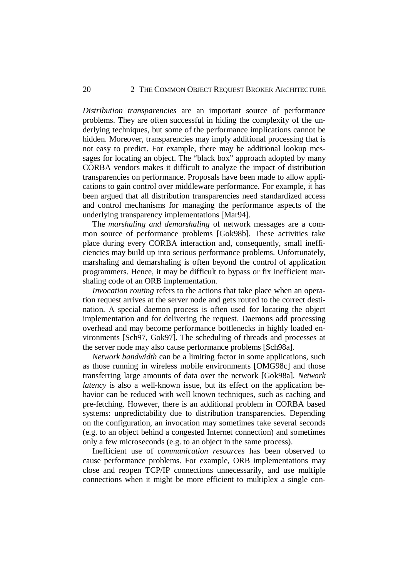### 20 2 THE COMMON OBJECT REQUEST BROKER ARCHITECTURE

*Distribution transparencies* are an important source of performance problems. They are often successful in hiding the complexity of the underlying techniques, but some of the performance implications cannot be hidden. Moreover, transparencies may imply additional processing that is not easy to predict. For example, there may be additional lookup messages for locating an object. The "black box" approach adopted by many CORBA vendors makes it difficult to analyze the impact of distribution transparencies on performance. Proposals have been made to allow applications to gain control over middleware performance. For example, it has been argued that all distribution transparencies need standardized access and control mechanisms for managing the performance aspects of the underlying transparency implementations [Mar94].

The *marshaling and demarshaling* of network messages are a common source of performance problems [Gok98b]. These activities take place during every CORBA interaction and, consequently, small inefficiencies may build up into serious performance problems. Unfortunately, marshaling and demarshaling is often beyond the control of application programmers. Hence, it may be difficult to bypass or fix inefficient marshaling code of an ORB implementation.

*Invocation routing* refers to the actions that take place when an operation request arrives at the server node and gets routed to the correct destination. A special daemon process is often used for locating the object implementation and for delivering the request. Daemons add processing overhead and may become performance bottlenecks in highly loaded environments [Sch97, Gok97]. The scheduling of threads and processes at the server node may also cause performance problems [Sch98a].

*Network bandwidth* can be a limiting factor in some applications, such as those running in wireless mobile environments [OMG98c] and those transferring large amounts of data over the network [Gok98a]. *Network latency* is also a well-known issue, but its effect on the application behavior can be reduced with well known techniques, such as caching and pre-fetching. However, there is an additional problem in CORBA based systems: unpredictability due to distribution transparencies. Depending on the configuration, an invocation may sometimes take several seconds (e.g. to an object behind a congested Internet connection) and sometimes only a few microseconds (e.g. to an object in the same process).

Inefficient use of *communication resources* has been observed to cause performance problems. For example, ORB implementations may close and reopen TCP/IP connections unnecessarily, and use multiple connections when it might be more efficient to multiplex a single con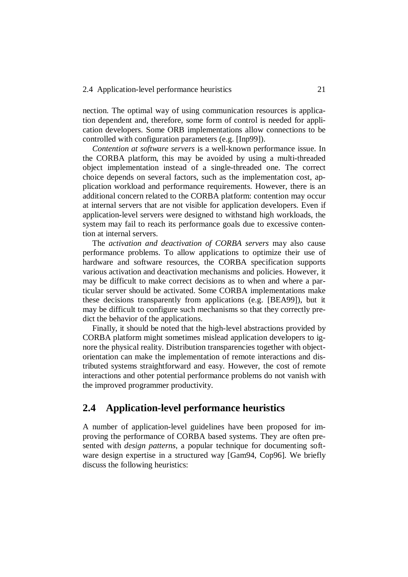nection. The optimal way of using communication resources is application dependent and, therefore, some form of control is needed for application developers. Some ORB implementations allow connections to be controlled with configuration parameters (e.g. [Inp99]).

*Contention at software servers* is a well-known performance issue. In the CORBA platform, this may be avoided by using a multi-threaded object implementation instead of a single-threaded one. The correct choice depends on several factors, such as the implementation cost, application workload and performance requirements. However, there is an additional concern related to the CORBA platform: contention may occur at internal servers that are not visible for application developers. Even if application-level servers were designed to withstand high workloads, the system may fail to reach its performance goals due to excessive contention at internal servers.

The *activation and deactivation of CORBA servers* may also cause performance problems. To allow applications to optimize their use of hardware and software resources, the CORBA specification supports various activation and deactivation mechanisms and policies. However, it may be difficult to make correct decisions as to when and where a particular server should be activated. Some CORBA implementations make these decisions transparently from applications (e.g. [BEA99]), but it may be difficult to configure such mechanisms so that they correctly predict the behavior of the applications.

Finally, it should be noted that the high-level abstractions provided by CORBA platform might sometimes mislead application developers to ignore the physical reality. Distribution transparencies together with objectorientation can make the implementation of remote interactions and distributed systems straightforward and easy. However, the cost of remote interactions and other potential performance problems do not vanish with the improved programmer productivity.

## **2.4 Application-level performance heuristics**

A number of application-level guidelines have been proposed for improving the performance of CORBA based systems. They are often presented with *design patterns*, a popular technique for documenting software design expertise in a structured way [Gam94, Cop96]. We briefly discuss the following heuristics: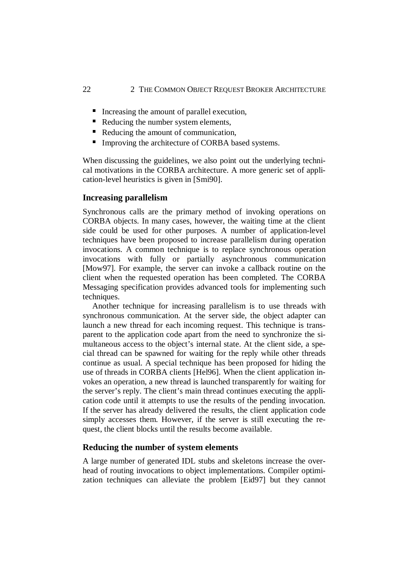- Increasing the amount of parallel execution,
- Reducing the number system elements,
- Reducing the amount of communication,
- **Improving the architecture of CORBA based systems.**

When discussing the guidelines, we also point out the underlying technical motivations in the CORBA architecture. A more generic set of application-level heuristics is given in [Smi90].

### **Increasing parallelism**

Synchronous calls are the primary method of invoking operations on CORBA objects. In many cases, however, the waiting time at the client side could be used for other purposes. A number of application-level techniques have been proposed to increase parallelism during operation invocations. A common technique is to replace synchronous operation invocations with fully or partially asynchronous communication [Mow97]. For example, the server can invoke a callback routine on the client when the requested operation has been completed. The CORBA Messaging specification provides advanced tools for implementing such techniques.

Another technique for increasing parallelism is to use threads with synchronous communication. At the server side, the object adapter can launch a new thread for each incoming request. This technique is transparent to the application code apart from the need to synchronize the simultaneous access to the object's internal state. At the client side, a special thread can be spawned for waiting for the reply while other threads continue as usual. A special technique has been proposed for hiding the use of threads in CORBA clients [Hel96]. When the client application invokes an operation, a new thread is launched transparently for waiting for the server's reply. The client's main thread continues executing the application code until it attempts to use the results of the pending invocation. If the server has already delivered the results, the client application code simply accesses them. However, if the server is still executing the request, the client blocks until the results become available.

### **Reducing the number of system elements**

A large number of generated IDL stubs and skeletons increase the overhead of routing invocations to object implementations. Compiler optimization techniques can alleviate the problem [Eid97] but they cannot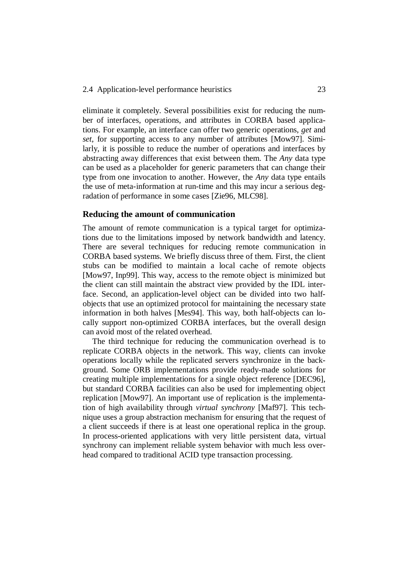eliminate it completely. Several possibilities exist for reducing the number of interfaces, operations, and attributes in CORBA based applications. For example, an interface can offer two generic operations, *get* and *set*, for supporting access to any number of attributes [Mow97]. Similarly, it is possible to reduce the number of operations and interfaces by abstracting away differences that exist between them. The *Any* data type can be used as a placeholder for generic parameters that can change their type from one invocation to another. However, the *Any* data type entails the use of meta-information at run-time and this may incur a serious degradation of performance in some cases [Zie96, MLC98].

### **Reducing the amount of communication**

The amount of remote communication is a typical target for optimizations due to the limitations imposed by network bandwidth and latency. There are several techniques for reducing remote communication in CORBA based systems. We briefly discuss three of them. First, the client stubs can be modified to maintain a local cache of remote objects [Mow97, Inp99]. This way, access to the remote object is minimized but the client can still maintain the abstract view provided by the IDL interface. Second, an application-level object can be divided into two halfobjects that use an optimized protocol for maintaining the necessary state information in both halves [Mes94]. This way, both half-objects can locally support non-optimized CORBA interfaces, but the overall design can avoid most of the related overhead.

The third technique for reducing the communication overhead is to replicate CORBA objects in the network. This way, clients can invoke operations locally while the replicated servers synchronize in the background. Some ORB implementations provide ready-made solutions for creating multiple implementations for a single object reference [DEC96], but standard CORBA facilities can also be used for implementing object replication [Mow97]. An important use of replication is the implementation of high availability through *virtual synchrony* [Maf97]. This technique uses a group abstraction mechanism for ensuring that the request of a client succeeds if there is at least one operational replica in the group. In process-oriented applications with very little persistent data, virtual synchrony can implement reliable system behavior with much less overhead compared to traditional ACID type transaction processing.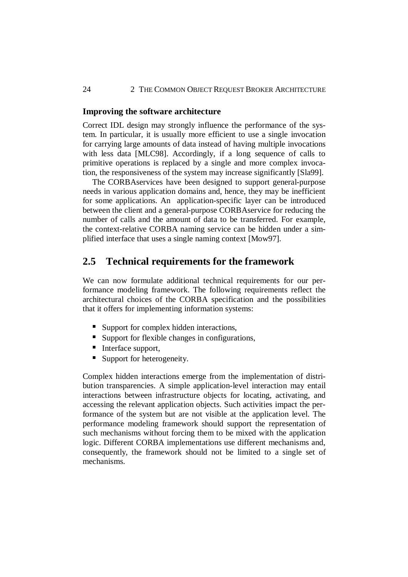## **Improving the software architecture**

Correct IDL design may strongly influence the performance of the system. In particular, it is usually more efficient to use a single invocation for carrying large amounts of data instead of having multiple invocations with less data [MLC98]. Accordingly, if a long sequence of calls to primitive operations is replaced by a single and more complex invocation, the responsiveness of the system may increase significantly [Sla99].

The CORBAservices have been designed to support general-purpose needs in various application domains and, hence, they may be inefficient for some applications. An application-specific layer can be introduced between the client and a general-purpose CORBAservice for reducing the number of calls and the amount of data to be transferred. For example, the context-relative CORBA naming service can be hidden under a simplified interface that uses a single naming context [Mow97].

## **2.5 Technical requirements for the framework**

We can now formulate additional technical requirements for our performance modeling framework. The following requirements reflect the architectural choices of the CORBA specification and the possibilities that it offers for implementing information systems:

- Support for complex hidden interactions,
- Support for flexible changes in configurations,
- **Interface support,**
- Support for heterogeneity.

Complex hidden interactions emerge from the implementation of distribution transparencies. A simple application-level interaction may entail interactions between infrastructure objects for locating, activating, and accessing the relevant application objects. Such activities impact the performance of the system but are not visible at the application level. The performance modeling framework should support the representation of such mechanisms without forcing them to be mixed with the application logic. Different CORBA implementations use different mechanisms and, consequently, the framework should not be limited to a single set of mechanisms.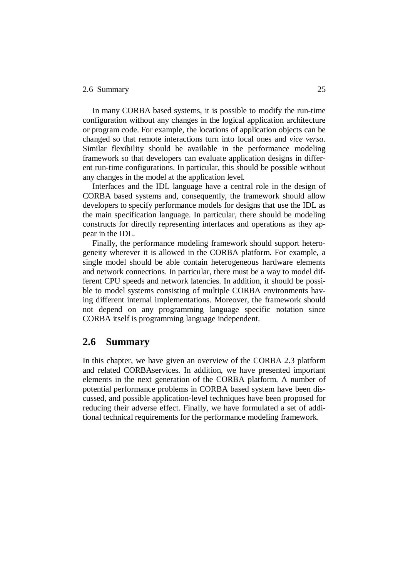### 2.6 Summary 25

In many CORBA based systems, it is possible to modify the run-time configuration without any changes in the logical application architecture or program code. For example, the locations of application objects can be changed so that remote interactions turn into local ones and *vice versa*. Similar flexibility should be available in the performance modeling framework so that developers can evaluate application designs in different run-time configurations. In particular, this should be possible without any changes in the model at the application level.

Interfaces and the IDL language have a central role in the design of CORBA based systems and, consequently, the framework should allow developers to specify performance models for designs that use the IDL as the main specification language. In particular, there should be modeling constructs for directly representing interfaces and operations as they appear in the IDL.

Finally, the performance modeling framework should support heterogeneity wherever it is allowed in the CORBA platform. For example, a single model should be able contain heterogeneous hardware elements and network connections. In particular, there must be a way to model different CPU speeds and network latencies. In addition, it should be possible to model systems consisting of multiple CORBA environments having different internal implementations. Moreover, the framework should not depend on any programming language specific notation since CORBA itself is programming language independent.

## **2.6 Summary**

In this chapter, we have given an overview of the CORBA 2.3 platform and related CORBAservices. In addition, we have presented important elements in the next generation of the CORBA platform. A number of potential performance problems in CORBA based system have been discussed, and possible application-level techniques have been proposed for reducing their adverse effect. Finally, we have formulated a set of additional technical requirements for the performance modeling framework.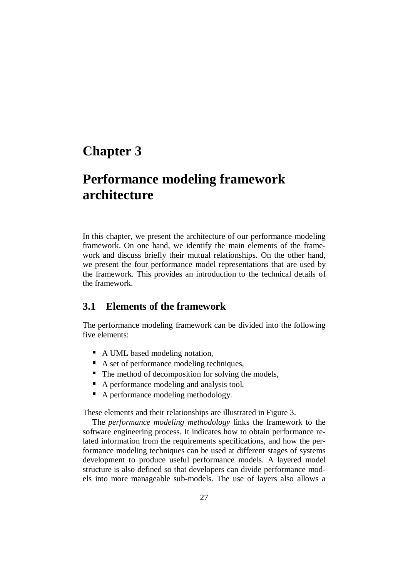# **Chapter 3**

# **Performance modeling framework architecture**

In this chapter, we present the architecture of our performance modeling framework. On one hand, we identify the main elements of the framework and discuss briefly their mutual relationships. On the other hand, we present the four performance model representations that are used by the framework. This provides an introduction to the technical details of the framework.

## **3.1 Elements of the framework**

The performance modeling framework can be divided into the following five elements:

- A UML based modeling notation,
- A set of performance modeling techniques,
- The method of decomposition for solving the models,
- A performance modeling and analysis tool,
- A performance modeling methodology.

These elements and their relationships are illustrated in Figure 3.

The *performance modeling methodology* links the framework to the software engineering process. It indicates how to obtain performance related information from the requirements specifications, and how the performance modeling techniques can be used at different stages of systems development to produce useful performance models. A layered model structure is also defined so that developers can divide performance models into more manageable sub-models. The use of layers also allows a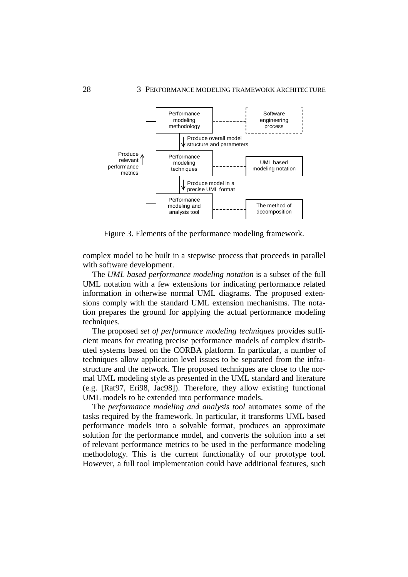

Figure 3. Elements of the performance modeling framework.

complex model to be built in a stepwise process that proceeds in parallel with software development.

The *UML based performance modeling notation* is a subset of the full UML notation with a few extensions for indicating performance related information in otherwise normal UML diagrams. The proposed extensions comply with the standard UML extension mechanisms. The notation prepares the ground for applying the actual performance modeling techniques.

The proposed *set of performance modeling techniques* provides sufficient means for creating precise performance models of complex distributed systems based on the CORBA platform. In particular, a number of techniques allow application level issues to be separated from the infrastructure and the network. The proposed techniques are close to the normal UML modeling style as presented in the UML standard and literature (e.g. [Rat97, Eri98, Jac98]). Therefore, they allow existing functional UML models to be extended into performance models.

The *performance modeling and analysis tool* automates some of the tasks required by the framework. In particular, it transforms UML based performance models into a solvable format, produces an approximate solution for the performance model, and converts the solution into a set of relevant performance metrics to be used in the performance modeling methodology. This is the current functionality of our prototype tool. However, a full tool implementation could have additional features, such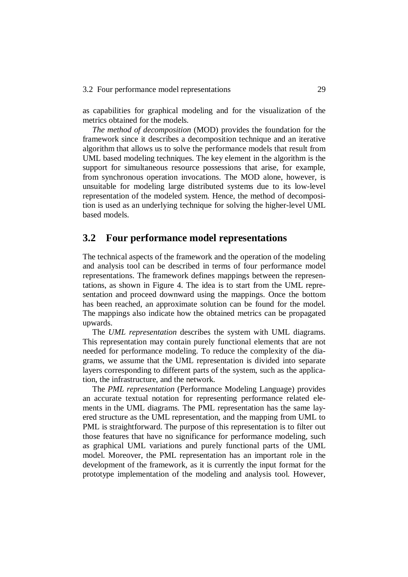as capabilities for graphical modeling and for the visualization of the metrics obtained for the models.

*The method of decomposition* (MOD) provides the foundation for the framework since it describes a decomposition technique and an iterative algorithm that allows us to solve the performance models that result from UML based modeling techniques. The key element in the algorithm is the support for simultaneous resource possessions that arise, for example, from synchronous operation invocations. The MOD alone, however, is unsuitable for modeling large distributed systems due to its low-level representation of the modeled system. Hence, the method of decomposition is used as an underlying technique for solving the higher-level UML based models.

# **3.2 Four performance model representations**

The technical aspects of the framework and the operation of the modeling and analysis tool can be described in terms of four performance model representations. The framework defines mappings between the representations, as shown in Figure 4. The idea is to start from the UML representation and proceed downward using the mappings. Once the bottom has been reached, an approximate solution can be found for the model. The mappings also indicate how the obtained metrics can be propagated upwards.

The *UML representation* describes the system with UML diagrams. This representation may contain purely functional elements that are not needed for performance modeling. To reduce the complexity of the diagrams, we assume that the UML representation is divided into separate layers corresponding to different parts of the system, such as the application, the infrastructure, and the network.

The *PML representation* (Performance Modeling Language) provides an accurate textual notation for representing performance related elements in the UML diagrams. The PML representation has the same layered structure as the UML representation, and the mapping from UML to PML is straightforward. The purpose of this representation is to filter out those features that have no significance for performance modeling, such as graphical UML variations and purely functional parts of the UML model. Moreover, the PML representation has an important role in the development of the framework, as it is currently the input format for the prototype implementation of the modeling and analysis tool. However,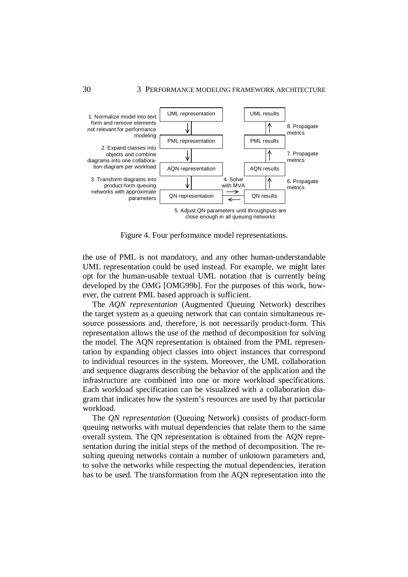

Figure 4. Four performance model representations.

the use of PML is not mandatory, and any other human-understandable UML representation could be used instead. For example, we might later opt for the human-usable textual UML notation that is currently being developed by the OMG [OMG99b]. For the purposes of this work, however, the current PML based approach is sufficient.

The *AQN representation* (Augmented Queuing Network) describes the target system as a queuing network that can contain simultaneous resource possessions and, therefore, is not necessarily product-form. This representation allows the use of the method of decomposition for solving the model. The AQN representation is obtained from the PML representation by expanding object classes into object instances that correspond to individual resources in the system. Moreover, the UML collaboration and sequence diagrams describing the behavior of the application and the infrastructure are combined into one or more workload specifications. Each workload specification can be visualized with a collaboration diagram that indicates how the system's resources are used by that particular workload.

The *QN representation* (Queuing Network) consists of product-form queuing networks with mutual dependencies that relate them to the same overall system. The QN representation is obtained from the AQN representation during the initial steps of the method of decomposition. The resulting queuing networks contain a number of unknown parameters and, to solve the networks while respecting the mutual dependencies, iteration has to be used. The transformation from the AQN representation into the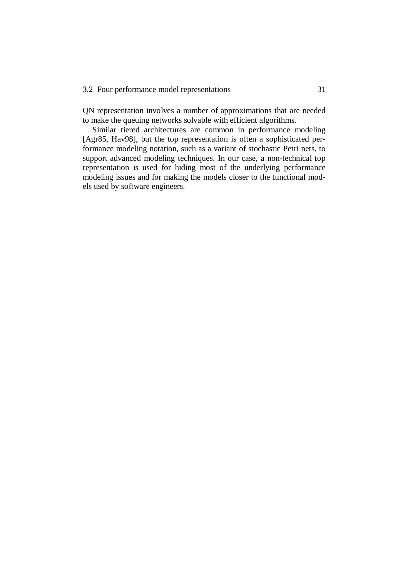QN representation involves a number of approximations that are needed to make the queuing networks solvable with efficient algorithms.

Similar tiered architectures are common in performance modeling [Agr85, Hav98], but the top representation is often a sophisticated performance modeling notation, such as a variant of stochastic Petri nets, to support advanced modeling techniques. In our case, a non-technical top representation is used for hiding most of the underlying performance modeling issues and for making the models closer to the functional models used by software engineers.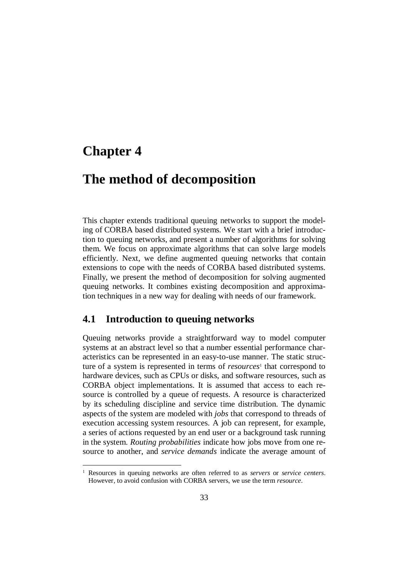# **Chapter 4**

# **The method of decomposition**

This chapter extends traditional queuing networks to support the modeling of CORBA based distributed systems. We start with a brief introduction to queuing networks, and present a number of algorithms for solving them. We focus on approximate algorithms that can solve large models efficiently. Next, we define augmented queuing networks that contain extensions to cope with the needs of CORBA based distributed systems. Finally, we present the method of decomposition for solving augmented queuing networks. It combines existing decomposition and approximation techniques in a new way for dealing with needs of our framework.

# **4.1 Introduction to queuing networks**

Queuing networks provide a straightforward way to model computer systems at an abstract level so that a number essential performance characteristics can be represented in an easy-to-use manner. The static structure of a system is represented in terms of *resources*<sup>1</sup> that correspond to hardware devices, such as CPUs or disks, and software resources, such as CORBA object implementations. It is assumed that access to each resource is controlled by a queue of requests. A resource is characterized by its scheduling discipline and service time distribution. The dynamic aspects of the system are modeled with *jobs* that correspond to threads of execution accessing system resources. A job can represent, for example, a series of actions requested by an end user or a background task running in the system. *Routing probabilities* indicate how jobs move from one resource to another, and *service demands* indicate the average amount of

<sup>1</sup> Resources in queuing networks are often referred to as *servers* or *service centers*. However, to avoid confusion with CORBA servers, we use the term *resource*.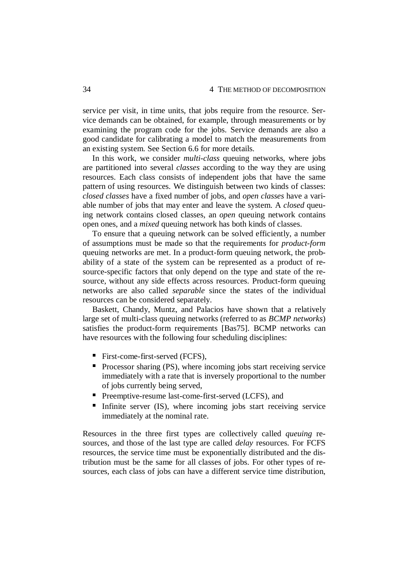service per visit, in time units, that jobs require from the resource. Service demands can be obtained, for example, through measurements or by examining the program code for the jobs. Service demands are also a good candidate for calibrating a model to match the measurements from an existing system. See Section 6.6 for more details.

In this work, we consider *multi-class* queuing networks, where jobs are partitioned into several *classes* according to the way they are using resources. Each class consists of independent jobs that have the same pattern of using resources. We distinguish between two kinds of classes: *closed classes* have a fixed number of jobs, and *open classes* have a variable number of jobs that may enter and leave the system. A *closed* queuing network contains closed classes, an *open* queuing network contains open ones, and a *mixed* queuing network has both kinds of classes.

To ensure that a queuing network can be solved efficiently, a number of assumptions must be made so that the requirements for *product-form* queuing networks are met. In a product-form queuing network, the probability of a state of the system can be represented as a product of resource-specific factors that only depend on the type and state of the resource, without any side effects across resources. Product-form queuing networks are also called *separable* since the states of the individual resources can be considered separately.

Baskett, Chandy, Muntz, and Palacios have shown that a relatively large set of multi-class queuing networks (referred to as *BCMP networks*) satisfies the product-form requirements [Bas75]. BCMP networks can have resources with the following four scheduling disciplines:

- First-come-first-served (FCFS),
- Processor sharing  $(PS)$ , where incoming jobs start receiving service immediately with a rate that is inversely proportional to the number of jobs currently being served,
- Preemptive-resume last-come-first-served (LCFS), and
- Infinite server (IS), where incoming jobs start receiving service immediately at the nominal rate.

Resources in the three first types are collectively called *queuing* resources, and those of the last type are called *delay* resources. For FCFS resources, the service time must be exponentially distributed and the distribution must be the same for all classes of jobs. For other types of resources, each class of jobs can have a different service time distribution,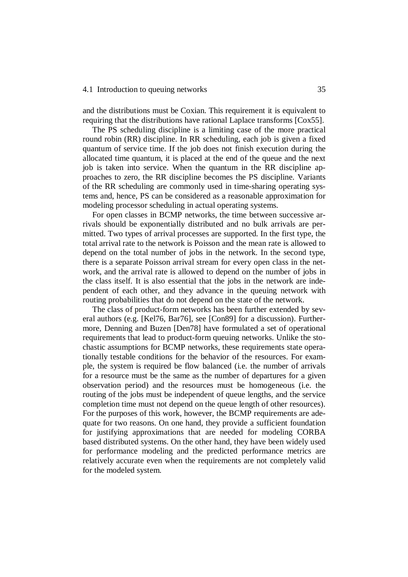and the distributions must be Coxian. This requirement it is equivalent to requiring that the distributions have rational Laplace transforms [Cox55].

The PS scheduling discipline is a limiting case of the more practical round robin (RR) discipline. In RR scheduling, each job is given a fixed quantum of service time. If the job does not finish execution during the allocated time quantum, it is placed at the end of the queue and the next job is taken into service. When the quantum in the RR discipline approaches to zero, the RR discipline becomes the PS discipline. Variants of the RR scheduling are commonly used in time-sharing operating systems and, hence, PS can be considered as a reasonable approximation for modeling processor scheduling in actual operating systems.

For open classes in BCMP networks, the time between successive arrivals should be exponentially distributed and no bulk arrivals are permitted. Two types of arrival processes are supported. In the first type, the total arrival rate to the network is Poisson and the mean rate is allowed to depend on the total number of jobs in the network. In the second type, there is a separate Poisson arrival stream for every open class in the network, and the arrival rate is allowed to depend on the number of jobs in the class itself. It is also essential that the jobs in the network are independent of each other, and they advance in the queuing network with routing probabilities that do not depend on the state of the network.

The class of product-form networks has been further extended by several authors (e.g. [Kel76, Bar76], see [Con89] for a discussion). Furthermore, Denning and Buzen [Den78] have formulated a set of operational requirements that lead to product-form queuing networks. Unlike the stochastic assumptions for BCMP networks, these requirements state operationally testable conditions for the behavior of the resources. For example, the system is required be flow balanced (i.e. the number of arrivals for a resource must be the same as the number of departures for a given observation period) and the resources must be homogeneous (i.e. the routing of the jobs must be independent of queue lengths, and the service completion time must not depend on the queue length of other resources). For the purposes of this work, however, the BCMP requirements are adequate for two reasons. On one hand, they provide a sufficient foundation for justifying approximations that are needed for modeling CORBA based distributed systems. On the other hand, they have been widely used for performance modeling and the predicted performance metrics are relatively accurate even when the requirements are not completely valid for the modeled system.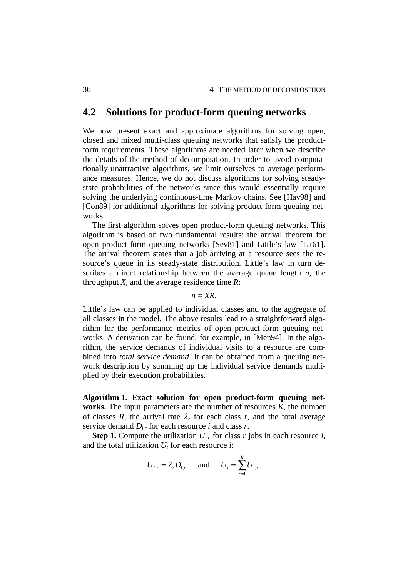# **4.2 Solutions for product-form queuing networks**

We now present exact and approximate algorithms for solving open, closed and mixed multi-class queuing networks that satisfy the productform requirements. These algorithms are needed later when we describe the details of the method of decomposition. In order to avoid computationally unattractive algorithms, we limit ourselves to average performance measures. Hence, we do not discuss algorithms for solving steadystate probabilities of the networks since this would essentially require solving the underlying continuous-time Markov chains. See [Hav98] and [Con89] for additional algorithms for solving product-form queuing networks.

The first algorithm solves open product-form queuing networks. This algorithm is based on two fundamental results: the arrival theorem for open product-form queuing networks [Sev81] and Little's law [Lit61]. The arrival theorem states that a job arriving at a resource sees the resource's queue in its steady-state distribution. Little's law in turn describes a direct relationship between the average queue length *n*, the throughput *X*, and the average residence time *R*:

#### $n = XR$ .

Little's law can be applied to individual classes and to the aggregate of all classes in the model. The above results lead to a straightforward algorithm for the performance metrics of open product-form queuing networks. A derivation can be found, for example, in [Men94]. In the algorithm, the service demands of individual visits to a resource are combined into *total service demand*. It can be obtained from a queuing network description by summing up the individual service demands multiplied by their execution probabilities.

**Algorithm 1. Exact solution for open product-form queuing networks.** The input parameters are the number of resources *K*, the number of classes *R*, the arrival rate  $\lambda_r$  for each class *r*, and the total average service demand  $D_{i,r}$  for each resource *i* and class *r*.

**Step 1.** Compute the utilization  $U_{i,r}$  for class *r* jobs in each resource *i*, and the total utilization  $U_i$  for each resource *i*:

$$
U_{i,r} = \lambda_r D_{i,r} \quad \text{and} \quad U_i = \sum_{r=1}^R U_{i,r}.
$$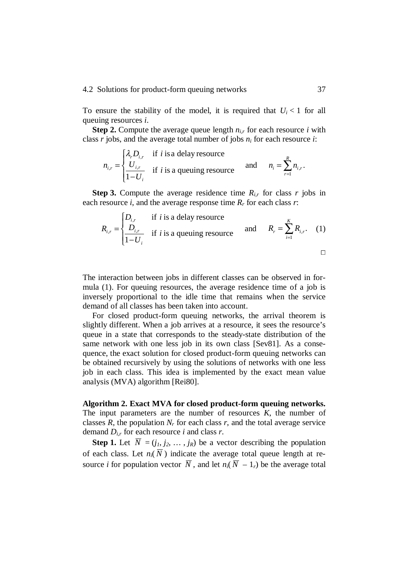To ensure the stability of the model, it is required that  $U_i < 1$  for all queuing resources *i*.

**Step 2.** Compute the average queue length  $n_{i,r}$  for each resource *i* with class  $r$  jobs, and the average total number of jobs  $n_i$  for each resource  $i$ :

$$
n_{i,r} = \begin{cases} \lambda_r D_{i,r} & \text{if } i \text{ is a delay resource} \\ \frac{U_{i,r}}{1-U_i} & \text{if } i \text{ is a queuing resource} \end{cases} \quad \text{and} \quad n_i = \sum_{r=1}^R n_{i,r}.
$$

**Step 3.** Compute the average residence time  $R_{i,r}$  for class  $r$  jobs in each resource  $i$ , and the average response time  $R_r$  for each class  $r$ :

$$
R_{i,r} = \begin{cases} D_{i,r} & \text{if } i \text{ is a delay resource} \\ \frac{D_{i,r}}{1-U_i} & \text{if } i \text{ is a queuing resource} \end{cases} \quad \text{and} \quad R_r = \sum_{i=1}^{K} R_{i,r}. \quad (1)
$$

The interaction between jobs in different classes can be observed in formula (1). For queuing resources, the average residence time of a job is inversely proportional to the idle time that remains when the service demand of all classes has been taken into account.

For closed product-form queuing networks, the arrival theorem is slightly different. When a job arrives at a resource, it sees the resource's queue in a state that corresponds to the steady-state distribution of the same network with one less job in its own class [Sev81]. As a consequence, the exact solution for closed product-form queuing networks can be obtained recursively by using the solutions of networks with one less job in each class. This idea is implemented by the exact mean value analysis (MVA) algorithm [Rei80].

**Algorithm 2. Exact MVA for closed product-form queuing networks.** The input parameters are the number of resources *K*, the number of classes  $R$ , the population  $N_r$  for each class  $r$ , and the total average service demand  $D_{ir}$  for each resource *i* and class *r*.

**Step 1.** Let  $\overline{N} = (j_1, j_2, \dots, j_R)$  be a vector describing the population of each class. Let  $n_i(\overline{N})$  indicate the average total queue length at resource *i* for population vector  $\overline{N}$ , and let  $n_i(\overline{N} - 1_r)$  be the average total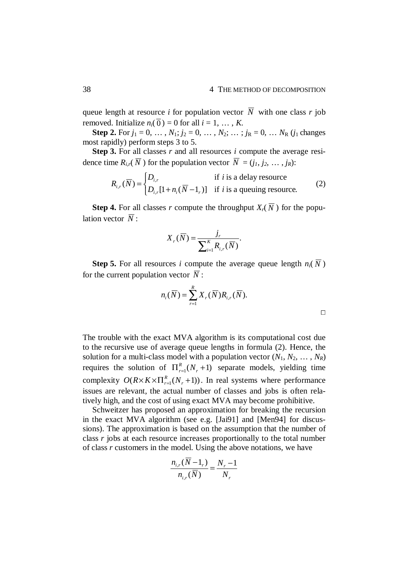queue length at resource *i* for population vector  $\overline{N}$  with one class *r* job removed. Initialize  $n_i(\overline{0}) = 0$  for all  $i = 1, ..., K$ .

**Step 2.** For  $j_1 = 0, \ldots, N_1; j_2 = 0, \ldots, N_2; \ldots; j_R = 0, \ldots, N_R$  ( $j_1$  changes most rapidly) perform steps 3 to 5.

**Step 3.** For all classes *r* and all resources *i* compute the average residence time  $R_{i,r}(\overline{N})$  for the population vector  $\overline{N} = (j_1, j_2, \ldots, j_R)$ :

$$
R_{i,r}(\overline{N}) = \begin{cases} D_{i,r} & \text{if } i \text{ is a delay resource} \\ D_{i,r}[1 + n_i(\overline{N} - 1_r)] & \text{if } i \text{ is a queuing resource.} \end{cases}
$$
(2)

**Step 4.** For all classes *r* compute the throughput  $X_r(\overline{N})$  for the population vector  $\overline{N}$ :

$$
X_r(\overline{N}) = \frac{j_r}{\sum_{i=1}^K R_{i,r}(\overline{N})}.
$$

**Step 5.** For all resources *i* compute the average queue length  $n_i(\overline{N})$ for the current population vector  $\overline{N}$ :

$$
n_i(\overline{N}) = \sum_{r=1}^R X_r(\overline{N}) R_{i,r}(\overline{N}).
$$

The trouble with the exact MVA algorithm is its computational cost due to the recursive use of average queue lengths in formula (2). Hence, the solution for a multi-class model with a population vector  $(N_1, N_2, \ldots, N_R)$ requires the solution of  $\prod_{r=1}^{R} (N_r + 1)$  separate models, yielding time complexity  $O(R \times K \times \prod_{r=1}^{R} (N_r + 1))$ . In real systems where performance issues are relevant, the actual number of classes and jobs is often relatively high, and the cost of using exact MVA may become prohibitive.

Schweitzer has proposed an approximation for breaking the recursion in the exact MVA algorithm (see e.g. [Jai91] and [Men94] for discussions). The approximation is based on the assumption that the number of class *r* jobs at each resource increases proportionally to the total number of class *r* customers in the model. Using the above notations, we have

$$
\frac{n_{i,r}(N-1_r)}{n_{i,r}(\overline{N})} = \frac{N_r - 1}{N_r}
$$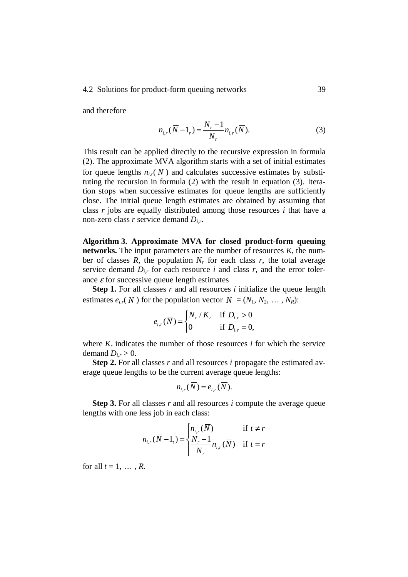and therefore

$$
n_{i,r}(\overline{N} - 1_r) = \frac{N_r - 1}{N_r} n_{i,r}(\overline{N}).
$$
\n(3)

This result can be applied directly to the recursive expression in formula (2). The approximate MVA algorithm starts with a set of initial estimates for queue lengths  $n_{i,r}(\overline{N})$  and calculates successive estimates by substituting the recursion in formula (2) with the result in equation (3). Iteration stops when successive estimates for queue lengths are sufficiently close. The initial queue length estimates are obtained by assuming that class *r* jobs are equally distributed among those resources *i* that have a non-zero class *r* service demand *Di,r*.

**Algorithm 3. Approximate MVA for closed product-form queuing networks.** The input parameters are the number of resources *K*, the number of classes  $R$ , the population  $N_r$  for each class  $r$ , the total average service demand  $D_{i,r}$  for each resource *i* and class  $r$ , and the error tolerance  $\varepsilon$  for successive queue length estimates

**Step 1.** For all classes *r* and all resources *i* initialize the queue length estimates  $e_{i,r}(\overline{N})$  for the population vector  $\overline{N} = (N_1, N_2, \ldots, N_R)$ :

$$
e_{i,r}(\overline{N}) = \begin{cases} N_r / K_r & \text{if } D_{i,r} > 0 \\ 0 & \text{if } D_{i,r} = 0, \end{cases}
$$

where  $K_r$  indicates the number of those resources *i* for which the service demand  $D_{i,r} > 0$ .

**Step 2.** For all classes *r* and all resources *i* propagate the estimated average queue lengths to be the current average queue lengths:

$$
n_{i,r}(\overline{N})=e_{i,r}(\overline{N}).
$$

**Step 3.** For all classes *r* and all resources *i* compute the average queue lengths with one less job in each class:

$$
n_{i,r}(\overline{N} - 1_t) = \begin{cases} n_{i,r}(\overline{N}) & \text{if } t \neq r \\ \frac{N_r - 1}{N_r} n_{i,r}(\overline{N}) & \text{if } t = r \end{cases}
$$

for all  $t = 1, ..., R$ .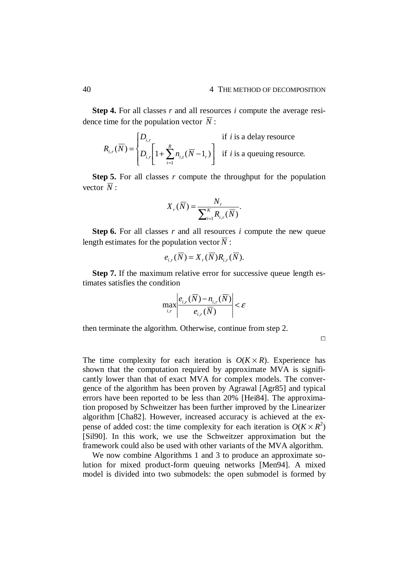**Step 4.** For all classes *r* and all resources *i* compute the average residence time for the population vector  $\overline{N}$ :

$$
R_{i,r}(\overline{N}) = \begin{cases} D_{i,r} & \text{if } i \text{ is a delay resource} \\ D_{i,r} \left[ 1 + \sum_{t=1}^{R} n_{i,t}(\overline{N} - 1_{r}) \right] & \text{if } i \text{ is a queueing resource.} \end{cases}
$$

**Step 5.** For all classes *r* compute the throughput for the population vector  $\overline{N}$  :

$$
X_r(\overline{N}) = \frac{N_r}{\sum_{i=1}^K R_{i,r}(\overline{N})}.
$$

**Step 6.** For all classes *r* and all resources *i* compute the new queue length estimates for the population vector  $\overline{N}$ :

$$
e_{i,r}(\overline{N})=X_{r}(\overline{N})R_{i,r}(\overline{N}).
$$

**Step 7.** If the maximum relative error for successive queue length estimates satisfies the condition

$$
\max_{i,r} \left| \frac{e_{i,r}(\overline{N}) - n_{i,r}(\overline{N})}{e_{i,r}(\overline{N})} \right| < \varepsilon
$$

then terminate the algorithm. Otherwise, continue from step 2.

$$
\qquad \qquad \Box
$$

The time complexity for each iteration is  $O(K \times R)$ . Experience has shown that the computation required by approximate MVA is significantly lower than that of exact MVA for complex models. The convergence of the algorithm has been proven by Agrawal [Agr85] and typical errors have been reported to be less than 20% [Hei84]. The approximation proposed by Schweitzer has been further improved by the Linearizer algorithm [Cha82]. However, increased accuracy is achieved at the expense of added cost: the time complexity for each iteration is  $O(K \times R^2)$ [Sil90]. In this work, we use the Schweitzer approximation but the framework could also be used with other variants of the MVA algorithm.

We now combine Algorithms 1 and 3 to produce an approximate solution for mixed product-form queuing networks [Men94]. A mixed model is divided into two submodels: the open submodel is formed by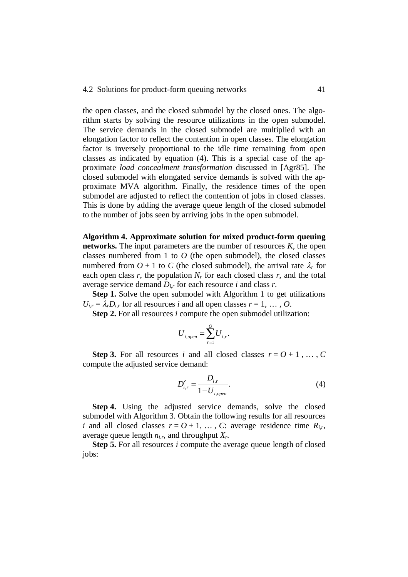the open classes, and the closed submodel by the closed ones. The algorithm starts by solving the resource utilizations in the open submodel. The service demands in the closed submodel are multiplied with an elongation factor to reflect the contention in open classes. The elongation factor is inversely proportional to the idle time remaining from open classes as indicated by equation (4). This is a special case of the approximate *load concealment transformation* discussed in [Agr85]. The closed submodel with elongated service demands is solved with the approximate MVA algorithm. Finally, the residence times of the open submodel are adjusted to reflect the contention of jobs in closed classes. This is done by adding the average queue length of the closed submodel to the number of jobs seen by arriving jobs in the open submodel.

**Algorithm 4. Approximate solution for mixed product-form queuing networks.** The input parameters are the number of resources *K*, the open classes numbered from 1 to *O* (the open submodel), the closed classes numbered from  $O + 1$  to *C* (the closed submodel), the arrival rate  $\lambda_r$  for each open class  $r$ , the population  $N_r$  for each closed class  $r$ , and the total average service demand *Di,r* for each resource *i* and class *r*.

**Step 1.** Solve the open submodel with Algorithm 1 to get utilizations  $U_{ir} = \lambda_r D_{ir}$  for all resources *i* and all open classes  $r = 1, \ldots, 0$ .

**Step 2.** For all resources *i* compute the open submodel utilization:

$$
U_{i,open} = \sum_{r=1}^{O} U_{i,r}.
$$

**Step 3.** For all resources *i* and all closed classes  $r = 0 + 1, \ldots, C$ compute the adjusted service demand:

$$
D'_{i,r} = \frac{D_{i,r}}{1 - U_{i,open}}.\tag{4}
$$

**Step 4.** Using the adjusted service demands, solve the closed submodel with Algorithm 3. Obtain the following results for all resources *i* and all closed classes  $r = O + 1, \ldots, C$ : average residence time  $R_{i,r}$ , average queue length *ni,r*, and throughput *Xr*.

**Step 5.** For all resources *i* compute the average queue length of closed jobs: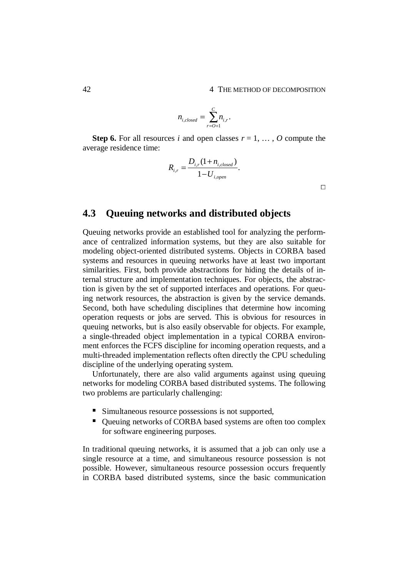#### 42 42 **4 THE METHOD OF DECOMPOSITION**

$$
n_{i, closed} = \sum_{r=O+1}^{C} n_{i,r}.
$$

**Step 6.** For all resources *i* and open classes  $r = 1, \ldots, O$  compute the average residence time:

$$
R_{i,r} = \frac{D_{i,r}(1 + n_{i,closed})}{1 - U_{i,open}}.
$$

 $\Box$ 

## **4.3 Queuing networks and distributed objects**

Queuing networks provide an established tool for analyzing the performance of centralized information systems, but they are also suitable for modeling object-oriented distributed systems. Objects in CORBA based systems and resources in queuing networks have at least two important similarities. First, both provide abstractions for hiding the details of internal structure and implementation techniques. For objects, the abstraction is given by the set of supported interfaces and operations. For queuing network resources, the abstraction is given by the service demands. Second, both have scheduling disciplines that determine how incoming operation requests or jobs are served. This is obvious for resources in queuing networks, but is also easily observable for objects. For example, a single-threaded object implementation in a typical CORBA environment enforces the FCFS discipline for incoming operation requests, and a multi-threaded implementation reflects often directly the CPU scheduling discipline of the underlying operating system.

Unfortunately, there are also valid arguments against using queuing networks for modeling CORBA based distributed systems. The following two problems are particularly challenging:

- Simultaneous resource possessions is not supported,
- Queuing networks of CORBA based systems are often too complex for software engineering purposes.

In traditional queuing networks, it is assumed that a job can only use a single resource at a time, and simultaneous resource possession is not possible. However, simultaneous resource possession occurs frequently in CORBA based distributed systems, since the basic communication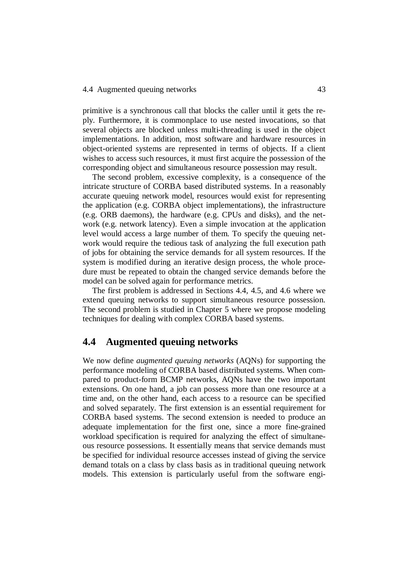primitive is a synchronous call that blocks the caller until it gets the reply. Furthermore, it is commonplace to use nested invocations, so that several objects are blocked unless multi-threading is used in the object implementations. In addition, most software and hardware resources in object-oriented systems are represented in terms of objects. If a client wishes to access such resources, it must first acquire the possession of the corresponding object and simultaneous resource possession may result.

The second problem, excessive complexity, is a consequence of the intricate structure of CORBA based distributed systems. In a reasonably accurate queuing network model, resources would exist for representing the application (e.g. CORBA object implementations), the infrastructure (e.g. ORB daemons), the hardware (e.g. CPUs and disks), and the network (e.g. network latency). Even a simple invocation at the application level would access a large number of them. To specify the queuing network would require the tedious task of analyzing the full execution path of jobs for obtaining the service demands for all system resources. If the system is modified during an iterative design process, the whole procedure must be repeated to obtain the changed service demands before the model can be solved again for performance metrics.

The first problem is addressed in Sections 4.4, 4.5, and 4.6 where we extend queuing networks to support simultaneous resource possession. The second problem is studied in Chapter 5 where we propose modeling techniques for dealing with complex CORBA based systems.

# **4.4 Augmented queuing networks**

We now define *augmented queuing networks* (AQNs) for supporting the performance modeling of CORBA based distributed systems. When compared to product-form BCMP networks, AQNs have the two important extensions. On one hand, a job can possess more than one resource at a time and, on the other hand, each access to a resource can be specified and solved separately. The first extension is an essential requirement for CORBA based systems. The second extension is needed to produce an adequate implementation for the first one, since a more fine-grained workload specification is required for analyzing the effect of simultaneous resource possessions. It essentially means that service demands must be specified for individual resource accesses instead of giving the service demand totals on a class by class basis as in traditional queuing network models. This extension is particularly useful from the software engi-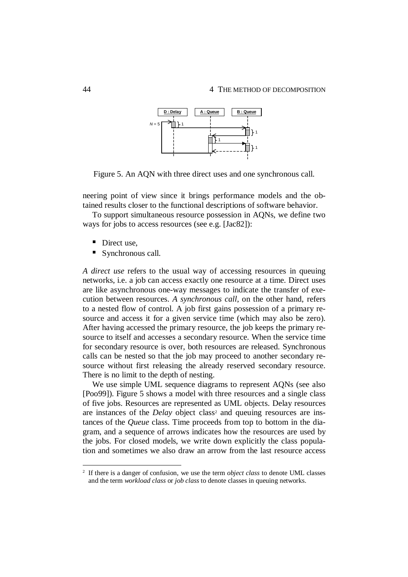#### 44 THE METHOD OF DECOMPOSITION



Figure 5. An AQN with three direct uses and one synchronous call.

neering point of view since it brings performance models and the obtained results closer to the functional descriptions of software behavior.

To support simultaneous resource possession in AQNs, we define two ways for jobs to access resources (see e.g. [Jac82]):

Direct use,

Synchronous call.

*A direct use* refers to the usual way of accessing resources in queuing networks, i.e. a job can access exactly one resource at a time. Direct uses are like asynchronous one-way messages to indicate the transfer of execution between resources. *A synchronous call*, on the other hand, refers to a nested flow of control. A job first gains possession of a primary resource and access it for a given service time (which may also be zero). After having accessed the primary resource, the job keeps the primary resource to itself and accesses a secondary resource. When the service time for secondary resource is over, both resources are released. Synchronous calls can be nested so that the job may proceed to another secondary resource without first releasing the already reserved secondary resource. There is no limit to the depth of nesting.

We use simple UML sequence diagrams to represent AQNs (see also [Poo99]). Figure 5 shows a model with three resources and a single class of five jobs. Resources are represented as UML objects. Delay resources are instances of the *Delay* object class<sup>2</sup> and queuing resources are instances of the *Queue* class. Time proceeds from top to bottom in the diagram, and a sequence of arrows indicates how the resources are used by the jobs. For closed models, we write down explicitly the class population and sometimes we also draw an arrow from the last resource access

<sup>2</sup> If there is a danger of confusion, we use the term *object class* to denote UML classes and the term *workload class* or *job class* to denote classes in queuing networks.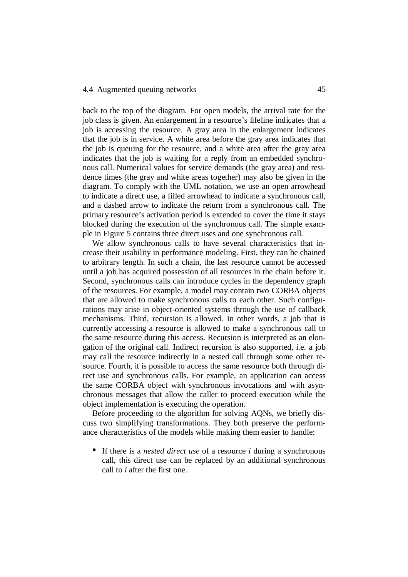back to the top of the diagram. For open models, the arrival rate for the job class is given. An enlargement in a resource's lifeline indicates that a job is accessing the resource. A gray area in the enlargement indicates that the job is in service. A white area before the gray area indicates that the job is queuing for the resource, and a white area after the gray area indicates that the job is waiting for a reply from an embedded synchronous call. Numerical values for service demands (the gray area) and residence times (the gray and white areas together) may also be given in the diagram. To comply with the UML notation, we use an open arrowhead to indicate a direct use, a filled arrowhead to indicate a synchronous call, and a dashed arrow to indicate the return from a synchronous call. The primary resource's activation period is extended to cover the time it stays blocked during the execution of the synchronous call. The simple example in Figure 5 contains three direct uses and one synchronous call.

We allow synchronous calls to have several characteristics that increase their usability in performance modeling. First, they can be chained to arbitrary length. In such a chain, the last resource cannot be accessed until a job has acquired possession of all resources in the chain before it. Second, synchronous calls can introduce cycles in the dependency graph of the resources. For example, a model may contain two CORBA objects that are allowed to make synchronous calls to each other. Such configurations may arise in object-oriented systems through the use of callback mechanisms. Third, recursion is allowed. In other words, a job that is currently accessing a resource is allowed to make a synchronous call to the same resource during this access. Recursion is interpreted as an elongation of the original call. Indirect recursion is also supported, i.e. a job may call the resource indirectly in a nested call through some other resource. Fourth, it is possible to access the same resource both through direct use and synchronous calls. For example, an application can access the same CORBA object with synchronous invocations and with asynchronous messages that allow the caller to proceed execution while the object implementation is executing the operation.

Before proceeding to the algorithm for solving AQNs, we briefly discuss two simplifying transformations. They both preserve the performance characteristics of the models while making them easier to handle:

 If there is a *nested direct use* of a resource *i* during a synchronous call, this direct use can be replaced by an additional synchronous call to *i* after the first one.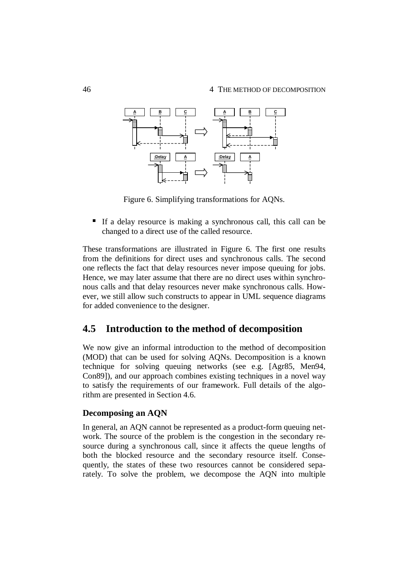#### 46 4 THE METHOD OF DECOMPOSITION



Figure 6. Simplifying transformations for AQNs.

 If a delay resource is making a synchronous call, this call can be changed to a direct use of the called resource.

These transformations are illustrated in Figure 6. The first one results from the definitions for direct uses and synchronous calls. The second one reflects the fact that delay resources never impose queuing for jobs. Hence, we may later assume that there are no direct uses within synchronous calls and that delay resources never make synchronous calls. However, we still allow such constructs to appear in UML sequence diagrams for added convenience to the designer.

# **4.5 Introduction to the method of decomposition**

We now give an informal introduction to the method of decomposition (MOD) that can be used for solving AQNs. Decomposition is a known technique for solving queuing networks (see e.g. [Agr85, Men94, Con89]), and our approach combines existing techniques in a novel way to satisfy the requirements of our framework. Full details of the algorithm are presented in Section 4.6.

#### **Decomposing an AQN**

In general, an AQN cannot be represented as a product-form queuing network. The source of the problem is the congestion in the secondary resource during a synchronous call, since it affects the queue lengths of both the blocked resource and the secondary resource itself. Consequently, the states of these two resources cannot be considered separately. To solve the problem, we decompose the AQN into multiple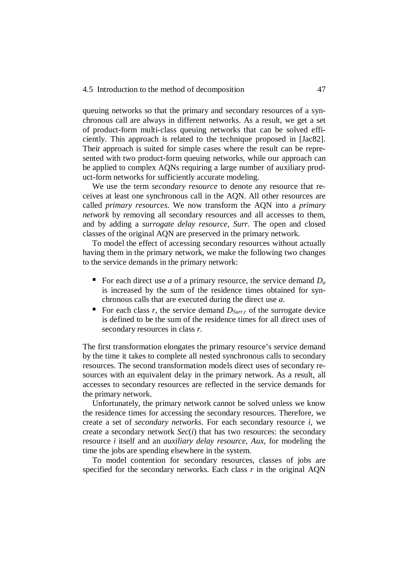queuing networks so that the primary and secondary resources of a synchronous call are always in different networks. As a result, we get a set of product-form multi-class queuing networks that can be solved efficiently. This approach is related to the technique proposed in [Jac82]. Their approach is suited for simple cases where the result can be represented with two product-form queuing networks, while our approach can be applied to complex AQNs requiring a large number of auxiliary product-form networks for sufficiently accurate modeling.

We use the term *secondary resource* to denote any resource that receives at least one synchronous call in the AQN. All other resources are called *primary resources*. We now transform the AQN into a *primary network* by removing all secondary resources and all accesses to them, and by adding a *surrogate delay resource, Surr*. The open and closed classes of the original AQN are preserved in the primary network.

To model the effect of accessing secondary resources without actually having them in the primary network, we make the following two changes to the service demands in the primary network:

- For each direct use  $a$  of a primary resource, the service demand  $D_a$ is increased by the sum of the residence times obtained for synchronous calls that are executed during the direct use *a*.
- For each class  $r$ , the service demand  $D_{Surr,r}$  of the surrogate device is defined to be the sum of the residence times for all direct uses of secondary resources in class *r*.

The first transformation elongates the primary resource's service demand by the time it takes to complete all nested synchronous calls to secondary resources. The second transformation models direct uses of secondary resources with an equivalent delay in the primary network. As a result, all accesses to secondary resources are reflected in the service demands for the primary network.

Unfortunately, the primary network cannot be solved unless we know the residence times for accessing the secondary resources. Therefore, we create a set of *secondary networks*. For each secondary resource *i*, we create a secondary network  $Sec(i)$  that has two resources: the secondary resource *i* itself and an *auxiliary delay resource, Aux,* for modeling the time the jobs are spending elsewhere in the system.

To model contention for secondary resources, classes of jobs are specified for the secondary networks. Each class *r* in the original AQN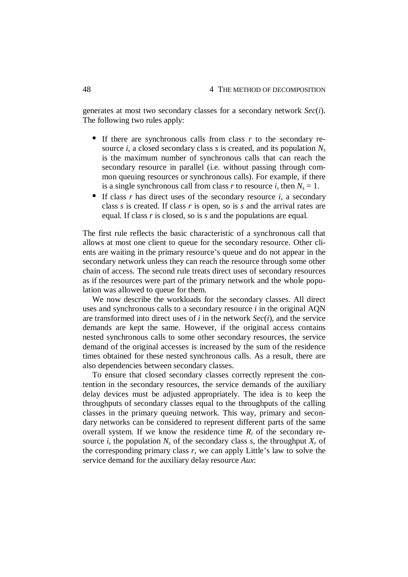generates at most two secondary classes for a secondary network *Sec*(*i*). The following two rules apply:

- If there are synchronous calls from class  $r$  to the secondary resource *i*, a closed secondary class *s* is created, and its population *Ns* is the maximum number of synchronous calls that can reach the secondary resource in parallel (i.e. without passing through common queuing resources or synchronous calls). For example, if there is a single synchronous call from class *r* to resource *i*, then  $N_s = 1$ .
- If class  $r$  has direct uses of the secondary resource  $i$ , a secondary class *s* is created. If class *r* is open, so is *s* and the arrival rates are equal. If class *r* is closed, so is *s* and the populations are equal.

The first rule reflects the basic characteristic of a synchronous call that allows at most one client to queue for the secondary resource. Other clients are waiting in the primary resource's queue and do not appear in the secondary network unless they can reach the resource through some other chain of access. The second rule treats direct uses of secondary resources as if the resources were part of the primary network and the whole population was allowed to queue for them.

We now describe the workloads for the secondary classes. All direct uses and synchronous calls to a secondary resource *i* in the original AQN are transformed into direct uses of *i* in the network *Sec*(*i*), and the service demands are kept the same. However, if the original access contains nested synchronous calls to some other secondary resources, the service demand of the original accesses is increased by the sum of the residence times obtained for these nested synchronous calls. As a result, there are also dependencies between secondary classes.

To ensure that closed secondary classes correctly represent the contention in the secondary resources, the service demands of the auxiliary delay devices must be adjusted appropriately. The idea is to keep the throughputs of secondary classes equal to the throughputs of the calling classes in the primary queuing network. This way, primary and secondary networks can be considered to represent different parts of the same overall system. If we know the residence time  $R_i$  of the secondary resource *i*, the population  $N_s$  of the secondary class *s*, the throughput  $X_r$  of the corresponding primary class *r*, we can apply Little's law to solve the service demand for the auxiliary delay resource *Aux*: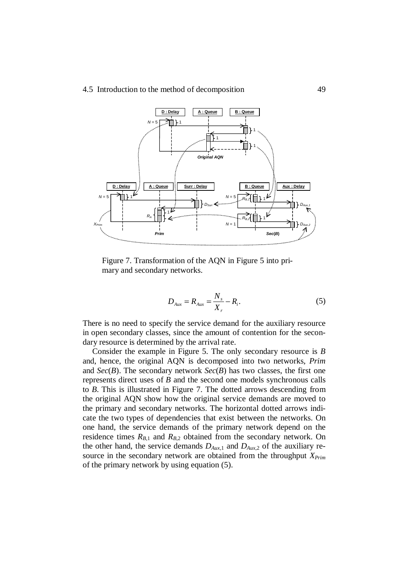

Figure 7. Transformation of the AQN in Figure 5 into primary and secondary networks.

$$
D_{Aux} = R_{Aux} = \frac{N_s}{X_r} - R_i.
$$
 (5)

There is no need to specify the service demand for the auxiliary resource in open secondary classes, since the amount of contention for the secondary resource is determined by the arrival rate.

Consider the example in Figure 5. The only secondary resource is *B* and, hence, the original AQN is decomposed into two networks, *Prim* and *Sec*(*B*). The secondary network *Sec*(*B*) has two classes, the first one represents direct uses of *B* and the second one models synchronous calls to *B*. This is illustrated in Figure 7. The dotted arrows descending from the original AQN show how the original service demands are moved to the primary and secondary networks. The horizontal dotted arrows indicate the two types of dependencies that exist between the networks. On one hand, the service demands of the primary network depend on the residence times  $R_{B,1}$  and  $R_{B,2}$  obtained from the secondary network. On the other hand, the service demands  $D_{Aux,1}$  and  $D_{Aux,2}$  of the auxiliary resource in the secondary network are obtained from the throughput  $X_{Prim}$ of the primary network by using equation (5).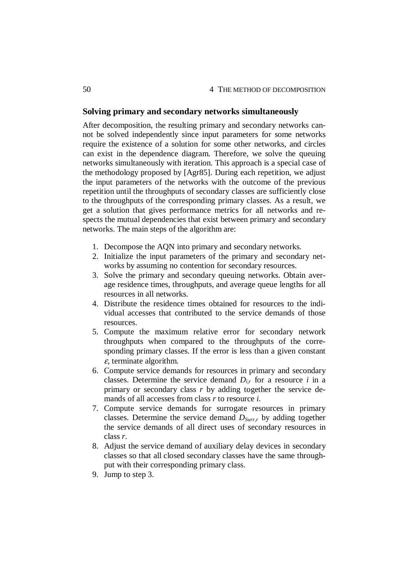#### **Solving primary and secondary networks simultaneously**

After decomposition, the resulting primary and secondary networks cannot be solved independently since input parameters for some networks require the existence of a solution for some other networks, and circles can exist in the dependence diagram. Therefore, we solve the queuing networks simultaneously with iteration. This approach is a special case of the methodology proposed by [Agr85]. During each repetition, we adjust the input parameters of the networks with the outcome of the previous repetition until the throughputs of secondary classes are sufficiently close to the throughputs of the corresponding primary classes. As a result, we get a solution that gives performance metrics for all networks and respects the mutual dependencies that exist between primary and secondary networks. The main steps of the algorithm are:

- 1. Decompose the AQN into primary and secondary networks.
- 2. Initialize the input parameters of the primary and secondary networks by assuming no contention for secondary resources.
- 3. Solve the primary and secondary queuing networks. Obtain average residence times, throughputs, and average queue lengths for all resources in all networks.
- 4. Distribute the residence times obtained for resources to the individual accesses that contributed to the service demands of those resources.
- 5. Compute the maximum relative error for secondary network throughputs when compared to the throughputs of the corresponding primary classes. If the error is less than a given constant  $\varepsilon$ , terminate algorithm.
- 6. Compute service demands for resources in primary and secondary classes. Determine the service demand  $D_{ir}$  for a resource *i* in a primary or secondary class *r* by adding together the service demands of all accesses from class *r* to resource *i*.
- 7. Compute service demands for surrogate resources in primary classes. Determine the service demand *DSurr,r* by adding together the service demands of all direct uses of secondary resources in class *r*.
- 8. Adjust the service demand of auxiliary delay devices in secondary classes so that all closed secondary classes have the same throughput with their corresponding primary class.
- 9. Jump to step 3.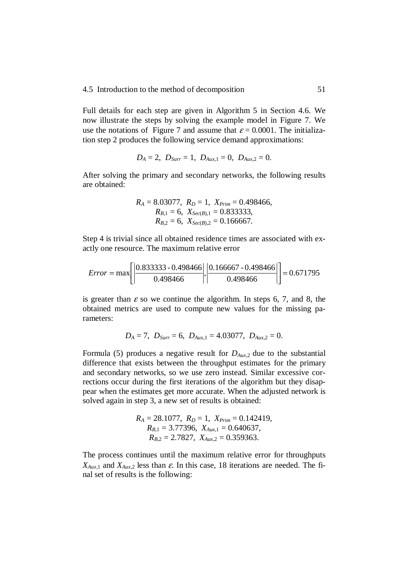Full details for each step are given in Algorithm 5 in Section 4.6. We now illustrate the steps by solving the example model in Figure 7. We use the notations of Figure 7 and assume that  $\varepsilon = 0.0001$ . The initialization step 2 produces the following service demand approximations:

$$
D_A = 2
$$
,  $D_{Surr} = 1$ ,  $D_{Aux,1} = 0$ ,  $D_{Aux,2} = 0$ .

After solving the primary and secondary networks, the following results are obtained:

$$
R_A = 8.03077, R_D = 1, X_{Prim} = 0.498466,
$$
  
\n
$$
R_{B,1} = 6, X_{Sec(B),1} = 0.833333,
$$
  
\n
$$
R_{B,2} = 6, X_{Sec(B),2} = 0.166667.
$$

Step 4 is trivial since all obtained residence times are associated with exactly one resource. The maximum relative error

$$
Error = \max \left[ \left| \frac{0.833333 - 0.498466}{0.498466} \right|, \left| \frac{0.166667 - 0.498466}{0.498466} \right| \right] = 0.671795
$$

is greater than  $\varepsilon$  so we continue the algorithm. In steps 6, 7, and 8, the obtained metrics are used to compute new values for the missing parameters:

$$
D_A = 7
$$
,  $D_{Surr} = 6$ ,  $D_{Aux,1} = 4.03077$ ,  $D_{Aux,2} = 0$ .

Formula (5) produces a negative result for  $D_{Aux,2}$  due to the substantial difference that exists between the throughput estimates for the primary and secondary networks, so we use zero instead. Similar excessive corrections occur during the first iterations of the algorithm but they disappear when the estimates get more accurate. When the adjusted network is solved again in step 3, a new set of results is obtained:

$$
R_A = 28.1077
$$
,  $R_D = 1$ ,  $X_{Prim} = 0.142419$ ,  
\n $R_{B,1} = 3.77396$ ,  $X_{Aux,1} = 0.640637$ ,  
\n $R_{B,2} = 2.7827$ ,  $X_{Aux,2} = 0.359363$ .

The process continues until the maximum relative error for throughputs  $X_{Aux,1}$  and  $X_{Aux,2}$  less than  $\varepsilon$ . In this case, 18 iterations are needed. The final set of results is the following: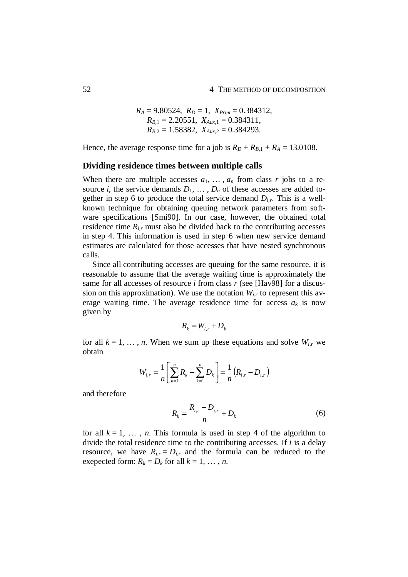$$
R_A = 9.80524
$$
,  $R_D = 1$ ,  $X_{Prim} = 0.384312$ ,  
\n $R_{B,1} = 2.20551$ ,  $X_{Aux,1} = 0.384311$ ,  
\n $R_{B,2} = 1.58382$ ,  $X_{Aux,2} = 0.384293$ .

Hence, the average response time for a job is  $R_D + R_{B,1} + R_A = 13.0108$ .

#### **Dividing residence times between multiple calls**

When there are multiple accesses  $a_1, \ldots, a_n$  from class  $r$  jobs to a resource *i*, the service demands  $D_1, \ldots, D_n$  of these accesses are added together in step 6 to produce the total service demand  $D_{ir}$ . This is a wellknown technique for obtaining queuing network parameters from software specifications [Smi90]. In our case, however, the obtained total residence time  $R_{ir}$  must also be divided back to the contributing accesses in step 4. This information is used in step 6 when new service demand estimates are calculated for those accesses that have nested synchronous calls.

Since all contributing accesses are queuing for the same resource, it is reasonable to assume that the average waiting time is approximately the same for all accesses of resource *i* from class *r* (see [Hav98] for a discussion on this approximation). We use the notation  $W_{i,r}$  to represent this average waiting time. The average residence time for access  $a_k$  is now given by

$$
R_{k} = W_{i,r} + D_{k}
$$

for all  $k = 1, \ldots, n$ . When we sum up these equations and solve  $W_{i,r}$  we obtain

$$
W_{i,r} = \frac{1}{n} \left[ \sum_{k=1}^{n} R_k - \sum_{k=1}^{n} D_k \right] = \frac{1}{n} \left( R_{i,r} - D_{i,r} \right)
$$

and therefore

$$
R_{k} = \frac{R_{i,r} - D_{i,r}}{n} + D_{k}
$$
 (6)

for all  $k = 1, \ldots, n$ . This formula is used in step 4 of the algorithm to divide the total residence time to the contributing accesses. If *i* is a delay resource, we have  $R_{i,r} = D_{i,r}$  and the formula can be reduced to the exepected form:  $R_k = D_k$  for all  $k = 1, \ldots, n$ .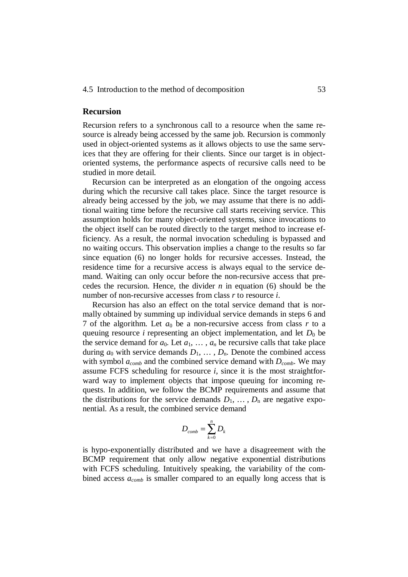### **Recursion**

Recursion refers to a synchronous call to a resource when the same resource is already being accessed by the same job. Recursion is commonly used in object-oriented systems as it allows objects to use the same services that they are offering for their clients. Since our target is in objectoriented systems, the performance aspects of recursive calls need to be studied in more detail.

Recursion can be interpreted as an elongation of the ongoing access during which the recursive call takes place. Since the target resource is already being accessed by the job, we may assume that there is no additional waiting time before the recursive call starts receiving service. This assumption holds for many object-oriented systems, since invocations to the object itself can be routed directly to the target method to increase efficiency. As a result, the normal invocation scheduling is bypassed and no waiting occurs. This observation implies a change to the results so far since equation (6) no longer holds for recursive accesses. Instead, the residence time for a recursive access is always equal to the service demand. Waiting can only occur before the non-recursive access that precedes the recursion. Hence, the divider  $n$  in equation (6) should be the number of non-recursive accesses from class *r* to resource *i*.

Recursion has also an effect on the total service demand that is normally obtained by summing up individual service demands in steps 6 and 7 of the algorithm. Let  $a_0$  be a non-recursive access from class  $r$  to a queuing resource *i* representing an object implementation, and let  $D_0$  be the service demand for  $a_0$ . Let  $a_1, \ldots, a_n$  be recursive calls that take place during  $a_0$  with service demands  $D_1, \ldots, D_n$ . Denote the combined access with symbol  $a_{comb}$  and the combined service demand with  $D_{comb}$ . We may assume FCFS scheduling for resource *i*, since it is the most straightforward way to implement objects that impose queuing for incoming requests. In addition, we follow the BCMP requirements and assume that the distributions for the service demands  $D_1, \ldots, D_n$  are negative exponential. As a result, the combined service demand

$$
D_{\textit{comb}} = \sum_{k=0}^n D_k
$$

is hypo-exponentially distributed and we have a disagreement with the BCMP requirement that only allow negative exponential distributions with FCFS scheduling. Intuitively speaking, the variability of the combined access  $a_{comb}$  is smaller compared to an equally long access that is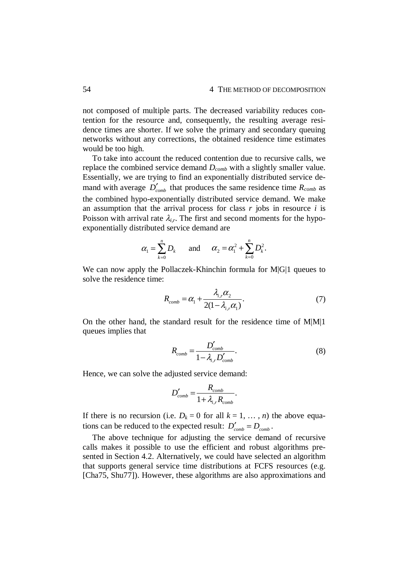not composed of multiple parts. The decreased variability reduces contention for the resource and, consequently, the resulting average residence times are shorter. If we solve the primary and secondary queuing networks without any corrections, the obtained residence time estimates would be too high.

To take into account the reduced contention due to recursive calls, we replace the combined service demand  $D_{comb}$  with a slightly smaller value. Essentially, we are trying to find an exponentially distributed service demand with average  $D'_{comb}$  that produces the same residence time  $R_{comb}$  as the combined hypo-exponentially distributed service demand. We make an assumption that the arrival process for class *r* jobs in resource *i* is Poisson with arrival rate  $\lambda_{i,r}$ . The first and second moments for the hypoexponentially distributed service demand are

$$
\alpha_1 = \sum_{k=0}^n D_k \quad \text{and} \quad \alpha_2 = \alpha_1^2 + \sum_{k=0}^n D_k^2.
$$

We can now apply the Pollaczek-Khinchin formula for M|G|1 queues to solve the residence time:

$$
R_{comb} = \alpha_1 + \frac{\lambda_{i,r}\alpha_2}{2(1-\lambda_{i,r}\alpha_1)}.
$$
\n(7)

On the other hand, the standard result for the residence time of M|M|1 queues implies that

$$
R_{comb} = \frac{D'_{comb}}{1 - \lambda_{i,r} D'_{comb}}.
$$
\n(8)

Hence, we can solve the adjusted service demand:

$$
D'_{comb} = \frac{R_{comb}}{1 + \lambda_{i,r} R_{comb}}.
$$

If there is no recursion (i.e.  $D_k = 0$  for all  $k = 1, ..., n$ ) the above equations can be reduced to the expected result:  $D'_{comb} = D_{comb}$ .

The above technique for adjusting the service demand of recursive calls makes it possible to use the efficient and robust algorithms presented in Section 4.2. Alternatively, we could have selected an algorithm that supports general service time distributions at FCFS resources (e.g. [Cha75, Shu77]). However, these algorithms are also approximations and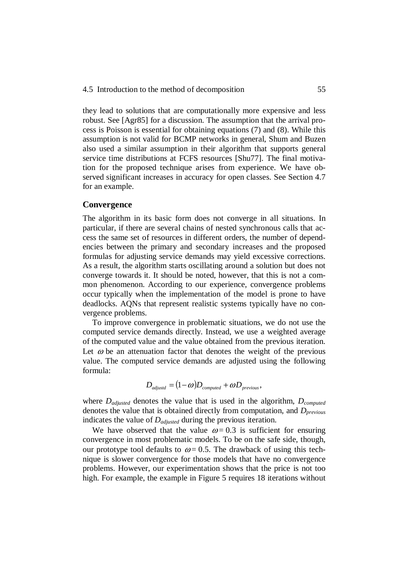they lead to solutions that are computationally more expensive and less robust. See [Agr85] for a discussion. The assumption that the arrival process is Poisson is essential for obtaining equations (7) and (8). While this assumption is not valid for BCMP networks in general, Shum and Buzen also used a similar assumption in their algorithm that supports general service time distributions at FCFS resources [Shu77]. The final motivation for the proposed technique arises from experience. We have observed significant increases in accuracy for open classes. See Section 4.7 for an example.

#### **Convergence**

The algorithm in its basic form does not converge in all situations. In particular, if there are several chains of nested synchronous calls that access the same set of resources in different orders, the number of dependencies between the primary and secondary increases and the proposed formulas for adjusting service demands may yield excessive corrections. As a result, the algorithm starts oscillating around a solution but does not converge towards it. It should be noted, however, that this is not a common phenomenon. According to our experience, convergence problems occur typically when the implementation of the model is prone to have deadlocks. AQNs that represent realistic systems typically have no convergence problems.

To improve convergence in problematic situations, we do not use the computed service demands directly. Instead, we use a weighted average of the computed value and the value obtained from the previous iteration. Let  $\omega$  be an attenuation factor that denotes the weight of the previous value. The computed service demands are adjusted using the following formula:

$$
D_{\text{adjusted}} = (1 - \omega)D_{\text{computed}} + \omega D_{\text{previous}},
$$

where *Dadjusted* denotes the value that is used in the algorithm, *Dcomputed* denotes the value that is obtained directly from computation, and *Dprevious* indicates the value of *Dadjusted* during the previous iteration.

We have observed that the value  $\omega = 0.3$  is sufficient for ensuring convergence in most problematic models. To be on the safe side, though, our prototype tool defaults to  $\omega = 0.5$ . The drawback of using this technique is slower convergence for those models that have no convergence problems. However, our experimentation shows that the price is not too high. For example, the example in Figure 5 requires 18 iterations without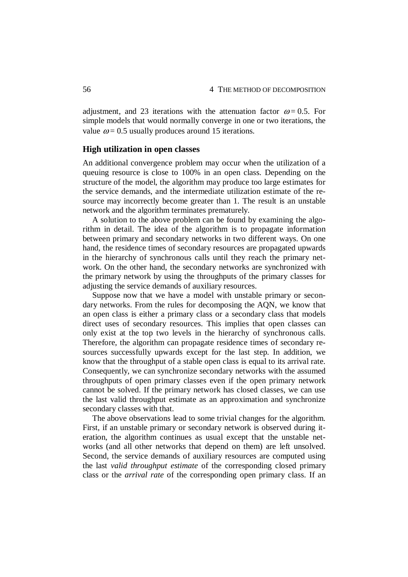adjustment, and 23 iterations with the attenuation factor  $\omega = 0.5$ . For simple models that would normally converge in one or two iterations, the value  $\omega$  = 0.5 usually produces around 15 iterations.

#### **High utilization in open classes**

An additional convergence problem may occur when the utilization of a queuing resource is close to 100% in an open class. Depending on the structure of the model, the algorithm may produce too large estimates for the service demands, and the intermediate utilization estimate of the resource may incorrectly become greater than 1. The result is an unstable network and the algorithm terminates prematurely.

A solution to the above problem can be found by examining the algorithm in detail. The idea of the algorithm is to propagate information between primary and secondary networks in two different ways. On one hand, the residence times of secondary resources are propagated upwards in the hierarchy of synchronous calls until they reach the primary network. On the other hand, the secondary networks are synchronized with the primary network by using the throughputs of the primary classes for adjusting the service demands of auxiliary resources.

Suppose now that we have a model with unstable primary or secondary networks. From the rules for decomposing the AQN, we know that an open class is either a primary class or a secondary class that models direct uses of secondary resources. This implies that open classes can only exist at the top two levels in the hierarchy of synchronous calls. Therefore, the algorithm can propagate residence times of secondary resources successfully upwards except for the last step. In addition, we know that the throughput of a stable open class is equal to its arrival rate. Consequently, we can synchronize secondary networks with the assumed throughputs of open primary classes even if the open primary network cannot be solved. If the primary network has closed classes, we can use the last valid throughput estimate as an approximation and synchronize secondary classes with that.

The above observations lead to some trivial changes for the algorithm. First, if an unstable primary or secondary network is observed during iteration, the algorithm continues as usual except that the unstable networks (and all other networks that depend on them) are left unsolved. Second, the service demands of auxiliary resources are computed using the last *valid throughput estimate* of the corresponding closed primary class or the *arrival rate* of the corresponding open primary class. If an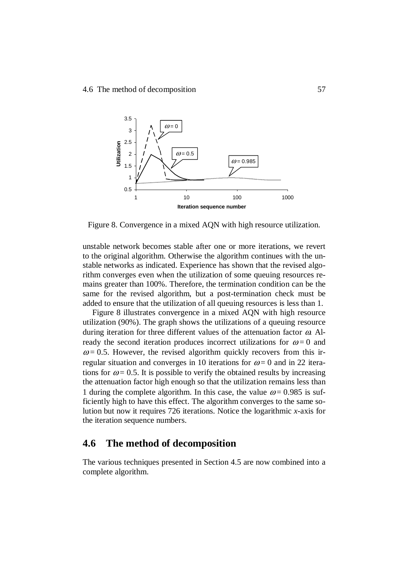

Figure 8. Convergence in a mixed AQN with high resource utilization.

unstable network becomes stable after one or more iterations, we revert to the original algorithm. Otherwise the algorithm continues with the unstable networks as indicated. Experience has shown that the revised algorithm converges even when the utilization of some queuing resources remains greater than 100%. Therefore, the termination condition can be the same for the revised algorithm, but a post-termination check must be added to ensure that the utilization of all queuing resources is less than 1.

Figure 8 illustrates convergence in a mixed AQN with high resource utilization (90%). The graph shows the utilizations of a queuing resource during iteration for three different values of the attenuation factor  $\omega$ . Already the second iteration produces incorrect utilizations for  $\omega = 0$  and  $\omega$  = 0.5. However, the revised algorithm quickly recovers from this irregular situation and converges in 10 iterations for  $\omega = 0$  and in 22 iterations for  $\omega$  = 0.5. It is possible to verify the obtained results by increasing the attenuation factor high enough so that the utilization remains less than 1 during the complete algorithm. In this case, the value  $\omega$  = 0.985 is sufficiently high to have this effect. The algorithm converges to the same solution but now it requires 726 iterations. Notice the logarithmic *x*-axis for the iteration sequence numbers.

# **4.6 The method of decomposition**

The various techniques presented in Section 4.5 are now combined into a complete algorithm.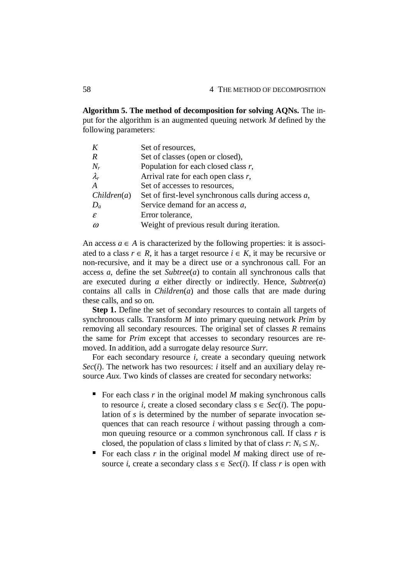**Algorithm 5. The method of decomposition for solving AQNs.** The input for the algorithm is an augmented queuing network *M* defined by the following parameters:

| K                | Set of resources,                                     |
|------------------|-------------------------------------------------------|
| $\boldsymbol{R}$ | Set of classes (open or closed),                      |
| $N_r$            | Population for each closed class $r$ ,                |
| $\lambda_r$      | Arrival rate for each open class $r$ ,                |
| A                | Set of accesses to resources,                         |
| Children(a)      | Set of first-level synchronous calls during access a, |
| $D_a$            | Service demand for an access $a$ ,                    |
| $\mathcal E$     | Error tolerance,                                      |
| $\omega$         | Weight of previous result during iteration.           |

An access  $a \in A$  is characterized by the following properties: it is associated to a class  $r \in R$ , it has a target resource  $i \in K$ , it may be recursive or non-recursive, and it may be a direct use or a synchronous call. For an access  $a$ , define the set  $Subtree(a)$  to contain all synchronous calls that are executed during *a* either directly or indirectly. Hence, *Subtree*(*a*) contains all calls in *Children*(*a*) and those calls that are made during these calls, and so on.

**Step 1.** Define the set of secondary resources to contain all targets of synchronous calls. Transform *M* into primary queuing network *Prim* by removing all secondary resources. The original set of classes *R* remains the same for *Prim* except that accesses to secondary resources are removed. In addition, add a surrogate delay resource *Surr*.

For each secondary resource *i*, create a secondary queuing network *Sec*(*i*). The network has two resources: *i* itself and an auxiliary delay resource *Aux*. Two kinds of classes are created for secondary networks:

- For each class  $r$  in the original model  $M$  making synchronous calls to resource *i*, create a closed secondary class  $s \in \text{Sec}(i)$ . The population of *s* is determined by the number of separate invocation sequences that can reach resource *i* without passing through a common queuing resource or a common synchronous call. If class *r* is closed, the population of class *s* limited by that of class *r*:  $N_s \leq N_r$ .
- For each class  $r$  in the original model  $M$  making direct use of resource *i*, create a secondary class  $s \in \text{Sec}(i)$ . If class *r* is open with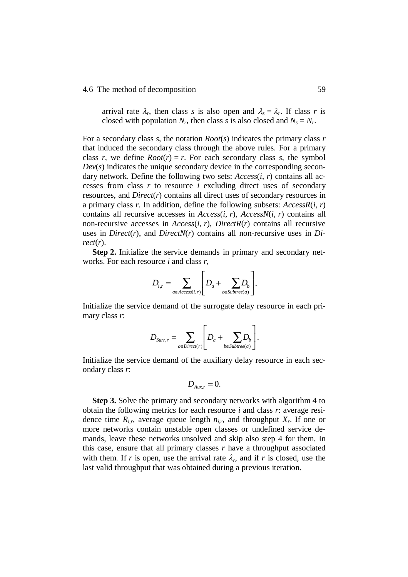#### 4.6 The method of decomposition 59

arrival rate  $\lambda_r$ , then class *s* is also open and  $\lambda_s = \lambda_r$ . If class *r* is closed with population  $N_r$ , then class *s* is also closed and  $N_s = N_r$ .

For a secondary class *s*, the notation *Root*(*s*) indicates the primary class *r* that induced the secondary class through the above rules. For a primary class *r*, we define  $Root(r) = r$ . For each secondary class *s*, the symbol  $Dev(s)$  indicates the unique secondary device in the corresponding secondary network. Define the following two sets: *Access*(*i*, *r*) contains all accesses from class *r* to resource *i* excluding direct uses of secondary resources, and *Direct*(*r*) contains all direct uses of secondary resources in a primary class *r*. In addition, define the following subsets: *AccessR*(*i*, *r*) contains all recursive accesses in *Access*(*i*, *r*), *AccessN*(*i*, *r*) contains all non-recursive accesses in *Access*(*i*, *r*), *DirectR*(*r*) contains all recursive uses in *Direct*(*r*), and *DirectN*(*r*) contains all non-recursive uses in *Direct*(*r*).

**Step 2.** Initialize the service demands in primary and secondary networks. For each resource *i* and class *r*,

$$
D_{i,r} = \sum_{a \in Access(i,r)} \left[ D_a + \sum_{b \in Subtract(a)} D_b \right].
$$

Initialize the service demand of the surrogate delay resource in each primary class *r*:

$$
D_{\text{Surr},r} = \sum_{a \in \text{Direct}(r)} \left[ D_a + \sum_{b \in \text{Subtree}(a)} D_b \right].
$$

Initialize the service demand of the auxiliary delay resource in each secondary class *r*:

$$
D_{\scriptscriptstyle Aux,r}=0.
$$

**Step 3.** Solve the primary and secondary networks with algorithm 4 to obtain the following metrics for each resource *i* and class *r*: average residence time  $R_{i,r}$ , average queue length  $n_{i,r}$ , and throughput  $X_r$ . If one or more networks contain unstable open classes or undefined service demands, leave these networks unsolved and skip also step 4 for them. In this case, ensure that all primary classes *r* have a throughput associated with them. If *r* is open, use the arrival rate  $\lambda_r$ , and if *r* is closed, use the last valid throughput that was obtained during a previous iteration.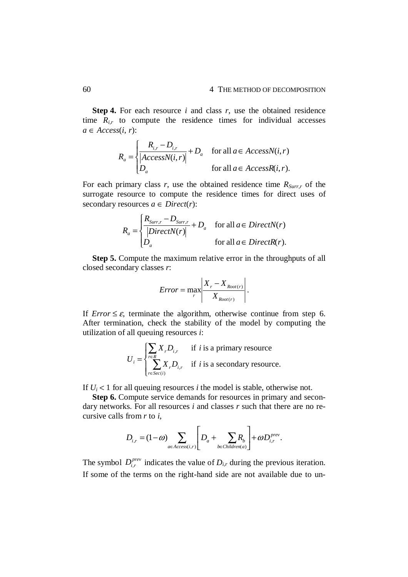**Step 4.** For each resource *i* and class *r*, use the obtained residence time  $R_{i,r}$  to compute the residence times for individual accesses  $a \in Access(i, r)$ :

$$
R_a = \begin{cases} \frac{R_{i,r} - D_{i,r}}{|\text{AccessN}(i,r)|} + D_a & \text{for all } a \in \text{AccessN}(i,r) \\ D_a & \text{for all } a \in \text{AccessR}(i,r). \end{cases}
$$

For each primary class  $r$ , use the obtained residence time  $R_{Surr,r}$  of the surrogate resource to compute the residence times for direct uses of secondary resources  $a \in Direct(r)$ :

$$
R_a = \begin{cases} \frac{R_{\text{Surr},r} - D_{\text{Surr},r}}{|\text{DirectN}(r)|} + D_a & \text{for all } a \in \text{DirectN}(r) \\ D_a & \text{for all } a \in \text{DirectR}(r). \end{cases}
$$

**Step 5.** Compute the maximum relative error in the throughputs of all closed secondary classes *r*:

$$
Error = \max_{r} \left| \frac{X_{r} - X_{Root(r)}}{X_{Root(r)}} \right|.
$$

If *Error*  $\leq \varepsilon$ , terminate the algorithm, otherwise continue from step 6. After termination, check the stability of the model by computing the utilization of all queuing resources *i*:

$$
U_i = \begin{cases} \sum_{r \in R} X_r D_{i,r} & \text{if } i \text{ is a primary resource} \\ \sum_{r \in Sec(i)} X_r D_{i,r} & \text{if } i \text{ is a secondary resource.} \end{cases}
$$

If  $U_i$  < 1 for all queuing resources *i* the model is stable, otherwise not.

**Step 6.** Compute service demands for resources in primary and secondary networks. For all resources *i* and classes *r* such that there are no recursive calls from *r* to *i*,

$$
D_{i,r} = (1 - \omega) \sum_{a \in Access(i,r)} \left[ D_a + \sum_{b \in Children(a)} R_b \right] + \omega D_{i,r}^{prev}.
$$

The symbol  $D_{i,r}^{prev}$  indicates the value of  $D_{i,r}$  during the previous iteration. If some of the terms on the right-hand side are not available due to un-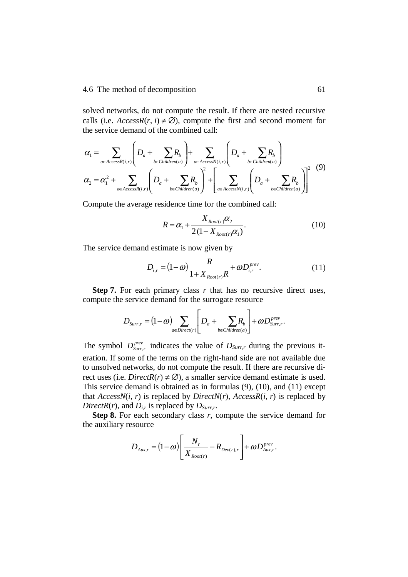#### 4.6 The method of decomposition 61

solved networks, do not compute the result. If there are nested recursive calls (i.e.  $AccessR(r, i) \neq \emptyset$ ), compute the first and second moment for the service demand of the combined call:

$$
\alpha_{1} = \sum_{a \in AccessR(i,r)} \left( D_{a} + \sum_{b \in Children(a)} R_{b} \right) + \sum_{a \in AccessN(i,r)} \left( D_{a} + \sum_{b \in Children(a)} R_{b} \right)
$$
\n
$$
\alpha_{2} = \alpha_{1}^{2} + \sum_{a \in AccessR(i,r)} \left( D_{a} + \sum_{b \in Children(a)} R_{b} \right)^{2} + \left[ \sum_{a \in AccessN(i,r)} \left( D_{a} + \sum_{b \in Children(a)} R_{b} \right) \right]^{2} \tag{9}
$$

Compute the average residence time for the combined call:

$$
R = \alpha_1 + \frac{X_{Root(r)}\alpha_2}{2(1 - X_{Root(r)}\alpha_1)}.
$$
\n(10)

The service demand estimate is now given by

$$
D_{i,r} = (1 - \omega) \frac{R}{1 + X_{Root(r)}R} + \omega D_{i,r}^{prev}.
$$
 (11)

**Step 7.** For each primary class *r* that has no recursive direct uses, compute the service demand for the surrogate resource

$$
D_{\text{Surr},r} = (1 - \omega) \sum_{a \in \text{Direct}(r)} \left[ D_a + \sum_{b \in \text{Children}(a)} R_b \right] + \omega D_{\text{Surr},r}^{\text{prev}}.
$$

The symbol  $D_{Surr,r}^{prev}$  indicates the value of  $D_{Surr,r}$  during the previous iteration. If some of the terms on the right-hand side are not available due to unsolved networks, do not compute the result. If there are recursive direct uses (i.e. *DirectR*( $r$ )  $\neq \emptyset$ ), a smaller service demand estimate is used. This service demand is obtained as in formulas (9), (10), and (11) except that  $\text{AccessN}(i, r)$  is replaced by  $\text{DirectN}(r)$ ,  $\text{AccessR}(i, r)$  is replaced by *DirectR(r)*, and  $D_{i,r}$  is replaced by  $D_{Surr,r}$ .

**Step 8.** For each secondary class *r*, compute the service demand for the auxiliary resource

$$
D_{\scriptscriptstyle Aux,r} = (1 - \omega) \left[ \frac{N_r}{X_{\scriptscriptstyle Root(r)}} - R_{\scriptscriptstyle Dev(r),r} \right] + \omega D_{\scriptscriptstyle Aux,r}^{\scriptscriptstyle prev}.
$$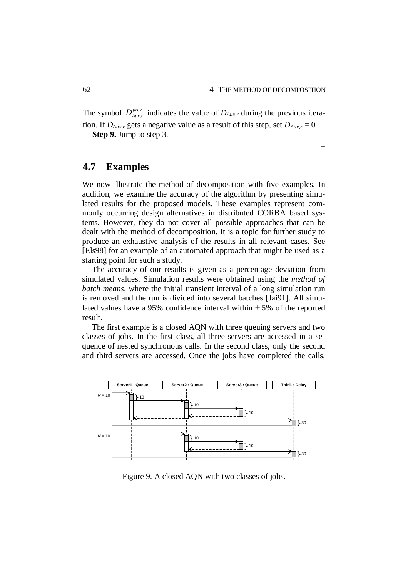The symbol  $D_{Aux,r}^{prev}$  indicates the value of  $D_{Aux,r}$  during the previous iteration. If  $D_{Aux,r}$  gets a negative value as a result of this step, set  $D_{Aux,r} = 0$ . **Step 9.** Jump to step 3.

 $\Box$ 

## **4.7 Examples**

We now illustrate the method of decomposition with five examples. In addition, we examine the accuracy of the algorithm by presenting simulated results for the proposed models. These examples represent commonly occurring design alternatives in distributed CORBA based systems. However, they do not cover all possible approaches that can be dealt with the method of decomposition. It is a topic for further study to produce an exhaustive analysis of the results in all relevant cases. See [Els98] for an example of an automated approach that might be used as a starting point for such a study.

The accuracy of our results is given as a percentage deviation from simulated values. Simulation results were obtained using the *method of batch means*, where the initial transient interval of a long simulation run is removed and the run is divided into several batches [Jai91]. All simulated values have a 95% confidence interval within  $\pm$  5% of the reported result.

The first example is a closed AQN with three queuing servers and two classes of jobs. In the first class, all three servers are accessed in a sequence of nested synchronous calls. In the second class, only the second and third servers are accessed. Once the jobs have completed the calls,



Figure 9. A closed AQN with two classes of jobs.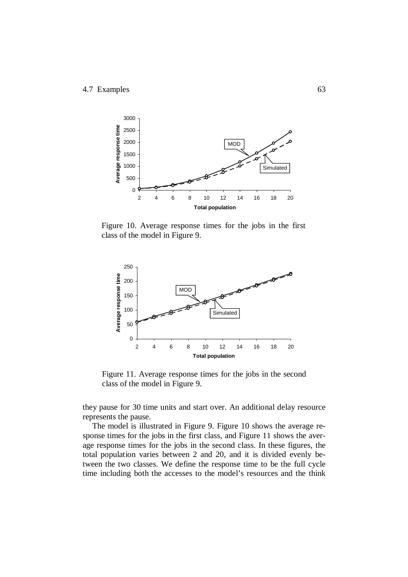

Figure 10. Average response times for the jobs in the first class of the model in Figure 9.



Figure 11. Average response times for the jobs in the second class of the model in Figure 9.

they pause for 30 time units and start over. An additional delay resource represents the pause.

The model is illustrated in Figure 9. Figure 10 shows the average response times for the jobs in the first class, and Figure 11 shows the average response times for the jobs in the second class. In these figures, the total population varies between 2 and 20, and it is divided evenly between the two classes. We define the response time to be the full cycle time including both the accesses to the model's resources and the think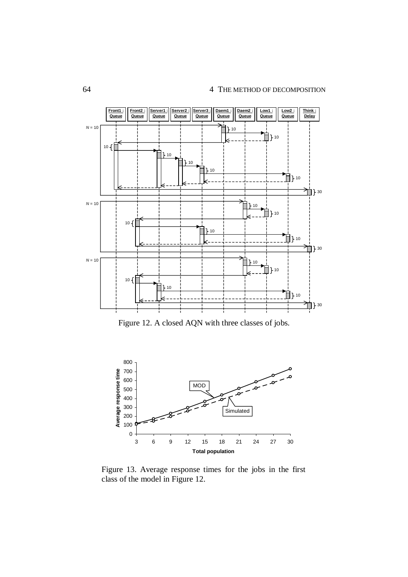

Figure 12. A closed AQN with three classes of jobs.



Figure 13. Average response times for the jobs in the first class of the model in Figure 12.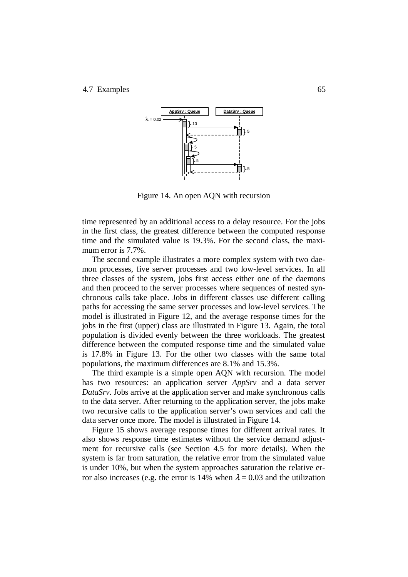

Figure 14. An open AQN with recursion

time represented by an additional access to a delay resource. For the jobs in the first class, the greatest difference between the computed response time and the simulated value is 19.3%. For the second class, the maximum error is 7.7%.

The second example illustrates a more complex system with two daemon processes, five server processes and two low-level services. In all three classes of the system, jobs first access either one of the daemons and then proceed to the server processes where sequences of nested synchronous calls take place. Jobs in different classes use different calling paths for accessing the same server processes and low-level services. The model is illustrated in Figure 12, and the average response times for the jobs in the first (upper) class are illustrated in Figure 13. Again, the total population is divided evenly between the three workloads. The greatest difference between the computed response time and the simulated value is 17.8% in Figure 13. For the other two classes with the same total populations, the maximum differences are 8.1% and 15.3%.

The third example is a simple open AQN with recursion. The model has two resources: an application server *AppSrv* and a data server *DataSrv*. Jobs arrive at the application server and make synchronous calls to the data server. After returning to the application server, the jobs make two recursive calls to the application server's own services and call the data server once more. The model is illustrated in Figure 14.

Figure 15 shows average response times for different arrival rates. It also shows response time estimates without the service demand adjustment for recursive calls (see Section 4.5 for more details). When the system is far from saturation, the relative error from the simulated value is under 10%, but when the system approaches saturation the relative error also increases (e.g. the error is 14% when  $\lambda = 0.03$  and the utilization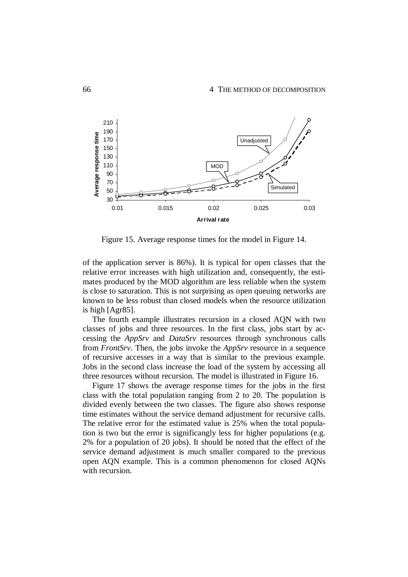#### 66 4 THE METHOD OF DECOMPOSITION



Figure 15. Average response times for the model in Figure 14.

of the application server is 86%). It is typical for open classes that the relative error increases with high utilization and, consequently, the estimates produced by the MOD algorithm are less reliable when the system is close to saturation. This is not surprising as open queuing networks are known to be less robust than closed models when the resource utilization is high [Agr85].

The fourth example illustrates recursion in a closed AQN with two classes of jobs and three resources. In the first class, jobs start by accessing the *AppSrv* and *DataSrv* resources through synchronous calls from *FrontSrv*. Then, the jobs invoke the *AppSrv* resource in a sequence of recursive accesses in a way that is similar to the previous example. Jobs in the second class increase the load of the system by accessing all three resources without recursion. The model is illustrated in Figure 16.

Figure 17 shows the average response times for the jobs in the first class with the total population ranging from 2 to 20. The population is divided evenly between the two classes. The figure also shows response time estimates without the service demand adjustment for recursive calls. The relative error for the estimated value is 25% when the total population is two but the error is significangly less for higher populations (e.g. 2% for a population of 20 jobs). It should be noted that the effect of the service demand adjustment is much smaller compared to the previous open AQN example. This is a common phenomenon for closed AQNs with recursion.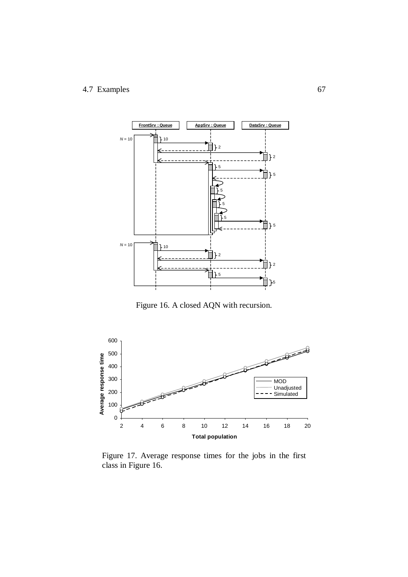

Figure 16. A closed AQN with recursion.



Figure 17. Average response times for the jobs in the first class in Figure 16.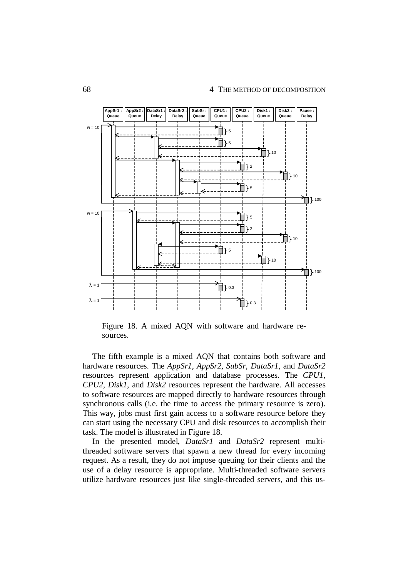

Figure 18. A mixed AQN with software and hardware resources.

The fifth example is a mixed AQN that contains both software and hardware resources. The *AppSr1*, *AppSr2*, *SubSr*, *DataSr1*, and *DataSr2* resources represent application and database processes. The *CPU1*, *CPU2*, *Disk1*, and *Disk2* resources represent the hardware. All accesses to software resources are mapped directly to hardware resources through synchronous calls (i.e. the time to access the primary resource is zero). This way, jobs must first gain access to a software resource before they can start using the necessary CPU and disk resources to accomplish their task. The model is illustrated in Figure 18.

In the presented model, *DataSr1* and *DataSr2* represent multithreaded software servers that spawn a new thread for every incoming request. As a result, they do not impose queuing for their clients and the use of a delay resource is appropriate. Multi-threaded software servers utilize hardware resources just like single-threaded servers, and this us-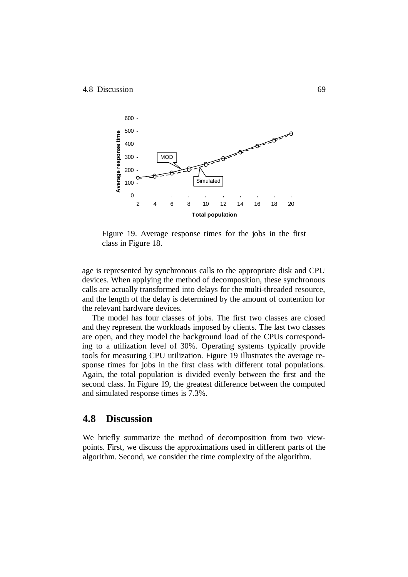

Figure 19. Average response times for the jobs in the first class in Figure 18.

age is represented by synchronous calls to the appropriate disk and CPU devices. When applying the method of decomposition, these synchronous calls are actually transformed into delays for the multi-threaded resource, and the length of the delay is determined by the amount of contention for the relevant hardware devices.

The model has four classes of jobs. The first two classes are closed and they represent the workloads imposed by clients. The last two classes are open, and they model the background load of the CPUs corresponding to a utilization level of 30%. Operating systems typically provide tools for measuring CPU utilization. Figure 19 illustrates the average response times for jobs in the first class with different total populations. Again, the total population is divided evenly between the first and the second class. In Figure 19, the greatest difference between the computed and simulated response times is 7.3%.

# **4.8 Discussion**

We briefly summarize the method of decomposition from two viewpoints. First, we discuss the approximations used in different parts of the algorithm. Second, we consider the time complexity of the algorithm.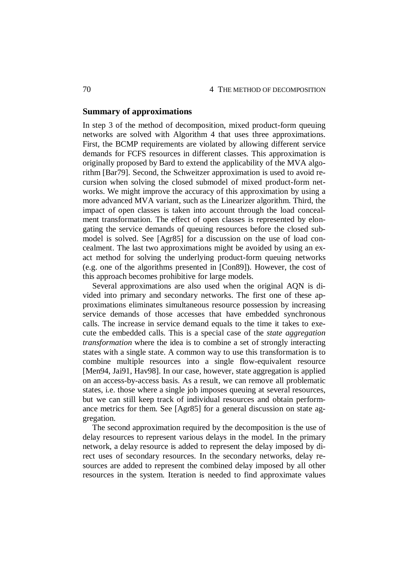#### **Summary of approximations**

In step 3 of the method of decomposition, mixed product-form queuing networks are solved with Algorithm 4 that uses three approximations. First, the BCMP requirements are violated by allowing different service demands for FCFS resources in different classes. This approximation is originally proposed by Bard to extend the applicability of the MVA algorithm [Bar79]. Second, the Schweitzer approximation is used to avoid recursion when solving the closed submodel of mixed product-form networks. We might improve the accuracy of this approximation by using a more advanced MVA variant, such as the Linearizer algorithm. Third, the impact of open classes is taken into account through the load concealment transformation. The effect of open classes is represented by elongating the service demands of queuing resources before the closed submodel is solved. See [Agr85] for a discussion on the use of load concealment. The last two approximations might be avoided by using an exact method for solving the underlying product-form queuing networks (e.g. one of the algorithms presented in [Con89]). However, the cost of this approach becomes prohibitive for large models.

Several approximations are also used when the original AQN is divided into primary and secondary networks. The first one of these approximations eliminates simultaneous resource possession by increasing service demands of those accesses that have embedded synchronous calls. The increase in service demand equals to the time it takes to execute the embedded calls. This is a special case of the *state aggregation transformation* where the idea is to combine a set of strongly interacting states with a single state. A common way to use this transformation is to combine multiple resources into a single flow-equivalent resource [Men94, Jai91, Hav98]. In our case, however, state aggregation is applied on an access-by-access basis. As a result, we can remove all problematic states, i.e. those where a single job imposes queuing at several resources, but we can still keep track of individual resources and obtain performance metrics for them. See [Agr85] for a general discussion on state aggregation.

The second approximation required by the decomposition is the use of delay resources to represent various delays in the model. In the primary network, a delay resource is added to represent the delay imposed by direct uses of secondary resources. In the secondary networks, delay resources are added to represent the combined delay imposed by all other resources in the system. Iteration is needed to find approximate values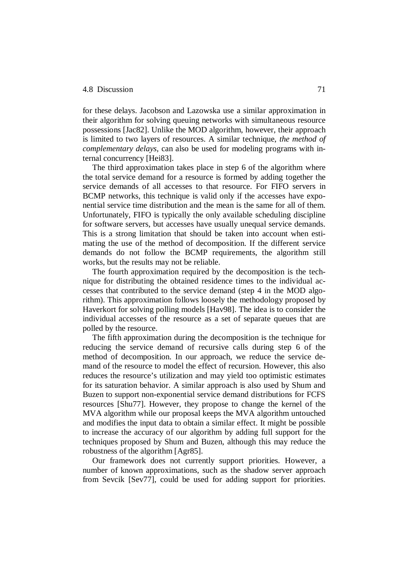#### 4.8 Discussion 71

for these delays. Jacobson and Lazowska use a similar approximation in their algorithm for solving queuing networks with simultaneous resource possessions [Jac82]. Unlike the MOD algorithm, however, their approach is limited to two layers of resources. A similar technique, *the method of complementary delays*, can also be used for modeling programs with internal concurrency [Hei83].

The third approximation takes place in step 6 of the algorithm where the total service demand for a resource is formed by adding together the service demands of all accesses to that resource. For FIFO servers in BCMP networks, this technique is valid only if the accesses have exponential service time distribution and the mean is the same for all of them. Unfortunately, FIFO is typically the only available scheduling discipline for software servers, but accesses have usually unequal service demands. This is a strong limitation that should be taken into account when estimating the use of the method of decomposition. If the different service demands do not follow the BCMP requirements, the algorithm still works, but the results may not be reliable.

The fourth approximation required by the decomposition is the technique for distributing the obtained residence times to the individual accesses that contributed to the service demand (step 4 in the MOD algorithm). This approximation follows loosely the methodology proposed by Haverkort for solving polling models [Hav98]. The idea is to consider the individual accesses of the resource as a set of separate queues that are polled by the resource.

The fifth approximation during the decomposition is the technique for reducing the service demand of recursive calls during step 6 of the method of decomposition. In our approach, we reduce the service demand of the resource to model the effect of recursion. However, this also reduces the resource's utilization and may yield too optimistic estimates for its saturation behavior. A similar approach is also used by Shum and Buzen to support non-exponential service demand distributions for FCFS resources [Shu77]. However, they propose to change the kernel of the MVA algorithm while our proposal keeps the MVA algorithm untouched and modifies the input data to obtain a similar effect. It might be possible to increase the accuracy of our algorithm by adding full support for the techniques proposed by Shum and Buzen, although this may reduce the robustness of the algorithm [Agr85].

Our framework does not currently support priorities. However, a number of known approximations, such as the shadow server approach from Sevcik [Sev77], could be used for adding support for priorities.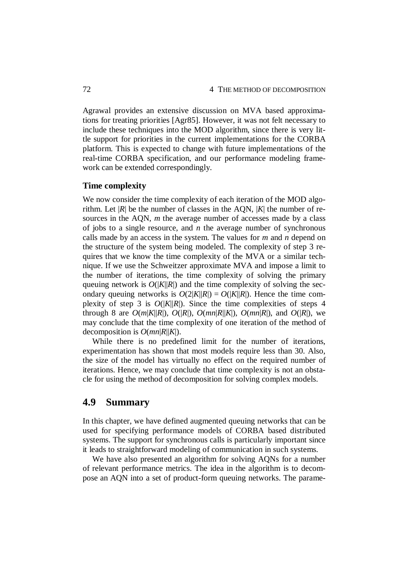Agrawal provides an extensive discussion on MVA based approximations for treating priorities [Agr85]. However, it was not felt necessary to include these techniques into the MOD algorithm, since there is very little support for priorities in the current implementations for the CORBA platform. This is expected to change with future implementations of the real-time CORBA specification, and our performance modeling framework can be extended correspondingly.

## **Time complexity**

We now consider the time complexity of each iteration of the MOD algorithm. Let  $|R|$  be the number of classes in the AQN,  $|K|$  the number of resources in the AQN, *m* the average number of accesses made by a class of jobs to a single resource, and *n* the average number of synchronous calls made by an access in the system. The values for *m* and *n* depend on the structure of the system being modeled. The complexity of step 3 requires that we know the time complexity of the MVA or a similar technique. If we use the Schweitzer approximate MVA and impose a limit to the number of iterations, the time complexity of solving the primary queuing network is  $O(|K||R|)$  and the time complexity of solving the secondary queuing networks is  $O(2|K||R|) = O(|K||R|)$ . Hence the time complexity of step 3 is  $O(|K||R|)$ . Since the time complexities of steps 4 through 8 are  $O(m|K||R|)$ ,  $O(|R|)$ ,  $O(mn|R||K|)$ ,  $O(mn|R|)$ , and  $O(|R|)$ , we may conclude that the time complexity of one iteration of the method of decomposition is *O*(*mn*|*R*||*K*|).

While there is no predefined limit for the number of iterations, experimentation has shown that most models require less than 30. Also, the size of the model has virtually no effect on the required number of iterations. Hence, we may conclude that time complexity is not an obstacle for using the method of decomposition for solving complex models.

## **4.9 Summary**

In this chapter, we have defined augmented queuing networks that can be used for specifying performance models of CORBA based distributed systems. The support for synchronous calls is particularly important since it leads to straightforward modeling of communication in such systems.

We have also presented an algorithm for solving AQNs for a number of relevant performance metrics. The idea in the algorithm is to decompose an AQN into a set of product-form queuing networks. The parame-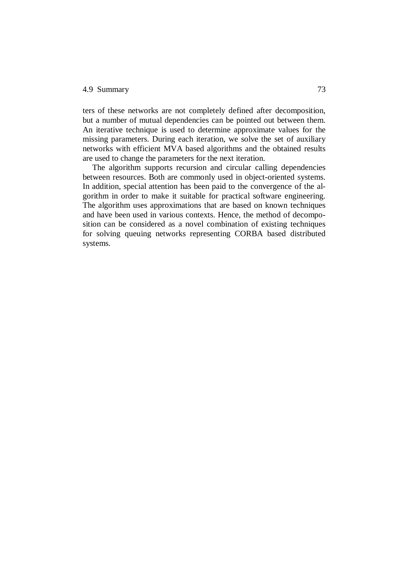## 4.9 Summary 73

ters of these networks are not completely defined after decomposition, but a number of mutual dependencies can be pointed out between them. An iterative technique is used to determine approximate values for the missing parameters. During each iteration, we solve the set of auxiliary networks with efficient MVA based algorithms and the obtained results are used to change the parameters for the next iteration.

The algorithm supports recursion and circular calling dependencies between resources. Both are commonly used in object-oriented systems. In addition, special attention has been paid to the convergence of the algorithm in order to make it suitable for practical software engineering. The algorithm uses approximations that are based on known techniques and have been used in various contexts. Hence, the method of decomposition can be considered as a novel combination of existing techniques for solving queuing networks representing CORBA based distributed systems.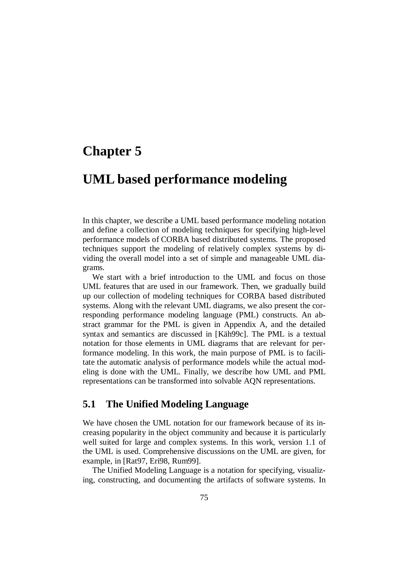# **Chapter 5**

# **UML based performance modeling**

In this chapter, we describe a UML based performance modeling notation and define a collection of modeling techniques for specifying high-level performance models of CORBA based distributed systems. The proposed techniques support the modeling of relatively complex systems by dividing the overall model into a set of simple and manageable UML diagrams.

We start with a brief introduction to the UML and focus on those UML features that are used in our framework. Then, we gradually build up our collection of modeling techniques for CORBA based distributed systems. Along with the relevant UML diagrams, we also present the corresponding performance modeling language (PML) constructs. An abstract grammar for the PML is given in Appendix A, and the detailed syntax and semantics are discussed in [Käh99c]. The PML is a textual notation for those elements in UML diagrams that are relevant for performance modeling. In this work, the main purpose of PML is to facilitate the automatic analysis of performance models while the actual modeling is done with the UML. Finally, we describe how UML and PML representations can be transformed into solvable AQN representations.

# **5.1 The Unified Modeling Language**

We have chosen the UML notation for our framework because of its increasing popularity in the object community and because it is particularly well suited for large and complex systems. In this work, version 1.1 of the UML is used. Comprehensive discussions on the UML are given, for example, in [Rat97, Eri98, Rum99].

The Unified Modeling Language is a notation for specifying, visualizing, constructing, and documenting the artifacts of software systems. In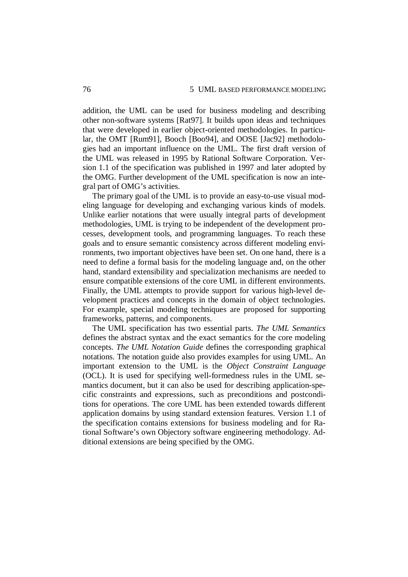addition, the UML can be used for business modeling and describing other non-software systems [Rat97]. It builds upon ideas and techniques that were developed in earlier object-oriented methodologies. In particular, the OMT [Rum91], Booch [Boo94], and OOSE [Jac92] methodologies had an important influence on the UML. The first draft version of the UML was released in 1995 by Rational Software Corporation. Version 1.1 of the specification was published in 1997 and later adopted by the OMG. Further development of the UML specification is now an integral part of OMG's activities.

The primary goal of the UML is to provide an easy-to-use visual modeling language for developing and exchanging various kinds of models. Unlike earlier notations that were usually integral parts of development methodologies, UML is trying to be independent of the development processes, development tools, and programming languages. To reach these goals and to ensure semantic consistency across different modeling environments, two important objectives have been set. On one hand, there is a need to define a formal basis for the modeling language and, on the other hand, standard extensibility and specialization mechanisms are needed to ensure compatible extensions of the core UML in different environments. Finally, the UML attempts to provide support for various high-level development practices and concepts in the domain of object technologies. For example, special modeling techniques are proposed for supporting frameworks, patterns, and components.

The UML specification has two essential parts. *The UML Semantics* defines the abstract syntax and the exact semantics for the core modeling concepts. *The UML Notation Guide* defines the corresponding graphical notations. The notation guide also provides examples for using UML. An important extension to the UML is the *Object Constraint Language* (OCL). It is used for specifying well-formedness rules in the UML semantics document, but it can also be used for describing application-specific constraints and expressions, such as preconditions and postconditions for operations. The core UML has been extended towards different application domains by using standard extension features. Version 1.1 of the specification contains extensions for business modeling and for Rational Software's own Objectory software engineering methodology. Additional extensions are being specified by the OMG.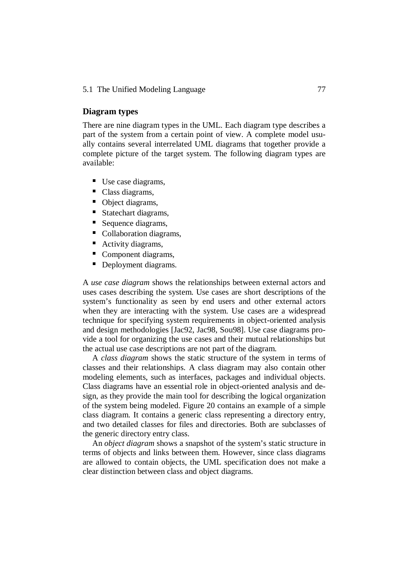## **Diagram types**

There are nine diagram types in the UML. Each diagram type describes a part of the system from a certain point of view. A complete model usually contains several interrelated UML diagrams that together provide a complete picture of the target system. The following diagram types are available:

- Use case diagrams,
- Class diagrams,
- Object diagrams,
- Statechart diagrams,
- **Sequence diagrams,**
- **Collaboration diagrams,**
- **Activity diagrams,**
- Component diagrams,
- **Deployment diagrams.**

A *use case diagram* shows the relationships between external actors and uses cases describing the system. Use cases are short descriptions of the system's functionality as seen by end users and other external actors when they are interacting with the system. Use cases are a widespread technique for specifying system requirements in object-oriented analysis and design methodologies [Jac92, Jac98, Sou98]. Use case diagrams provide a tool for organizing the use cases and their mutual relationships but the actual use case descriptions are not part of the diagram.

A *class diagram* shows the static structure of the system in terms of classes and their relationships. A class diagram may also contain other modeling elements, such as interfaces, packages and individual objects. Class diagrams have an essential role in object-oriented analysis and design, as they provide the main tool for describing the logical organization of the system being modeled. Figure 20 contains an example of a simple class diagram. It contains a generic class representing a directory entry, and two detailed classes for files and directories. Both are subclasses of the generic directory entry class.

An *object diagram* shows a snapshot of the system's static structure in terms of objects and links between them. However, since class diagrams are allowed to contain objects, the UML specification does not make a clear distinction between class and object diagrams.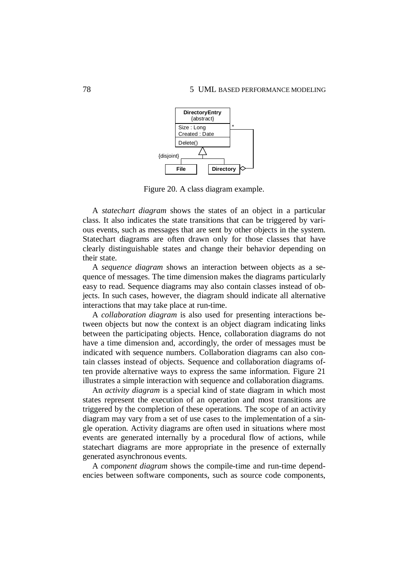

Figure 20. A class diagram example.

A *statechart diagram* shows the states of an object in a particular class. It also indicates the state transitions that can be triggered by various events, such as messages that are sent by other objects in the system. Statechart diagrams are often drawn only for those classes that have clearly distinguishable states and change their behavior depending on their state.

A *sequence diagram* shows an interaction between objects as a sequence of messages. The time dimension makes the diagrams particularly easy to read. Sequence diagrams may also contain classes instead of objects. In such cases, however, the diagram should indicate all alternative interactions that may take place at run-time.

A *collaboration diagram* is also used for presenting interactions between objects but now the context is an object diagram indicating links between the participating objects. Hence, collaboration diagrams do not have a time dimension and, accordingly, the order of messages must be indicated with sequence numbers. Collaboration diagrams can also contain classes instead of objects. Sequence and collaboration diagrams often provide alternative ways to express the same information. Figure 21 illustrates a simple interaction with sequence and collaboration diagrams.

An *activity diagram* is a special kind of state diagram in which most states represent the execution of an operation and most transitions are triggered by the completion of these operations. The scope of an activity diagram may vary from a set of use cases to the implementation of a single operation. Activity diagrams are often used in situations where most events are generated internally by a procedural flow of actions, while statechart diagrams are more appropriate in the presence of externally generated asynchronous events.

A *component diagram* shows the compile-time and run-time dependencies between software components, such as source code components,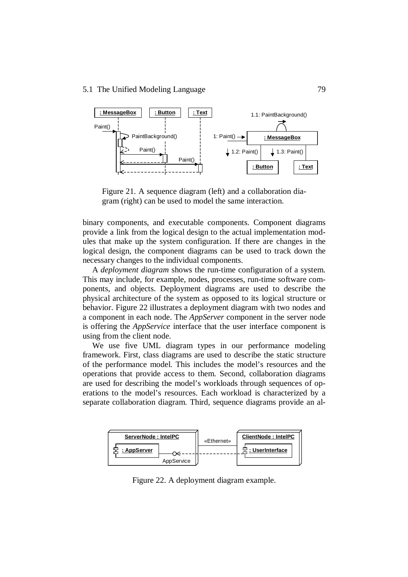

Figure 21. A sequence diagram (left) and a collaboration diagram (right) can be used to model the same interaction.

binary components, and executable components. Component diagrams provide a link from the logical design to the actual implementation modules that make up the system configuration. If there are changes in the logical design, the component diagrams can be used to track down the necessary changes to the individual components.

A *deployment diagram* shows the run-time configuration of a system. This may include, for example, nodes, processes, run-time software components, and objects. Deployment diagrams are used to describe the physical architecture of the system as opposed to its logical structure or behavior. Figure 22 illustrates a deployment diagram with two nodes and a component in each node. The *AppServer* component in the server node is offering the *AppService* interface that the user interface component is using from the client node.

We use five UML diagram types in our performance modeling framework. First, class diagrams are used to describe the static structure of the performance model. This includes the model's resources and the operations that provide access to them. Second, collaboration diagrams are used for describing the model's workloads through sequences of operations to the model's resources. Each workload is characterized by a separate collaboration diagram. Third, sequence diagrams provide an al-



Figure 22. A deployment diagram example.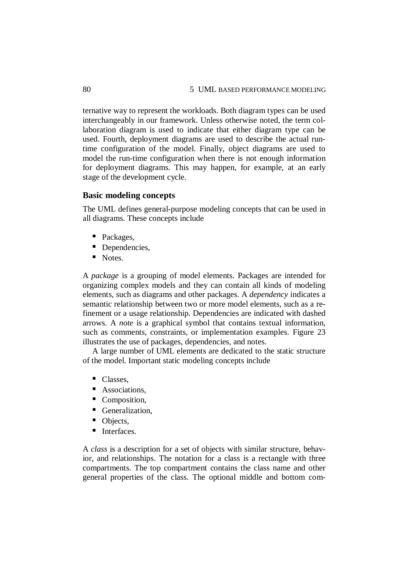ternative way to represent the workloads. Both diagram types can be used interchangeably in our framework. Unless otherwise noted, the term collaboration diagram is used to indicate that either diagram type can be used. Fourth, deployment diagrams are used to describe the actual runtime configuration of the model. Finally, object diagrams are used to model the run-time configuration when there is not enough information for deployment diagrams. This may happen, for example, at an early stage of the development cycle.

### **Basic modeling concepts**

The UML defines general-purpose modeling concepts that can be used in all diagrams. These concepts include

- Packages,
- **Dependencies,**
- lacktriangleright Notes.

A *package* is a grouping of model elements. Packages are intended for organizing complex models and they can contain all kinds of modeling elements, such as diagrams and other packages. A *dependency* indicates a semantic relationship between two or more model elements, such as a refinement or a usage relationship. Dependencies are indicated with dashed arrows. A *note* is a graphical symbol that contains textual information, such as comments, constraints, or implementation examples. Figure 23 illustrates the use of packages, dependencies, and notes.

A large number of UML elements are dedicated to the static structure of the model. Important static modeling concepts include

- Classes,
- **Associations,**
- Composition,
- Generalization,
- **Objects**,
- **Interfaces.**

A *class* is a description for a set of objects with similar structure, behavior, and relationships. The notation for a class is a rectangle with three compartments. The top compartment contains the class name and other general properties of the class. The optional middle and bottom com-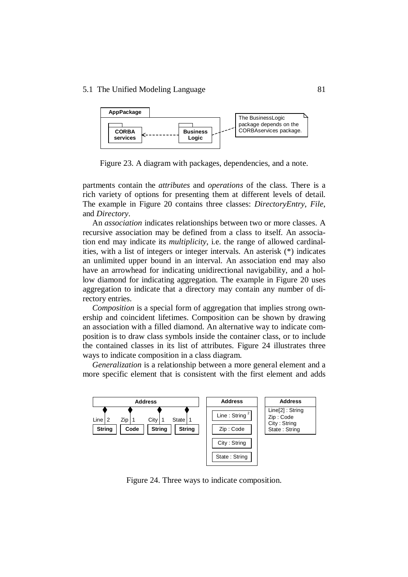#### 5.1 The Unified Modeling Language 81



Figure 23. A diagram with packages, dependencies, and a note.

partments contain the *attributes* and *operations* of the class. There is a rich variety of options for presenting them at different levels of detail. The example in Figure 20 contains three classes: *DirectoryEntry*, *File*, and *Directory*.

An *association* indicates relationships between two or more classes. A recursive association may be defined from a class to itself. An association end may indicate its *multiplicity*, i.e. the range of allowed cardinalities, with a list of integers or integer intervals. An asterisk (\*) indicates an unlimited upper bound in an interval. An association end may also have an arrowhead for indicating unidirectional navigability, and a hollow diamond for indicating aggregation. The example in Figure 20 uses aggregation to indicate that a directory may contain any number of directory entries.

*Composition* is a special form of aggregation that implies strong ownership and coincident lifetimes. Composition can be shown by drawing an association with a filled diamond. An alternative way to indicate composition is to draw class symbols inside the container class, or to include the contained classes in its list of attributes. Figure 24 illustrates three ways to indicate composition in a class diagram.

*Generalization* is a relationship between a more general element and a more specific element that is consistent with the first element and adds



Figure 24. Three ways to indicate composition.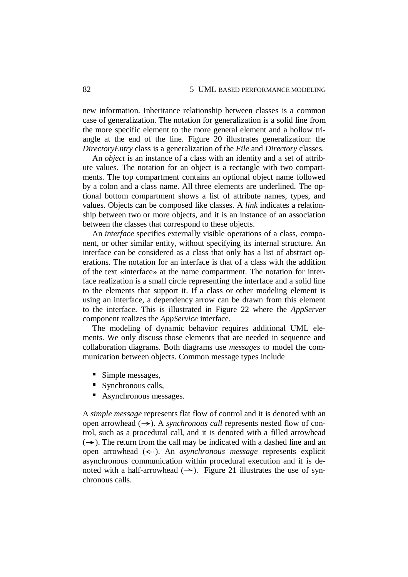new information. Inheritance relationship between classes is a common case of generalization. The notation for generalization is a solid line from the more specific element to the more general element and a hollow triangle at the end of the line. Figure 20 illustrates generalization: the *DirectoryEntry* class is a generalization of the *File* and *Directory* classes.

An *object* is an instance of a class with an identity and a set of attribute values. The notation for an object is a rectangle with two compartments. The top compartment contains an optional object name followed by a colon and a class name. All three elements are underlined. The optional bottom compartment shows a list of attribute names, types, and values. Objects can be composed like classes. A *link* indicates a relationship between two or more objects, and it is an instance of an association between the classes that correspond to these objects.

An *interface* specifies externally visible operations of a class, component, or other similar entity, without specifying its internal structure. An interface can be considered as a class that only has a list of abstract operations. The notation for an interface is that of a class with the addition of the text «interface» at the name compartment. The notation for interface realization is a small circle representing the interface and a solid line to the elements that support it. If a class or other modeling element is using an interface, a dependency arrow can be drawn from this element to the interface. This is illustrated in Figure 22 where the *AppServer* component realizes the *AppService* interface.

The modeling of dynamic behavior requires additional UML elements. We only discuss those elements that are needed in sequence and collaboration diagrams. Both diagrams use *messages* to model the communication between objects. Common message types include

- Simple messages,
- Synchronous calls,
- **Asynchronous messages.**

A *simple message* represents flat flow of control and it is denoted with an open arrowhead  $(\rightarrow)$ . A *synchronous call* represents nested flow of control, such as a procedural call, and it is denoted with a filled arrowhead  $(\rightarrow)$ . The return from the call may be indicated with a dashed line and an open arrowhead ( ). An *asynchronous message* represents explicit asynchronous communication within procedural execution and it is denoted with a half-arrowhead  $(\rightarrow)$ . Figure 21 illustrates the use of synchronous calls.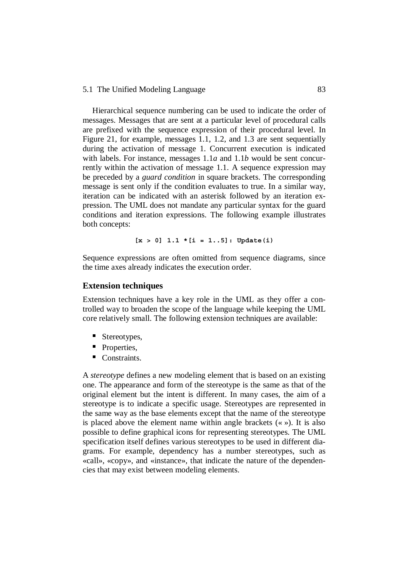Hierarchical sequence numbering can be used to indicate the order of messages. Messages that are sent at a particular level of procedural calls are prefixed with the sequence expression of their procedural level. In Figure 21, for example, messages 1.1, 1.2, and 1.3 are sent sequentially during the activation of message 1. Concurrent execution is indicated with labels. For instance, messages 1.1*a* and 1.1*b* would be sent concurrently within the activation of message 1.1. A sequence expression may be preceded by a *guard condition* in square brackets. The corresponding message is sent only if the condition evaluates to true. In a similar way, iteration can be indicated with an asterisk followed by an iteration expression. The UML does not mandate any particular syntax for the guard conditions and iteration expressions. The following example illustrates both concepts:

```
[x > 0] 1.1 *[i = 1..5]: Update(i)
```
Sequence expressions are often omitted from sequence diagrams, since the time axes already indicates the execution order.

## **Extension techniques**

Extension techniques have a key role in the UML as they offer a controlled way to broaden the scope of the language while keeping the UML core relatively small. The following extension techniques are available:

- **Stereotypes,**
- **Properties,**
- Constraints.

A *stereotype* defines a new modeling element that is based on an existing one. The appearance and form of the stereotype is the same as that of the original element but the intent is different. In many cases, the aim of a stereotype is to indicate a specific usage. Stereotypes are represented in the same way as the base elements except that the name of the stereotype is placed above the element name within angle brackets  $(\alpha, \alpha)$ . It is also possible to define graphical icons for representing stereotypes. The UML specification itself defines various stereotypes to be used in different diagrams. For example, dependency has a number stereotypes, such as «call», «copy», and «instance», that indicate the nature of the dependencies that may exist between modeling elements.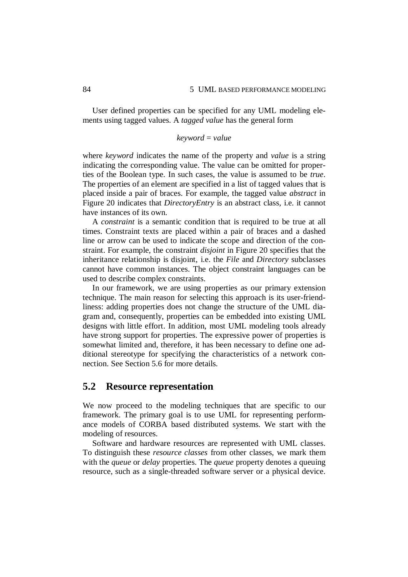User defined properties can be specified for any UML modeling elements using tagged values. A *tagged value* has the general form

#### *keyword* = *value*

where *keyword* indicates the name of the property and *value* is a string indicating the corresponding value. The value can be omitted for properties of the Boolean type. In such cases, the value is assumed to be *true*. The properties of an element are specified in a list of tagged values that is placed inside a pair of braces. For example, the tagged value *abstract* in Figure 20 indicates that *DirectoryEntry* is an abstract class, i.e. it cannot have instances of its own.

A *constraint* is a semantic condition that is required to be true at all times. Constraint texts are placed within a pair of braces and a dashed line or arrow can be used to indicate the scope and direction of the constraint. For example, the constraint *disjoint* in Figure 20 specifies that the inheritance relationship is disjoint, i.e. the *File* and *Directory* subclasses cannot have common instances. The object constraint languages can be used to describe complex constraints.

In our framework, we are using properties as our primary extension technique. The main reason for selecting this approach is its user-friendliness: adding properties does not change the structure of the UML diagram and, consequently, properties can be embedded into existing UML designs with little effort. In addition, most UML modeling tools already have strong support for properties. The expressive power of properties is somewhat limited and, therefore, it has been necessary to define one additional stereotype for specifying the characteristics of a network connection. See Section 5.6 for more details.

## **5.2 Resource representation**

We now proceed to the modeling techniques that are specific to our framework. The primary goal is to use UML for representing performance models of CORBA based distributed systems. We start with the modeling of resources.

Software and hardware resources are represented with UML classes. To distinguish these *resource classes* from other classes, we mark them with the *queue* or *delay* properties. The *queue* property denotes a queuing resource, such as a single-threaded software server or a physical device.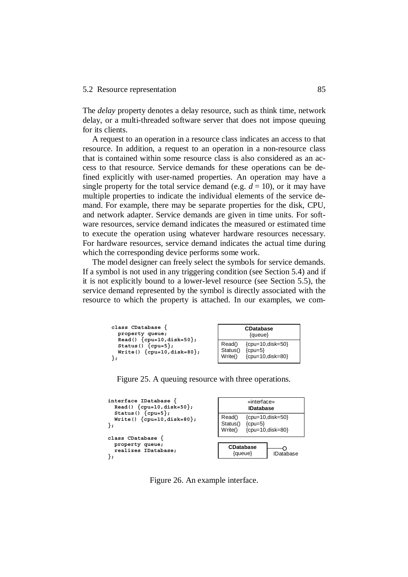The *delay* property denotes a delay resource, such as think time, network delay, or a multi-threaded software server that does not impose queuing for its clients.

A request to an operation in a resource class indicates an access to that resource. In addition, a request to an operation in a non-resource class that is contained within some resource class is also considered as an access to that resource. Service demands for these operations can be defined explicitly with user-named properties. An operation may have a single property for the total service demand (e.g.  $d = 10$ ), or it may have multiple properties to indicate the individual elements of the service demand. For example, there may be separate properties for the disk, CPU, and network adapter. Service demands are given in time units. For software resources, service demand indicates the measured or estimated time to execute the operation using whatever hardware resources necessary. For hardware resources, service demand indicates the actual time during which the corresponding device performs some work.

The model designer can freely select the symbols for service demands. If a symbol is not used in any triggering condition (see Section 5.4) and if it is not explicitly bound to a lower-level resource (see Section 5.5), the service demand represented by the symbol is directly associated with the resource to which the property is attached. In our examples, we com-

| class CDatabase {<br>property queue;<br>Read() ${cpu=10,disk=50};$<br>Status() $\{cpu=5\}$ ;<br>Write() $\{cpu=10, disk=80\};$ | <b>CDatabase</b><br>${queue}$           |                                            |
|--------------------------------------------------------------------------------------------------------------------------------|-----------------------------------------|--------------------------------------------|
|                                                                                                                                | Read()<br>$Status()$ {cpu=5}<br>Write() | ${cpu=10, disk=50}$<br>${cpu=10, disk=80}$ |

Figure 25. A queuing resource with three operations.

| interface IDatabase {<br>Read() $\{cpu=10, disk=50\};$<br>Status() $\{cpu=5\};$ | «interface»<br><b>IDatabase</b>                                                         |  |
|---------------------------------------------------------------------------------|-----------------------------------------------------------------------------------------|--|
| Write() $\{cpu=10, disk=80\};$<br>};                                            | Read()<br>${cpu=10, disk=50}$<br>Status()<br>${cpu=5}$<br>Write() ${[cpu=10, disk=80]}$ |  |
| class CDatabase $\{$                                                            |                                                                                         |  |
| property queue;<br>realizes IDatabase;                                          | CDatabase<br><b>IDatabase</b><br>${queue}$                                              |  |

Figure 26. An example interface.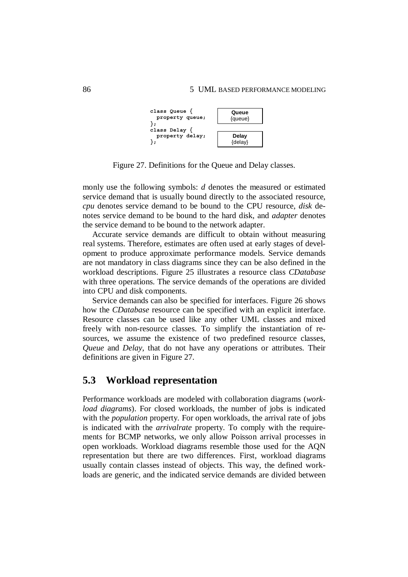

Figure 27. Definitions for the Queue and Delay classes.

monly use the following symbols: *d* denotes the measured or estimated service demand that is usually bound directly to the associated resource, *cpu* denotes service demand to be bound to the CPU resource, *disk* denotes service demand to be bound to the hard disk, and *adapter* denotes the service demand to be bound to the network adapter.

Accurate service demands are difficult to obtain without measuring real systems. Therefore, estimates are often used at early stages of development to produce approximate performance models. Service demands are not mandatory in class diagrams since they can be also defined in the workload descriptions. Figure 25 illustrates a resource class *CDatabase* with three operations. The service demands of the operations are divided into CPU and disk components.

Service demands can also be specified for interfaces. Figure 26 shows how the *CDatabase* resource can be specified with an explicit interface. Resource classes can be used like any other UML classes and mixed freely with non-resource classes. To simplify the instantiation of resources, we assume the existence of two predefined resource classes, *Queue* and *Delay*, that do not have any operations or attributes. Their definitions are given in Figure 27.

## **5.3 Workload representation**

Performance workloads are modeled with collaboration diagrams (*workload diagrams*). For closed workloads, the number of jobs is indicated with the *population* property. For open workloads, the arrival rate of jobs is indicated with the *arrivalrate* property. To comply with the requirements for BCMP networks, we only allow Poisson arrival processes in open workloads. Workload diagrams resemble those used for the AQN representation but there are two differences. First, workload diagrams usually contain classes instead of objects. This way, the defined workloads are generic, and the indicated service demands are divided between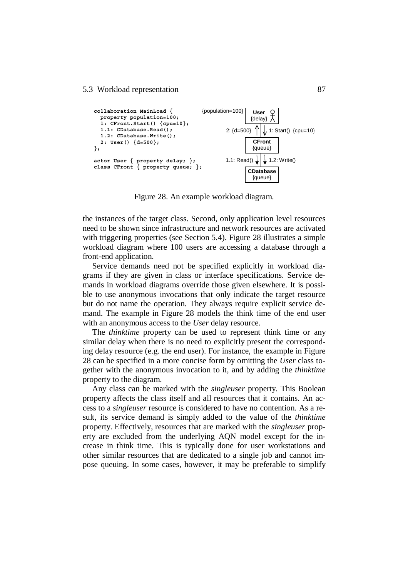#### 5.3 Workload representation 87



Figure 28. An example workload diagram.

the instances of the target class. Second, only application level resources need to be shown since infrastructure and network resources are activated with triggering properties (see Section 5.4). Figure 28 illustrates a simple workload diagram where 100 users are accessing a database through a front-end application.

Service demands need not be specified explicitly in workload diagrams if they are given in class or interface specifications. Service demands in workload diagrams override those given elsewhere. It is possible to use anonymous invocations that only indicate the target resource but do not name the operation. They always require explicit service demand. The example in Figure 28 models the think time of the end user with an anonymous access to the *User* delay resource.

The *thinktime* property can be used to represent think time or any similar delay when there is no need to explicitly present the corresponding delay resource (e.g. the end user). For instance, the example in Figure 28 can be specified in a more concise form by omitting the *User* class together with the anonymous invocation to it, and by adding the *thinktime* property to the diagram.

Any class can be marked with the *singleuser* property. This Boolean property affects the class itself and all resources that it contains. An access to a *singleuser* resource is considered to have no contention. As a result, its service demand is simply added to the value of the *thinktime* property. Effectively, resources that are marked with the *singleuser* property are excluded from the underlying AQN model except for the increase in think time. This is typically done for user workstations and other similar resources that are dedicated to a single job and cannot impose queuing. In some cases, however, it may be preferable to simplify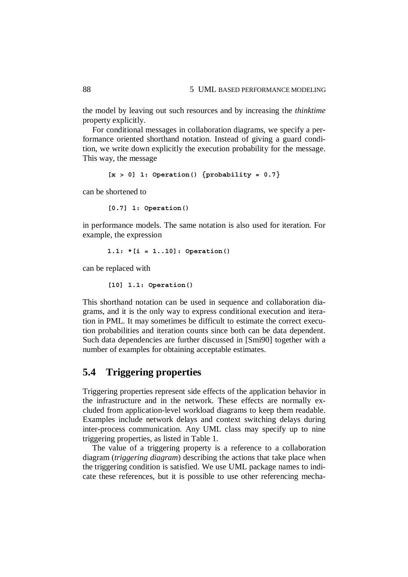the model by leaving out such resources and by increasing the *thinktime* property explicitly.

For conditional messages in collaboration diagrams, we specify a performance oriented shorthand notation. Instead of giving a guard condition, we write down explicitly the execution probability for the message. This way, the message

```
[x > 0] 1: Operation() \{probability = 0.7\}
```
can be shortened to

**[0.7] 1: Operation()**

in performance models. The same notation is also used for iteration. For example, the expression

```
1.1: *[i = 1..10]: Operation()
```
can be replaced with

```
[10] 1.1: Operation()
```
This shorthand notation can be used in sequence and collaboration diagrams, and it is the only way to express conditional execution and iteration in PML. It may sometimes be difficult to estimate the correct execution probabilities and iteration counts since both can be data dependent. Such data dependencies are further discussed in [Smi90] together with a number of examples for obtaining acceptable estimates.

## **5.4 Triggering properties**

Triggering properties represent side effects of the application behavior in the infrastructure and in the network. These effects are normally excluded from application-level workload diagrams to keep them readable. Examples include network delays and context switching delays during inter-process communication. Any UML class may specify up to nine triggering properties, as listed in Table 1.

The value of a triggering property is a reference to a collaboration diagram (*triggering diagram*) describing the actions that take place when the triggering condition is satisfied. We use UML package names to indicate these references, but it is possible to use other referencing mecha-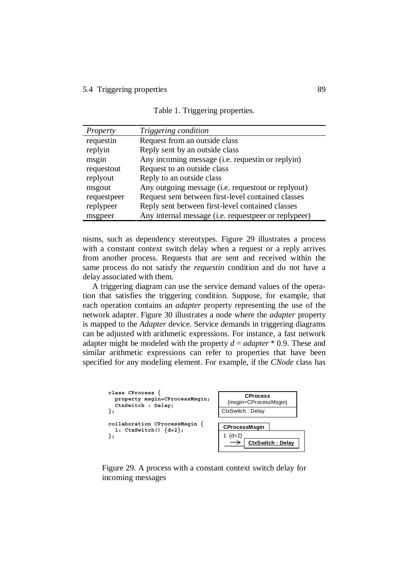## 5.4 Triggering properties 89

Table 1. Triggering properties.

| Property    | Triggering condition                                 |
|-------------|------------------------------------------------------|
| requestin   | Request from an outside class                        |
| replyin     | Reply sent by an outside class                       |
| msgin       | Any incoming message (i.e. requestin or replyin)     |
| requestout  | Request to an outside class                          |
| replyout    | Reply to an outside class                            |
| msgout      | Any outgoing message (i.e. requestout or replyout)   |
| requestpeer | Request sent between first-level contained classes   |
| replypeer   | Reply sent between first-level contained classes     |
| msgpeer     | Any internal message (i.e. requestpeer or replypeer) |

nisms, such as dependency stereotypes. Figure 29 illustrates a process with a constant context switch delay when a request or a reply arrives from another process. Requests that are sent and received within the same process do not satisfy the *requestin* condition and do not have a delay associated with them.

A triggering diagram can use the service demand values of the operation that satisfies the triggering condition. Suppose, for example, that each operation contains an *adapter* property representing the use of the network adapter. Figure 30 illustrates a node where the *adapter* property is mapped to the *Adapter* device. Service demands in triggering diagrams can be adjusted with arithmetic expressions. For instance, a fast network adapter might be modeled with the property  $d = adapter * 0.9$ . These and similar arithmetic expressions can refer to properties that have been specified for any modeling element. For example, if the *CNode* class has

| class CProcess<br>property msgin=CProcessMsgin;<br>CtxSwitch : Delay; | <b>CProcess</b><br>{msgin=CProcessMsgin} |  |
|-----------------------------------------------------------------------|------------------------------------------|--|
| collaboration CProcessMsgin {<br>1: $CtxSwitch() \{d=2\};$            | CtxSwitch: Delay<br><b>CProcessMsgin</b> |  |
|                                                                       | 1: $\{d=2\}$<br><b>CtxSwitch: Delay</b>  |  |

Figure 29. A process with a constant context switch delay for incoming messages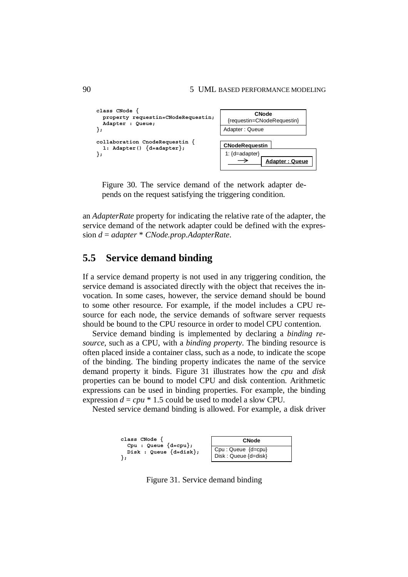

Figure 30. The service demand of the network adapter depends on the request satisfying the triggering condition.

an *AdapterRate* property for indicating the relative rate of the adapter, the service demand of the network adapter could be defined with the expression *d* = *adapter* \* *CNode.prop.AdapterRate*.

# **5.5 Service demand binding**

If a service demand property is not used in any triggering condition, the service demand is associated directly with the object that receives the invocation. In some cases, however, the service demand should be bound to some other resource. For example, if the model includes a CPU resource for each node, the service demands of software server requests should be bound to the CPU resource in order to model CPU contention.

Service demand binding is implemented by declaring a *binding resource,* such as a CPU, with a *binding property*. The binding resource is often placed inside a container class, such as a node, to indicate the scope of the binding. The binding property indicates the name of the service demand property it binds. Figure 31 illustrates how the *cpu* and *disk* properties can be bound to model CPU and disk contention. Arithmetic expressions can be used in binding properties. For example, the binding expression  $d = cpu * 1.5$  could be used to model a slow CPU.

Nested service demand binding is allowed. For example, a disk driver

| class $CNode \{$<br>$Cpu : Queue {d = cpu};$ | <b>CNode</b>                                 |
|----------------------------------------------|----------------------------------------------|
| Disk : Queue $\{d=disk\};$                   | Cpu : Queue {d=cpu}<br>Disk : Queue {d=disk} |

Figure 31. Service demand binding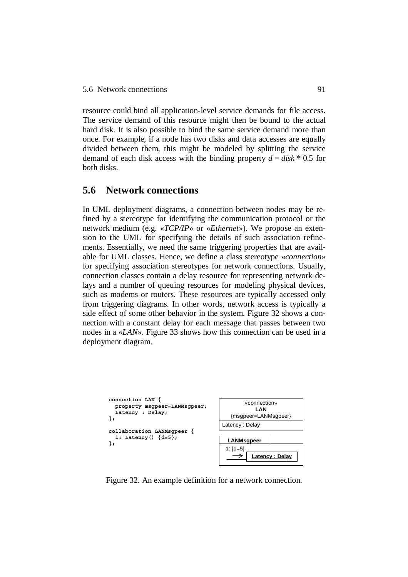resource could bind all application-level service demands for file access. The service demand of this resource might then be bound to the actual hard disk. It is also possible to bind the same service demand more than once. For example, if a node has two disks and data accesses are equally divided between them, this might be modeled by splitting the service demand of each disk access with the binding property  $d = disk * 0.5$  for both disks.

## **5.6 Network connections**

In UML deployment diagrams, a connection between nodes may be refined by a stereotype for identifying the communication protocol or the network medium (e.g. «*TCP/IP*» or «*Ethernet*»). We propose an extension to the UML for specifying the details of such association refinements. Essentially, we need the same triggering properties that are available for UML classes. Hence, we define a class stereotype «*connection*» for specifying association stereotypes for network connections. Usually, connection classes contain a delay resource for representing network delays and a number of queuing resources for modeling physical devices, such as modems or routers. These resources are typically accessed only from triggering diagrams. In other words, network access is typically a side effect of some other behavior in the system. Figure 32 shows a connection with a constant delay for each message that passes between two nodes in a «*LAN*». Figure 33 shows how this connection can be used in a deployment diagram.



Figure 32. An example definition for a network connection.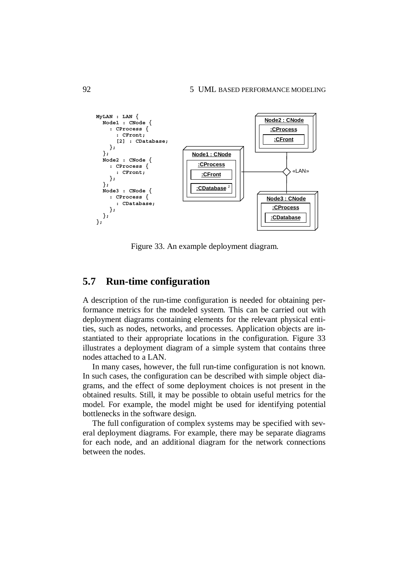

Figure 33. An example deployment diagram.

# **5.7 Run-time configuration**

A description of the run-time configuration is needed for obtaining performance metrics for the modeled system. This can be carried out with deployment diagrams containing elements for the relevant physical entities, such as nodes, networks, and processes. Application objects are instantiated to their appropriate locations in the configuration. Figure 33 illustrates a deployment diagram of a simple system that contains three nodes attached to a LAN.

In many cases, however, the full run-time configuration is not known. In such cases, the configuration can be described with simple object diagrams, and the effect of some deployment choices is not present in the obtained results. Still, it may be possible to obtain useful metrics for the model. For example, the model might be used for identifying potential bottlenecks in the software design.

The full configuration of complex systems may be specified with several deployment diagrams. For example, there may be separate diagrams for each node, and an additional diagram for the network connections between the nodes.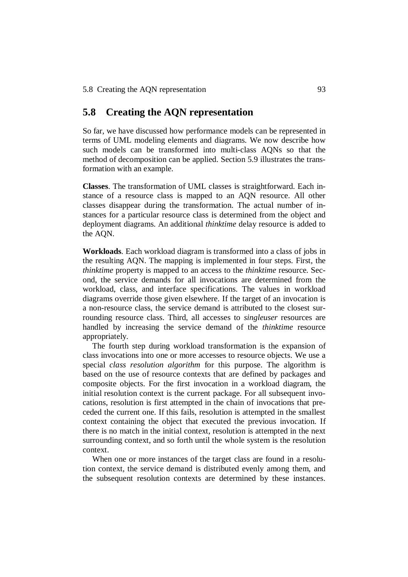## **5.8 Creating the AQN representation**

So far, we have discussed how performance models can be represented in terms of UML modeling elements and diagrams. We now describe how such models can be transformed into multi-class AQNs so that the method of decomposition can be applied. Section 5.9 illustrates the transformation with an example.

**Classes**. The transformation of UML classes is straightforward. Each instance of a resource class is mapped to an AQN resource. All other classes disappear during the transformation. The actual number of instances for a particular resource class is determined from the object and deployment diagrams. An additional *thinktime* delay resource is added to the AQN.

**Workloads**. Each workload diagram is transformed into a class of jobs in the resulting AQN. The mapping is implemented in four steps. First, the *thinktime* property is mapped to an access to the *thinktime* resource. Second, the service demands for all invocations are determined from the workload, class, and interface specifications. The values in workload diagrams override those given elsewhere. If the target of an invocation is a non-resource class, the service demand is attributed to the closest surrounding resource class. Third, all accesses to *singleuser* resources are handled by increasing the service demand of the *thinktime* resource appropriately.

The fourth step during workload transformation is the expansion of class invocations into one or more accesses to resource objects. We use a special *class resolution algorithm* for this purpose. The algorithm is based on the use of resource contexts that are defined by packages and composite objects. For the first invocation in a workload diagram, the initial resolution context is the current package. For all subsequent invocations, resolution is first attempted in the chain of invocations that preceded the current one. If this fails, resolution is attempted in the smallest context containing the object that executed the previous invocation. If there is no match in the initial context, resolution is attempted in the next surrounding context, and so forth until the whole system is the resolution context.

When one or more instances of the target class are found in a resolution context, the service demand is distributed evenly among them, and the subsequent resolution contexts are determined by these instances.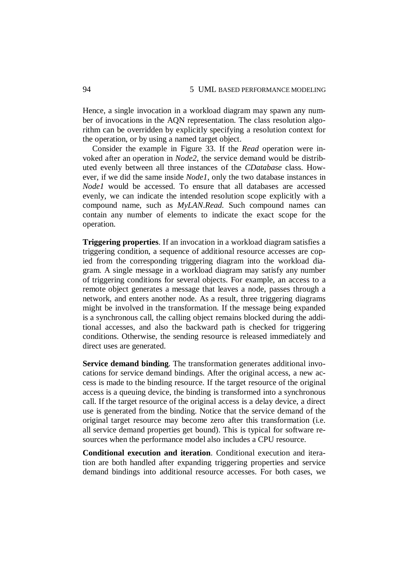Hence, a single invocation in a workload diagram may spawn any number of invocations in the AQN representation. The class resolution algorithm can be overridden by explicitly specifying a resolution context for the operation, or by using a named target object.

Consider the example in Figure 33. If the *Read* operation were invoked after an operation in *Node2*, the service demand would be distributed evenly between all three instances of the *CDatabase* class. However, if we did the same inside *Node1*, only the two database instances in *Node1* would be accessed. To ensure that all databases are accessed evenly, we can indicate the intended resolution scope explicitly with a compound name, such as *MyLAN*.*Read*. Such compound names can contain any number of elements to indicate the exact scope for the operation.

**Triggering properties**. If an invocation in a workload diagram satisfies a triggering condition, a sequence of additional resource accesses are copied from the corresponding triggering diagram into the workload diagram. A single message in a workload diagram may satisfy any number of triggering conditions for several objects. For example, an access to a remote object generates a message that leaves a node, passes through a network, and enters another node. As a result, three triggering diagrams might be involved in the transformation. If the message being expanded is a synchronous call, the calling object remains blocked during the additional accesses, and also the backward path is checked for triggering conditions. Otherwise, the sending resource is released immediately and direct uses are generated.

**Service demand binding**. The transformation generates additional invocations for service demand bindings. After the original access, a new access is made to the binding resource. If the target resource of the original access is a queuing device, the binding is transformed into a synchronous call. If the target resource of the original access is a delay device, a direct use is generated from the binding. Notice that the service demand of the original target resource may become zero after this transformation (i.e. all service demand properties get bound). This is typical for software resources when the performance model also includes a CPU resource.

**Conditional execution and iteration**. Conditional execution and iteration are both handled after expanding triggering properties and service demand bindings into additional resource accesses. For both cases, we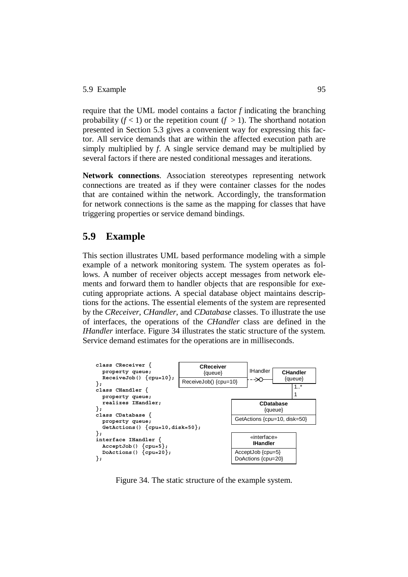### 5.9 Example 95

require that the UML model contains a factor *f* indicating the branching probability  $(f < 1)$  or the repetition count  $(f > 1)$ . The shorthand notation presented in Section 5.3 gives a convenient way for expressing this factor. All service demands that are within the affected execution path are simply multiplied by *f*. A single service demand may be multiplied by several factors if there are nested conditional messages and iterations.

**Network connections**. Association stereotypes representing network connections are treated as if they were container classes for the nodes that are contained within the network. Accordingly, the transformation for network connections is the same as the mapping for classes that have triggering properties or service demand bindings.

# **5.9 Example**

This section illustrates UML based performance modeling with a simple example of a network monitoring system. The system operates as follows. A number of receiver objects accept messages from network elements and forward them to handler objects that are responsible for executing appropriate actions. A special database object maintains descriptions for the actions. The essential elements of the system are represented by the *CReceiver*, *CHandler*, and *CDatabase* classes. To illustrate the use of interfaces, the operations of the *CHandler* class are defined in the *IHandler* interface. Figure 34 illustrates the static structure of the system. Service demand estimates for the operations are in milliseconds.



Figure 34. The static structure of the example system.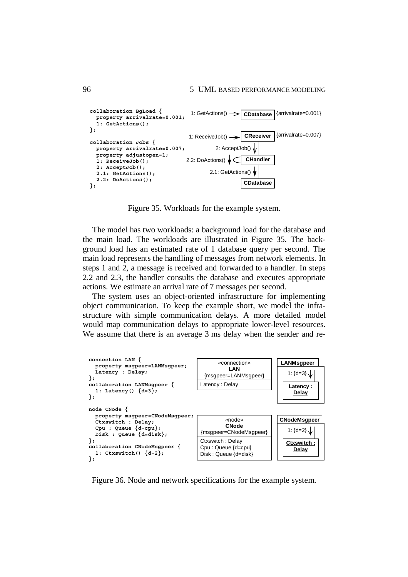

Figure 35. Workloads for the example system.

The model has two workloads: a background load for the database and the main load. The workloads are illustrated in Figure 35. The background load has an estimated rate of 1 database query per second. The main load represents the handling of messages from network elements. In steps 1 and 2, a message is received and forwarded to a handler. In steps 2.2 and 2.3, the handler consults the database and executes appropriate actions. We estimate an arrival rate of 7 messages per second.

The system uses an object-oriented infrastructure for implementing object communication. To keep the example short, we model the infrastructure with simple communication delays. A more detailed model would map communication delays to appropriate lower-level resources. We assume that there is an average 3 ms delay when the sender and re-



Figure 36. Node and network specifications for the example system.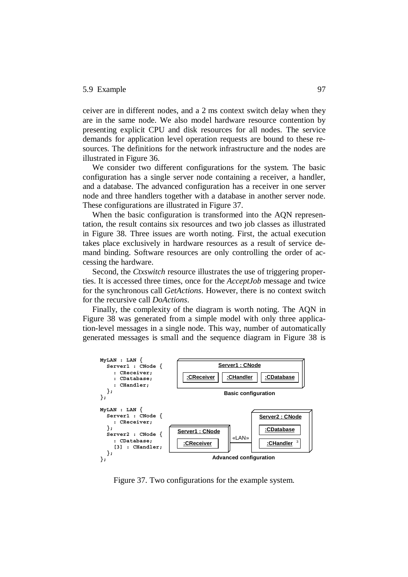### 5.9 Example 97

ceiver are in different nodes, and a 2 ms context switch delay when they are in the same node. We also model hardware resource contention by presenting explicit CPU and disk resources for all nodes. The service demands for application level operation requests are bound to these resources. The definitions for the network infrastructure and the nodes are illustrated in Figure 36.

We consider two different configurations for the system. The basic configuration has a single server node containing a receiver, a handler, and a database. The advanced configuration has a receiver in one server node and three handlers together with a database in another server node. These configurations are illustrated in Figure 37.

When the basic configuration is transformed into the AON representation, the result contains six resources and two job classes as illustrated in Figure 38. Three issues are worth noting. First, the actual execution takes place exclusively in hardware resources as a result of service demand binding. Software resources are only controlling the order of accessing the hardware.

Second, the *Ctxswitch* resource illustrates the use of triggering properties. It is accessed three times, once for the *AcceptJob* message and twice for the synchronous call *GetActions*. However, there is no context switch for the recursive call *DoActions*.

Finally, the complexity of the diagram is worth noting. The AQN in Figure 38 was generated from a simple model with only three application-level messages in a single node. This way, number of automatically generated messages is small and the sequence diagram in Figure 38 is



Figure 37. Two configurations for the example system.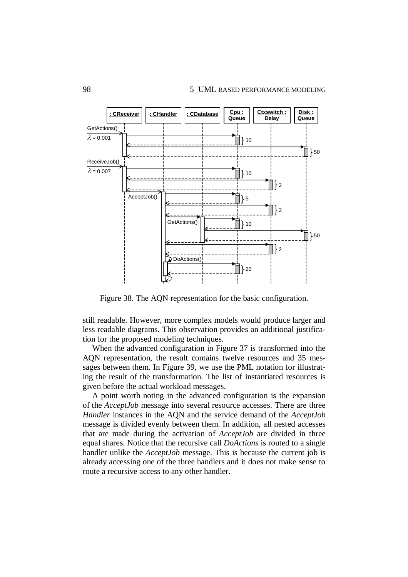

Figure 38. The AQN representation for the basic configuration.

still readable. However, more complex models would produce larger and less readable diagrams. This observation provides an additional justification for the proposed modeling techniques.

When the advanced configuration in Figure 37 is transformed into the AQN representation, the result contains twelve resources and 35 messages between them. In Figure 39, we use the PML notation for illustrating the result of the transformation. The list of instantiated resources is given before the actual workload messages.

A point worth noting in the advanced configuration is the expansion of the *AcceptJob* message into several resource accesses. There are three *Handler* instances in the AQN and the service demand of the *AcceptJob* message is divided evenly between them. In addition, all nested accesses that are made during the activation of *AcceptJob* are divided in three equal shares. Notice that the recursive call *DoActions* is routed to a single handler unlike the *AcceptJob* message. This is because the current job is already accessing one of the three handlers and it does not make sense to route a recursive access to any other handler.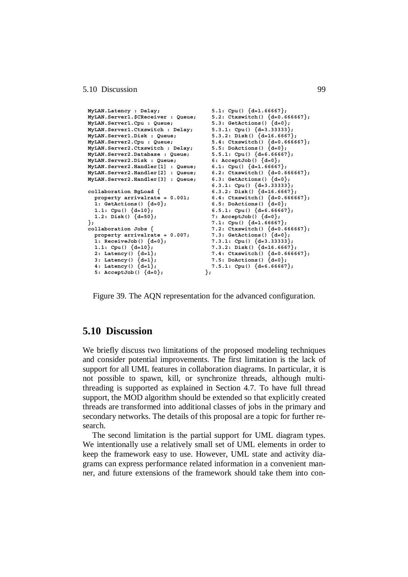### 5.10 Discussion 99

```
MyLAN.Latency : Delay;
MyLAN.Server1.$CReceiver : Queue;
MyLAN.Server1.Cpu : Queue;
MyLAN.Server1.Ctxswitch : Delay;
MyLAN.Server1.Disk : Queue;
MyLAN.Server2.Cpu : Queue;
MyLAN.Server2.Ctxswitch : Delay;
MyLAN.Server2.Database : Queue;
MyLAN.Server2.Disk : Queue;
MyLAN.Server2.Handler[1] : Queue;
MyLAN.Server2.Handler[2] : Queue;
MyLAN.Server2.Handler[3] : Queue;
collaboration BgLoad {
  property arrivalrate = 0.001;
   1: GetActions() {d=0};
   1.1: Cpu() {d=10};
   1.2: Disk() {d=50};
};
collaboration Jobs {
 property arrivalrate = 0.007;
 1: ReceiveJob() {d=0};
 1.1: Cpu() {d=10};
   2: Latency() {d=1};
   3: Latency() {d=1};
   4: Latency() {d=1};
 5: AcceptJob() {d=0};
};
                                     5.1: Cpu() {d=1.66667};
                                     5.2: Ctxswitch() {d=0.666667};
                                     5.3: GetActions() {d=0};
                                     5.3.1: Cpu() {d=3.33333};
                                     5.3.2: Disk() {d=16.6667};
                                     5.4: Ctxswitch() {d=0.666667};
                                     5.5: DoActions() {d=0};
                                     5.5.1: Cpu() {d=6.66667};
                                     6: AcceptJob() {d=0};
                                     6.1: Cpu() {d=1.66667};
                                     6.2: Ctxswitch() {d=0.666667};
                                     6.3: GetActions() {d=0};
                                     6.3.1: Cpu() {d=3.33333};
                                     6.3.2: Disk() {d=16.6667};
                                     6.4: Ctxswitch() {d=0.666667};
                                     6.5: DoActions() {d=0};
                                     6.5.1: Cpu() {d=6.66667};
                                     7: AcceptJob() {d=0};
                                     7.1: Cpu() {d=1.66667};
                                     7.2: Ctxswitch() {d=0.666667};
                                     7.3: GetActions() {d=0};
                                     7.3.1: Cpu() {d=3.33333};
                                     7.3.2: Disk() {d=16.6667};
                                    7.3.2: Disk() {d=16.6667};<br>7.4: Ctxswitch() {d=0.666667};
                                     7.5: DoActions() {d=0};
                                      7.5.1: Cpu() {d=6.66667};
```
Figure 39. The AQN representation for the advanced configuration.

## **5.10 Discussion**

We briefly discuss two limitations of the proposed modeling techniques and consider potential improvements. The first limitation is the lack of support for all UML features in collaboration diagrams. In particular, it is not possible to spawn, kill, or synchronize threads, although multithreading is supported as explained in Section 4.7. To have full thread support, the MOD algorithm should be extended so that explicitly created threads are transformed into additional classes of jobs in the primary and secondary networks. The details of this proposal are a topic for further research.

The second limitation is the partial support for UML diagram types. We intentionally use a relatively small set of UML elements in order to keep the framework easy to use. However, UML state and activity diagrams can express performance related information in a convenient manner, and future extensions of the framework should take them into con-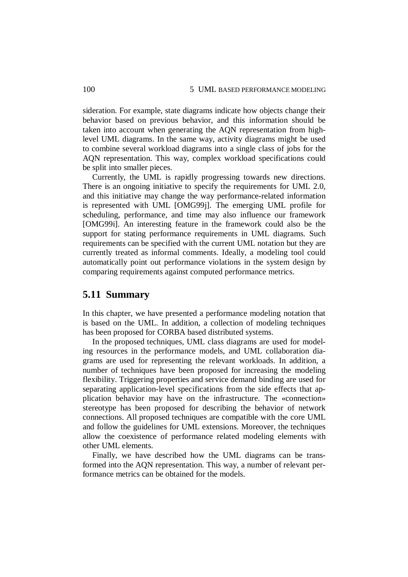sideration. For example, state diagrams indicate how objects change their behavior based on previous behavior, and this information should be taken into account when generating the AQN representation from highlevel UML diagrams. In the same way, activity diagrams might be used to combine several workload diagrams into a single class of jobs for the AQN representation. This way, complex workload specifications could be split into smaller pieces.

Currently, the UML is rapidly progressing towards new directions. There is an ongoing initiative to specify the requirements for UML 2.0, and this initiative may change the way performance-related information is represented with UML [OMG99j]. The emerging UML profile for scheduling, performance, and time may also influence our framework [OMG99i]. An interesting feature in the framework could also be the support for stating performance requirements in UML diagrams. Such requirements can be specified with the current UML notation but they are currently treated as informal comments. Ideally, a modeling tool could automatically point out performance violations in the system design by comparing requirements against computed performance metrics.

## **5.11 Summary**

In this chapter, we have presented a performance modeling notation that is based on the UML. In addition, a collection of modeling techniques has been proposed for CORBA based distributed systems.

In the proposed techniques, UML class diagrams are used for modeling resources in the performance models, and UML collaboration diagrams are used for representing the relevant workloads. In addition, a number of techniques have been proposed for increasing the modeling flexibility. Triggering properties and service demand binding are used for separating application-level specifications from the side effects that application behavior may have on the infrastructure. The «connection» stereotype has been proposed for describing the behavior of network connections. All proposed techniques are compatible with the core UML and follow the guidelines for UML extensions. Moreover, the techniques allow the coexistence of performance related modeling elements with other UML elements.

Finally, we have described how the UML diagrams can be transformed into the AQN representation. This way, a number of relevant performance metrics can be obtained for the models.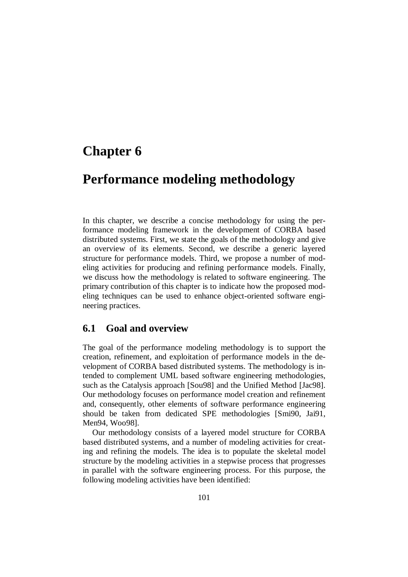# **Chapter 6**

# **Performance modeling methodology**

In this chapter, we describe a concise methodology for using the performance modeling framework in the development of CORBA based distributed systems. First, we state the goals of the methodology and give an overview of its elements. Second, we describe a generic layered structure for performance models. Third, we propose a number of modeling activities for producing and refining performance models. Finally, we discuss how the methodology is related to software engineering. The primary contribution of this chapter is to indicate how the proposed modeling techniques can be used to enhance object-oriented software engineering practices.

## **6.1 Goal and overview**

The goal of the performance modeling methodology is to support the creation, refinement, and exploitation of performance models in the development of CORBA based distributed systems. The methodology is intended to complement UML based software engineering methodologies, such as the Catalysis approach [Sou98] and the Unified Method [Jac98]. Our methodology focuses on performance model creation and refinement and, consequently, other elements of software performance engineering should be taken from dedicated SPE methodologies [Smi90, Jai91, Men94, Woo98].

Our methodology consists of a layered model structure for CORBA based distributed systems, and a number of modeling activities for creating and refining the models. The idea is to populate the skeletal model structure by the modeling activities in a stepwise process that progresses in parallel with the software engineering process. For this purpose, the following modeling activities have been identified: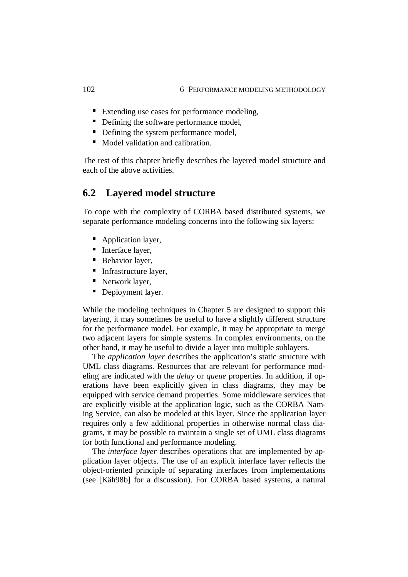- Extending use cases for performance modeling,
- Defining the software performance model,
- **•** Defining the system performance model,
- **Model validation and calibration.**

The rest of this chapter briefly describes the layered model structure and each of the above activities.

### **6.2 Layered model structure**

To cope with the complexity of CORBA based distributed systems, we separate performance modeling concerns into the following six layers:

- **Application layer,**
- **Interface layer,**
- **Behavior layer,**
- Infrastructure layer,
- Network layer,
- Deployment layer.

While the modeling techniques in Chapter 5 are designed to support this layering, it may sometimes be useful to have a slightly different structure for the performance model. For example, it may be appropriate to merge two adjacent layers for simple systems. In complex environments, on the other hand, it may be useful to divide a layer into multiple sublayers.

The *application layer* describes the application's static structure with UML class diagrams. Resources that are relevant for performance modeling are indicated with the *delay* or *queue* properties. In addition, if operations have been explicitly given in class diagrams, they may be equipped with service demand properties. Some middleware services that are explicitly visible at the application logic, such as the CORBA Naming Service, can also be modeled at this layer. Since the application layer requires only a few additional properties in otherwise normal class diagrams, it may be possible to maintain a single set of UML class diagrams for both functional and performance modeling.

The *interface layer* describes operations that are implemented by application layer objects. The use of an explicit interface layer reflects the object-oriented principle of separating interfaces from implementations (see [Käh98b] for a discussion). For CORBA based systems, a natural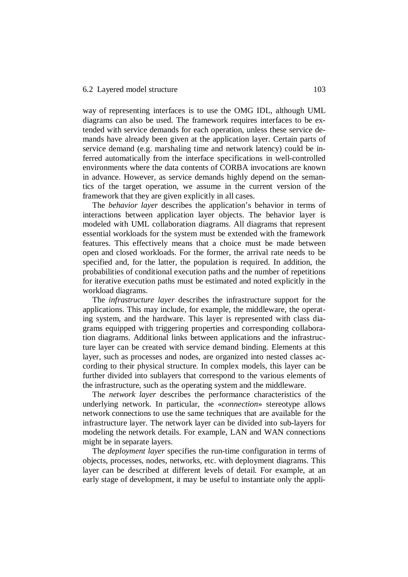way of representing interfaces is to use the OMG IDL, although UML diagrams can also be used. The framework requires interfaces to be extended with service demands for each operation, unless these service demands have already been given at the application layer. Certain parts of service demand (e.g. marshaling time and network latency) could be inferred automatically from the interface specifications in well-controlled environments where the data contents of CORBA invocations are known in advance. However, as service demands highly depend on the semantics of the target operation, we assume in the current version of the framework that they are given explicitly in all cases.

The *behavior layer* describes the application's behavior in terms of interactions between application layer objects. The behavior layer is modeled with UML collaboration diagrams. All diagrams that represent essential workloads for the system must be extended with the framework features. This effectively means that a choice must be made between open and closed workloads. For the former, the arrival rate needs to be specified and, for the latter, the population is required. In addition, the probabilities of conditional execution paths and the number of repetitions for iterative execution paths must be estimated and noted explicitly in the workload diagrams.

The *infrastructure layer* describes the infrastructure support for the applications. This may include, for example, the middleware, the operating system, and the hardware. This layer is represented with class diagrams equipped with triggering properties and corresponding collaboration diagrams. Additional links between applications and the infrastructure layer can be created with service demand binding. Elements at this layer, such as processes and nodes, are organized into nested classes according to their physical structure. In complex models, this layer can be further divided into sublayers that correspond to the various elements of the infrastructure, such as the operating system and the middleware.

The *network layer* describes the performance characteristics of the underlying network. In particular, the «*connection*» stereotype allows network connections to use the same techniques that are available for the infrastructure layer. The network layer can be divided into sub-layers for modeling the network details. For example, LAN and WAN connections might be in separate layers.

The *deployment layer* specifies the run-time configuration in terms of objects, processes, nodes, networks, etc. with deployment diagrams. This layer can be described at different levels of detail. For example, at an early stage of development, it may be useful to instantiate only the appli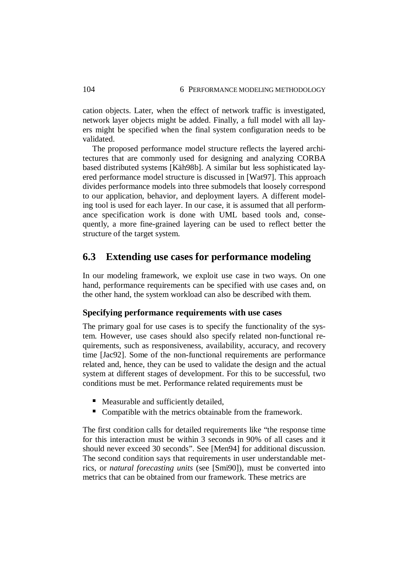cation objects. Later, when the effect of network traffic is investigated, network layer objects might be added. Finally, a full model with all layers might be specified when the final system configuration needs to be validated.

The proposed performance model structure reflects the layered architectures that are commonly used for designing and analyzing CORBA based distributed systems [Käh98b]. A similar but less sophisticated layered performance model structure is discussed in [Wat97]. This approach divides performance models into three submodels that loosely correspond to our application, behavior, and deployment layers. A different modeling tool is used for each layer. In our case, it is assumed that all performance specification work is done with UML based tools and, consequently, a more fine-grained layering can be used to reflect better the structure of the target system.

### **6.3 Extending use cases for performance modeling**

In our modeling framework, we exploit use case in two ways. On one hand, performance requirements can be specified with use cases and, on the other hand, the system workload can also be described with them.

### **Specifying performance requirements with use cases**

The primary goal for use cases is to specify the functionality of the system. However, use cases should also specify related non-functional requirements, such as responsiveness, availability, accuracy, and recovery time [Jac92]. Some of the non-functional requirements are performance related and, hence, they can be used to validate the design and the actual system at different stages of development. For this to be successful, two conditions must be met. Performance related requirements must be

- Measurable and sufficiently detailed,
- Compatible with the metrics obtainable from the framework.

The first condition calls for detailed requirements like "the response time for this interaction must be within 3 seconds in 90% of all cases and it should never exceed 30 seconds". See [Men94] for additional discussion. The second condition says that requirements in user understandable metrics, or *natural forecasting units* (see [Smi90]), must be converted into metrics that can be obtained from our framework. These metrics are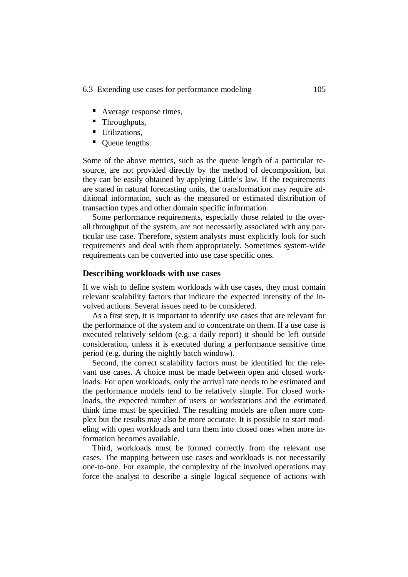- Average response times,
- **Throughputs,**
- **Utilizations,**
- **Queue lengths.**

Some of the above metrics, such as the queue length of a particular resource, are not provided directly by the method of decomposition, but they can be easily obtained by applying Little's law. If the requirements are stated in natural forecasting units, the transformation may require additional information, such as the measured or estimated distribution of transaction types and other domain specific information.

Some performance requirements, especially those related to the overall throughput of the system, are not necessarily associated with any particular use case. Therefore, system analysts must explicitly look for such requirements and deal with them appropriately. Sometimes system-wide requirements can be converted into use case specific ones.

#### **Describing workloads with use cases**

If we wish to define system workloads with use cases, they must contain relevant scalability factors that indicate the expected intensity of the involved actions. Several issues need to be considered.

As a first step, it is important to identify use cases that are relevant for the performance of the system and to concentrate on them. If a use case is executed relatively seldom (e.g. a daily report) it should be left outside consideration, unless it is executed during a performance sensitive time period (e.g. during the nightly batch window).

Second, the correct scalability factors must be identified for the relevant use cases. A choice must be made between open and closed workloads. For open workloads, only the arrival rate needs to be estimated and the performance models tend to be relatively simple. For closed workloads, the expected number of users or workstations and the estimated think time must be specified. The resulting models are often more complex but the results may also be more accurate. It is possible to start modeling with open workloads and turn them into closed ones when more information becomes available.

Third, workloads must be formed correctly from the relevant use cases. The mapping between use cases and workloads is not necessarily one-to-one. For example, the complexity of the involved operations may force the analyst to describe a single logical sequence of actions with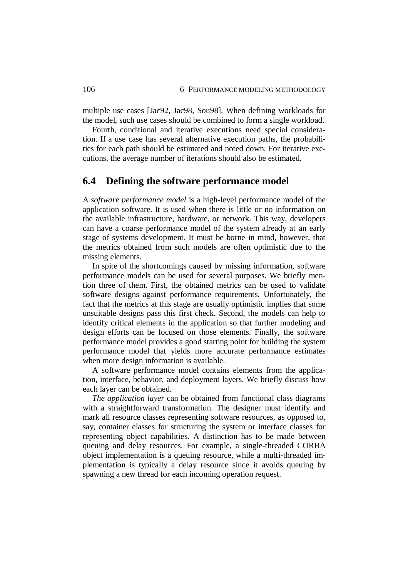multiple use cases [Jac92, Jac98, Sou98]. When defining workloads for the model, such use cases should be combined to form a single workload.

Fourth, conditional and iterative executions need special consideration. If a use case has several alternative execution paths, the probabilities for each path should be estimated and noted down. For iterative executions, the average number of iterations should also be estimated.

### **6.4 Defining the software performance model**

A *software performance model* is a high-level performance model of the application software. It is used when there is little or no information on the available infrastructure, hardware, or network. This way, developers can have a coarse performance model of the system already at an early stage of systems development. It must be borne in mind, however, that the metrics obtained from such models are often optimistic due to the missing elements.

In spite of the shortcomings caused by missing information, software performance models can be used for several purposes. We briefly mention three of them. First, the obtained metrics can be used to validate software designs against performance requirements. Unfortunately, the fact that the metrics at this stage are usually optimistic implies that some unsuitable designs pass this first check. Second, the models can help to identify critical elements in the application so that further modeling and design efforts can be focused on those elements. Finally, the software performance model provides a good starting point for building the system performance model that yields more accurate performance estimates when more design information is available.

A software performance model contains elements from the application, interface, behavior, and deployment layers. We briefly discuss how each layer can be obtained.

*The application layer* can be obtained from functional class diagrams with a straightforward transformation. The designer must identify and mark all resource classes representing software resources, as opposed to, say, container classes for structuring the system or interface classes for representing object capabilities. A distinction has to be made between queuing and delay resources. For example, a single-threaded CORBA object implementation is a queuing resource, while a multi-threaded implementation is typically a delay resource since it avoids queuing by spawning a new thread for each incoming operation request.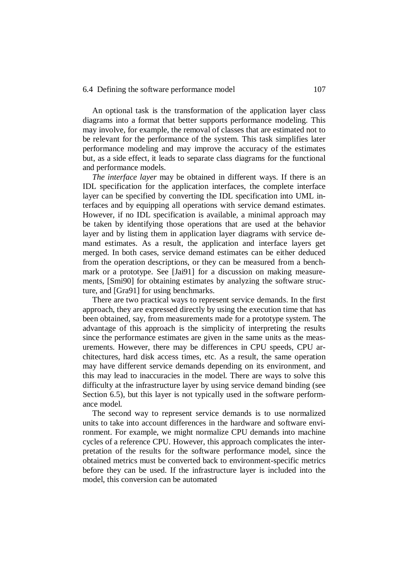#### 6.4 Defining the software performance model 107

An optional task is the transformation of the application layer class diagrams into a format that better supports performance modeling. This may involve, for example, the removal of classes that are estimated not to be relevant for the performance of the system. This task simplifies later performance modeling and may improve the accuracy of the estimates but, as a side effect, it leads to separate class diagrams for the functional and performance models.

*The interface layer* may be obtained in different ways. If there is an IDL specification for the application interfaces, the complete interface layer can be specified by converting the IDL specification into UML interfaces and by equipping all operations with service demand estimates. However, if no IDL specification is available, a minimal approach may be taken by identifying those operations that are used at the behavior layer and by listing them in application layer diagrams with service demand estimates. As a result, the application and interface layers get merged. In both cases, service demand estimates can be either deduced from the operation descriptions, or they can be measured from a benchmark or a prototype. See [Jai91] for a discussion on making measurements, [Smi90] for obtaining estimates by analyzing the software structure, and [Gra91] for using benchmarks.

There are two practical ways to represent service demands. In the first approach, they are expressed directly by using the execution time that has been obtained, say, from measurements made for a prototype system. The advantage of this approach is the simplicity of interpreting the results since the performance estimates are given in the same units as the measurements. However, there may be differences in CPU speeds, CPU architectures, hard disk access times, etc. As a result, the same operation may have different service demands depending on its environment, and this may lead to inaccuracies in the model. There are ways to solve this difficulty at the infrastructure layer by using service demand binding (see Section 6.5), but this layer is not typically used in the software performance model.

The second way to represent service demands is to use normalized units to take into account differences in the hardware and software environment. For example, we might normalize CPU demands into machine cycles of a reference CPU. However, this approach complicates the interpretation of the results for the software performance model, since the obtained metrics must be converted back to environment-specific metrics before they can be used. If the infrastructure layer is included into the model, this conversion can be automated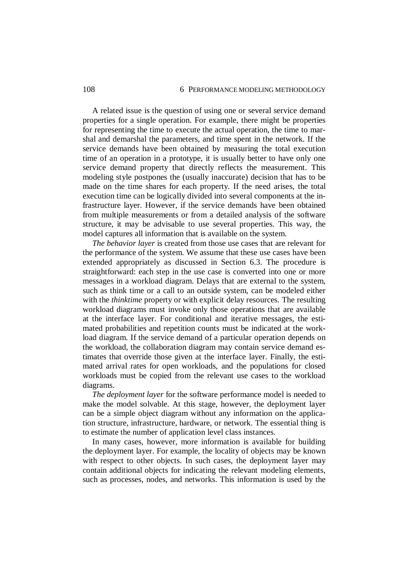A related issue is the question of using one or several service demand properties for a single operation. For example, there might be properties for representing the time to execute the actual operation, the time to marshal and demarshal the parameters, and time spent in the network. If the service demands have been obtained by measuring the total execution time of an operation in a prototype, it is usually better to have only one service demand property that directly reflects the measurement. This modeling style postpones the (usually inaccurate) decision that has to be made on the time shares for each property. If the need arises, the total execution time can be logically divided into several components at the infrastructure layer. However, if the service demands have been obtained from multiple measurements or from a detailed analysis of the software structure, it may be advisable to use several properties. This way, the model captures all information that is available on the system.

*The behavior layer* is created from those use cases that are relevant for the performance of the system. We assume that these use cases have been extended appropriately as discussed in Section 6.3. The procedure is straightforward: each step in the use case is converted into one or more messages in a workload diagram. Delays that are external to the system, such as think time or a call to an outside system, can be modeled either with the *thinktime* property or with explicit delay resources. The resulting workload diagrams must invoke only those operations that are available at the interface layer. For conditional and iterative messages, the estimated probabilities and repetition counts must be indicated at the workload diagram. If the service demand of a particular operation depends on the workload, the collaboration diagram may contain service demand estimates that override those given at the interface layer. Finally, the estimated arrival rates for open workloads, and the populations for closed workloads must be copied from the relevant use cases to the workload diagrams.

*The deployment layer* for the software performance model is needed to make the model solvable. At this stage, however, the deployment layer can be a simple object diagram without any information on the application structure, infrastructure, hardware, or network. The essential thing is to estimate the number of application level class instances.

In many cases, however, more information is available for building the deployment layer. For example, the locality of objects may be known with respect to other objects. In such cases, the deployment layer may contain additional objects for indicating the relevant modeling elements, such as processes, nodes, and networks. This information is used by the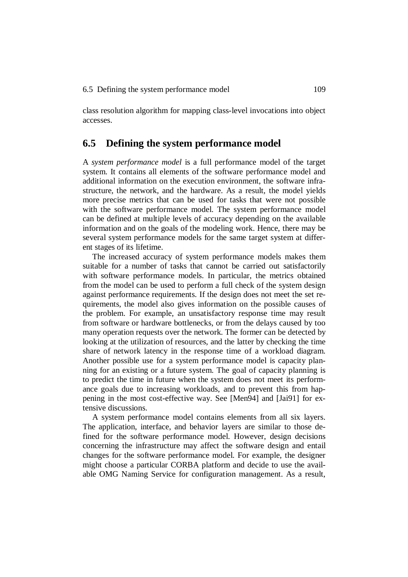class resolution algorithm for mapping class-level invocations into object accesses.

### **6.5 Defining the system performance model**

A *system performance model* is a full performance model of the target system. It contains all elements of the software performance model and additional information on the execution environment, the software infrastructure, the network, and the hardware. As a result, the model yields more precise metrics that can be used for tasks that were not possible with the software performance model. The system performance model can be defined at multiple levels of accuracy depending on the available information and on the goals of the modeling work. Hence, there may be several system performance models for the same target system at different stages of its lifetime.

The increased accuracy of system performance models makes them suitable for a number of tasks that cannot be carried out satisfactorily with software performance models. In particular, the metrics obtained from the model can be used to perform a full check of the system design against performance requirements. If the design does not meet the set requirements, the model also gives information on the possible causes of the problem. For example, an unsatisfactory response time may result from software or hardware bottlenecks, or from the delays caused by too many operation requests over the network. The former can be detected by looking at the utilization of resources, and the latter by checking the time share of network latency in the response time of a workload diagram. Another possible use for a system performance model is capacity planning for an existing or a future system. The goal of capacity planning is to predict the time in future when the system does not meet its performance goals due to increasing workloads, and to prevent this from happening in the most cost-effective way. See [Men94] and [Jai91] for extensive discussions.

A system performance model contains elements from all six layers. The application, interface, and behavior layers are similar to those defined for the software performance model. However, design decisions concerning the infrastructure may affect the software design and entail changes for the software performance model. For example, the designer might choose a particular CORBA platform and decide to use the available OMG Naming Service for configuration management. As a result,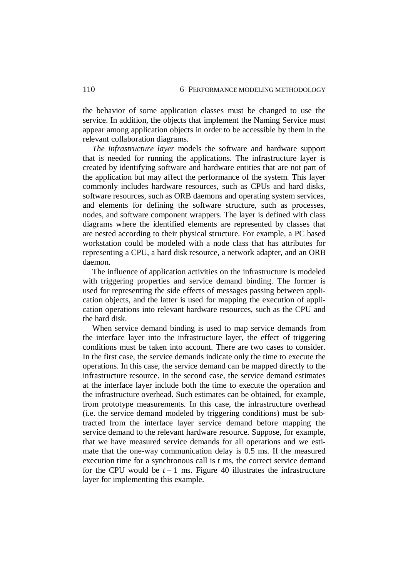the behavior of some application classes must be changed to use the service. In addition, the objects that implement the Naming Service must appear among application objects in order to be accessible by them in the relevant collaboration diagrams.

*The infrastructure layer* models the software and hardware support that is needed for running the applications. The infrastructure layer is created by identifying software and hardware entities that are not part of the application but may affect the performance of the system. This layer commonly includes hardware resources, such as CPUs and hard disks, software resources, such as ORB daemons and operating system services, and elements for defining the software structure, such as processes, nodes, and software component wrappers. The layer is defined with class diagrams where the identified elements are represented by classes that are nested according to their physical structure. For example, a PC based workstation could be modeled with a node class that has attributes for representing a CPU, a hard disk resource, a network adapter, and an ORB daemon.

The influence of application activities on the infrastructure is modeled with triggering properties and service demand binding. The former is used for representing the side effects of messages passing between application objects, and the latter is used for mapping the execution of application operations into relevant hardware resources, such as the CPU and the hard disk.

When service demand binding is used to map service demands from the interface layer into the infrastructure layer, the effect of triggering conditions must be taken into account. There are two cases to consider. In the first case, the service demands indicate only the time to execute the operations. In this case, the service demand can be mapped directly to the infrastructure resource. In the second case, the service demand estimates at the interface layer include both the time to execute the operation and the infrastructure overhead. Such estimates can be obtained, for example, from prototype measurements. In this case, the infrastructure overhead (i.e. the service demand modeled by triggering conditions) must be subtracted from the interface layer service demand before mapping the service demand to the relevant hardware resource. Suppose, for example, that we have measured service demands for all operations and we estimate that the one-way communication delay is 0.5 ms. If the measured execution time for a synchronous call is *t* ms, the correct service demand for the CPU would be  $t - 1$  ms. Figure 40 illustrates the infrastructure layer for implementing this example.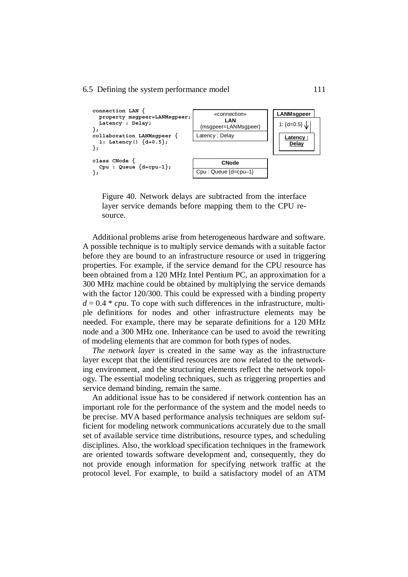#### 6.5 Defining the system performance model 111



Figure 40. Network delays are subtracted from the interface layer service demands before mapping them to the CPU resource.

Additional problems arise from heterogeneous hardware and software. A possible technique is to multiply service demands with a suitable factor before they are bound to an infrastructure resource or used in triggering properties. For example, if the service demand for the CPU resource has been obtained from a 120 MHz Intel Pentium PC, an approximation for a 300 MHz machine could be obtained by multiplying the service demands with the factor 120/300. This could be expressed with a binding property  $d = 0.4 * cpu$ . To cope with such differences in the infrastructure, multiple definitions for nodes and other infrastructure elements may be needed. For example, there may be separate definitions for a 120 MHz node and a 300 MHz one. Inheritance can be used to avoid the rewriting of modeling elements that are common for both types of nodes.

*The network layer* is created in the same way as the infrastructure layer except that the identified resources are now related to the networking environment, and the structuring elements reflect the network topology. The essential modeling techniques, such as triggering properties and service demand binding, remain the same.

An additional issue has to be considered if network contention has an important role for the performance of the system and the model needs to be precise. MVA based performance analysis techniques are seldom sufficient for modeling network communications accurately due to the small set of available service time distributions, resource types, and scheduling disciplines. Also, the workload specification techniques in the framework are oriented towards software development and, consequently, they do not provide enough information for specifying network traffic at the protocol level. For example, to build a satisfactory model of an ATM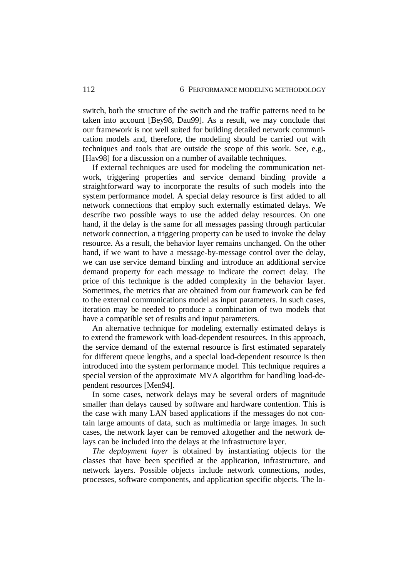switch, both the structure of the switch and the traffic patterns need to be taken into account [Bey98, Dau99]. As a result, we may conclude that our framework is not well suited for building detailed network communication models and, therefore, the modeling should be carried out with techniques and tools that are outside the scope of this work. See, e.g., [Hav98] for a discussion on a number of available techniques.

If external techniques are used for modeling the communication network, triggering properties and service demand binding provide a straightforward way to incorporate the results of such models into the system performance model. A special delay resource is first added to all network connections that employ such externally estimated delays. We describe two possible ways to use the added delay resources. On one hand, if the delay is the same for all messages passing through particular network connection, a triggering property can be used to invoke the delay resource. As a result, the behavior layer remains unchanged. On the other hand, if we want to have a message-by-message control over the delay, we can use service demand binding and introduce an additional service demand property for each message to indicate the correct delay. The price of this technique is the added complexity in the behavior layer. Sometimes, the metrics that are obtained from our framework can be fed to the external communications model as input parameters. In such cases, iteration may be needed to produce a combination of two models that have a compatible set of results and input parameters.

An alternative technique for modeling externally estimated delays is to extend the framework with load-dependent resources. In this approach, the service demand of the external resource is first estimated separately for different queue lengths, and a special load-dependent resource is then introduced into the system performance model. This technique requires a special version of the approximate MVA algorithm for handling load-dependent resources [Men94].

In some cases, network delays may be several orders of magnitude smaller than delays caused by software and hardware contention. This is the case with many LAN based applications if the messages do not contain large amounts of data, such as multimedia or large images. In such cases, the network layer can be removed altogether and the network delays can be included into the delays at the infrastructure layer.

*The deployment layer* is obtained by instantiating objects for the classes that have been specified at the application, infrastructure, and network layers. Possible objects include network connections, nodes, processes, software components, and application specific objects. The lo-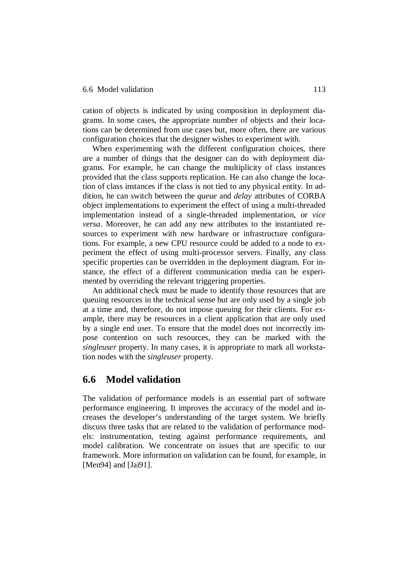#### 6.6 Model validation 113

cation of objects is indicated by using composition in deployment diagrams. In some cases, the appropriate number of objects and their locations can be determined from use cases but, more often, there are various configuration choices that the designer wishes to experiment with.

When experimenting with the different configuration choices, there are a number of things that the designer can do with deployment diagrams. For example, he can change the multiplicity of class instances provided that the class supports replication. He can also change the location of class instances if the class is not tied to any physical entity. In addition, he can switch between the *queue* and *delay* attributes of CORBA object implementations to experiment the effect of using a multi-threaded implementation instead of a single-threaded implementation, or *vice versa*. Moreover, he can add any new attributes to the instantiated resources to experiment with new hardware or infrastructure configurations. For example, a new CPU resource could be added to a node to experiment the effect of using multi-processor servers. Finally, any class specific properties can be overridden in the deployment diagram. For instance, the effect of a different communication media can be experimented by overriding the relevant triggering properties.

An additional check must be made to identify those resources that are queuing resources in the technical sense but are only used by a single job at a time and, therefore, do not impose queuing for their clients. For example, there may be resources in a client application that are only used by a single end user. To ensure that the model does not incorrectly impose contention on such resources, they can be marked with the *singleuser* property. In many cases, it is appropriate to mark all workstation nodes with the *singleuser* property.

### **6.6 Model validation**

The validation of performance models is an essential part of software performance engineering. It improves the accuracy of the model and increases the developer's understanding of the target system. We briefly discuss three tasks that are related to the validation of performance models: instrumentation, testing against performance requirements, and model calibration. We concentrate on issues that are specific to our framework. More information on validation can be found, for example, in [Men94] and [Jai91].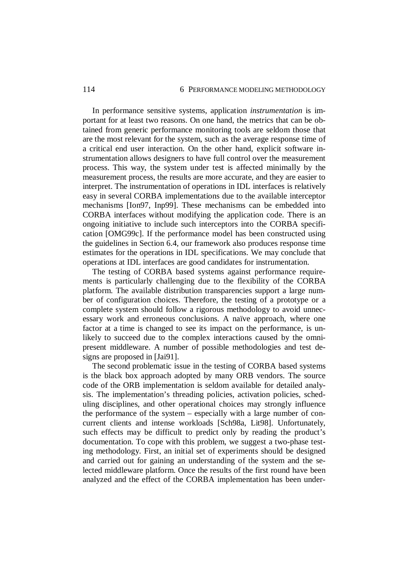In performance sensitive systems, application *instrumentation* is important for at least two reasons. On one hand, the metrics that can be obtained from generic performance monitoring tools are seldom those that are the most relevant for the system, such as the average response time of a critical end user interaction. On the other hand, explicit software instrumentation allows designers to have full control over the measurement process. This way, the system under test is affected minimally by the measurement process, the results are more accurate, and they are easier to interpret. The instrumentation of operations in IDL interfaces is relatively easy in several CORBA implementations due to the available interceptor mechanisms [Ion97, Inp99]. These mechanisms can be embedded into CORBA interfaces without modifying the application code. There is an ongoing initiative to include such interceptors into the CORBA specification [OMG99c]. If the performance model has been constructed using the guidelines in Section 6.4, our framework also produces response time estimates for the operations in IDL specifications. We may conclude that operations at IDL interfaces are good candidates for instrumentation.

The testing of CORBA based systems against performance requirements is particularly challenging due to the flexibility of the CORBA platform. The available distribution transparencies support a large number of configuration choices. Therefore, the testing of a prototype or a complete system should follow a rigorous methodology to avoid unnecessary work and erroneous conclusions. A naïve approach, where one factor at a time is changed to see its impact on the performance, is unlikely to succeed due to the complex interactions caused by the omnipresent middleware. A number of possible methodologies and test designs are proposed in [Jai91].

The second problematic issue in the testing of CORBA based systems is the black box approach adopted by many ORB vendors. The source code of the ORB implementation is seldom available for detailed analysis. The implementation's threading policies, activation policies, scheduling disciplines, and other operational choices may strongly influence the performance of the system – especially with a large number of concurrent clients and intense workloads [Sch98a, Lit98]. Unfortunately, such effects may be difficult to predict only by reading the product's documentation. To cope with this problem, we suggest a two-phase testing methodology. First, an initial set of experiments should be designed and carried out for gaining an understanding of the system and the selected middleware platform. Once the results of the first round have been analyzed and the effect of the CORBA implementation has been under-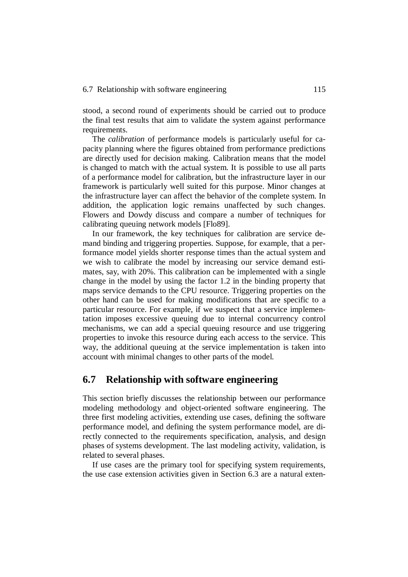stood, a second round of experiments should be carried out to produce the final test results that aim to validate the system against performance requirements.

The *calibration* of performance models is particularly useful for capacity planning where the figures obtained from performance predictions are directly used for decision making. Calibration means that the model is changed to match with the actual system. It is possible to use all parts of a performance model for calibration, but the infrastructure layer in our framework is particularly well suited for this purpose. Minor changes at the infrastructure layer can affect the behavior of the complete system. In addition, the application logic remains unaffected by such changes. Flowers and Dowdy discuss and compare a number of techniques for calibrating queuing network models [Flo89].

In our framework, the key techniques for calibration are service demand binding and triggering properties. Suppose, for example, that a performance model yields shorter response times than the actual system and we wish to calibrate the model by increasing our service demand estimates, say, with 20%. This calibration can be implemented with a single change in the model by using the factor 1.2 in the binding property that maps service demands to the CPU resource. Triggering properties on the other hand can be used for making modifications that are specific to a particular resource. For example, if we suspect that a service implementation imposes excessive queuing due to internal concurrency control mechanisms, we can add a special queuing resource and use triggering properties to invoke this resource during each access to the service. This way, the additional queuing at the service implementation is taken into account with minimal changes to other parts of the model.

### **6.7 Relationship with software engineering**

This section briefly discusses the relationship between our performance modeling methodology and object-oriented software engineering. The three first modeling activities, extending use cases, defining the software performance model, and defining the system performance model, are directly connected to the requirements specification, analysis, and design phases of systems development. The last modeling activity, validation, is related to several phases.

If use cases are the primary tool for specifying system requirements, the use case extension activities given in Section 6.3 are a natural exten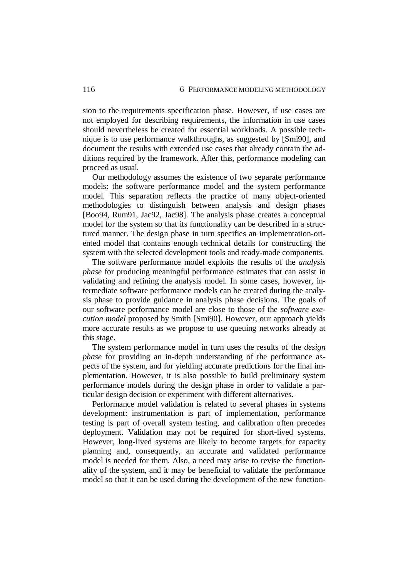sion to the requirements specification phase. However, if use cases are not employed for describing requirements, the information in use cases should nevertheless be created for essential workloads. A possible technique is to use performance walkthroughs, as suggested by [Smi90], and document the results with extended use cases that already contain the additions required by the framework. After this, performance modeling can proceed as usual.

Our methodology assumes the existence of two separate performance models: the software performance model and the system performance model. This separation reflects the practice of many object-oriented methodologies to distinguish between analysis and design phases [Boo94, Rum91, Jac92, Jac98]. The analysis phase creates a conceptual model for the system so that its functionality can be described in a structured manner. The design phase in turn specifies an implementation-oriented model that contains enough technical details for constructing the system with the selected development tools and ready-made components.

The software performance model exploits the results of the *analysis phase* for producing meaningful performance estimates that can assist in validating and refining the analysis model. In some cases, however, intermediate software performance models can be created during the analysis phase to provide guidance in analysis phase decisions. The goals of our software performance model are close to those of the *software execution model* proposed by Smith [Smi90]. However, our approach yields more accurate results as we propose to use queuing networks already at this stage.

The system performance model in turn uses the results of the *design phase* for providing an in-depth understanding of the performance aspects of the system, and for yielding accurate predictions for the final implementation. However, it is also possible to build preliminary system performance models during the design phase in order to validate a particular design decision or experiment with different alternatives.

Performance model validation is related to several phases in systems development: instrumentation is part of implementation, performance testing is part of overall system testing, and calibration often precedes deployment. Validation may not be required for short-lived systems. However, long-lived systems are likely to become targets for capacity planning and, consequently, an accurate and validated performance model is needed for them. Also, a need may arise to revise the functionality of the system, and it may be beneficial to validate the performance model so that it can be used during the development of the new function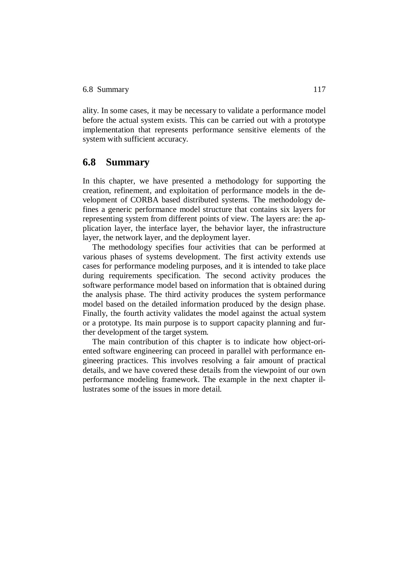ality. In some cases, it may be necessary to validate a performance model before the actual system exists. This can be carried out with a prototype implementation that represents performance sensitive elements of the system with sufficient accuracy.

### **6.8 Summary**

In this chapter, we have presented a methodology for supporting the creation, refinement, and exploitation of performance models in the development of CORBA based distributed systems. The methodology defines a generic performance model structure that contains six layers for representing system from different points of view. The layers are: the application layer, the interface layer, the behavior layer, the infrastructure layer, the network layer, and the deployment layer.

The methodology specifies four activities that can be performed at various phases of systems development. The first activity extends use cases for performance modeling purposes, and it is intended to take place during requirements specification. The second activity produces the software performance model based on information that is obtained during the analysis phase. The third activity produces the system performance model based on the detailed information produced by the design phase. Finally, the fourth activity validates the model against the actual system or a prototype. Its main purpose is to support capacity planning and further development of the target system.

The main contribution of this chapter is to indicate how object-oriented software engineering can proceed in parallel with performance engineering practices. This involves resolving a fair amount of practical details, and we have covered these details from the viewpoint of our own performance modeling framework. The example in the next chapter illustrates some of the issues in more detail.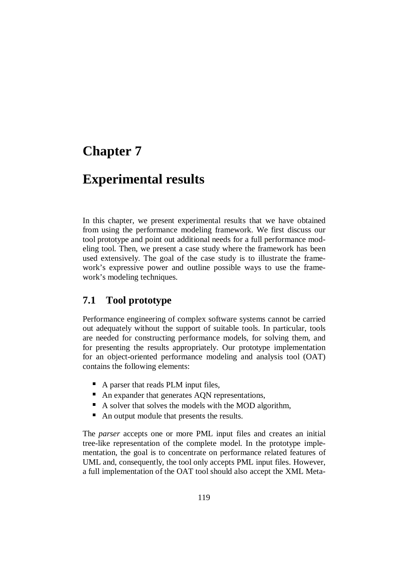# **Chapter 7**

# **Experimental results**

In this chapter, we present experimental results that we have obtained from using the performance modeling framework. We first discuss our tool prototype and point out additional needs for a full performance modeling tool. Then, we present a case study where the framework has been used extensively. The goal of the case study is to illustrate the framework's expressive power and outline possible ways to use the framework's modeling techniques.

### **7.1 Tool prototype**

Performance engineering of complex software systems cannot be carried out adequately without the support of suitable tools. In particular, tools are needed for constructing performance models, for solving them, and for presenting the results appropriately. Our prototype implementation for an object-oriented performance modeling and analysis tool (OAT) contains the following elements:

- A parser that reads PLM input files,
- An expander that generates AQN representations,
- A solver that solves the models with the MOD algorithm,
- An output module that presents the results.

The *parser* accepts one or more PML input files and creates an initial tree-like representation of the complete model. In the prototype implementation, the goal is to concentrate on performance related features of UML and, consequently, the tool only accepts PML input files. However, a full implementation of the OAT tool should also accept the XML Meta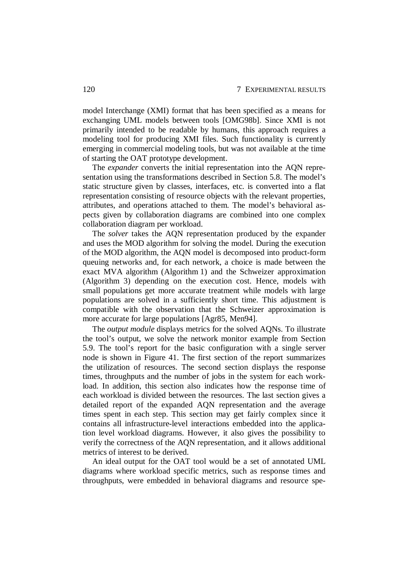model Interchange (XMI) format that has been specified as a means for exchanging UML models between tools [OMG98b]. Since XMI is not primarily intended to be readable by humans, this approach requires a modeling tool for producing XMI files. Such functionality is currently emerging in commercial modeling tools, but was not available at the time of starting the OAT prototype development.

The *expander* converts the initial representation into the AQN representation using the transformations described in Section 5.8. The model's static structure given by classes, interfaces, etc. is converted into a flat representation consisting of resource objects with the relevant properties, attributes, and operations attached to them. The model's behavioral aspects given by collaboration diagrams are combined into one complex collaboration diagram per workload.

The *solver* takes the AQN representation produced by the expander and uses the MOD algorithm for solving the model. During the execution of the MOD algorithm, the AQN model is decomposed into product-form queuing networks and, for each network, a choice is made between the exact MVA algorithm (Algorithm 1) and the Schweizer approximation (Algorithm 3) depending on the execution cost. Hence, models with small populations get more accurate treatment while models with large populations are solved in a sufficiently short time. This adjustment is compatible with the observation that the Schweizer approximation is more accurate for large populations [Agr85, Men94].

The *output module* displays metrics for the solved AQNs. To illustrate the tool's output, we solve the network monitor example from Section 5.9. The tool's report for the basic configuration with a single server node is shown in Figure 41. The first section of the report summarizes the utilization of resources. The second section displays the response times, throughputs and the number of jobs in the system for each workload. In addition, this section also indicates how the response time of each workload is divided between the resources. The last section gives a detailed report of the expanded AQN representation and the average times spent in each step. This section may get fairly complex since it contains all infrastructure-level interactions embedded into the application level workload diagrams. However, it also gives the possibility to verify the correctness of the AQN representation, and it allows additional metrics of interest to be derived.

An ideal output for the OAT tool would be a set of annotated UML diagrams where workload specific metrics, such as response times and throughputs, were embedded in behavioral diagrams and resource spe-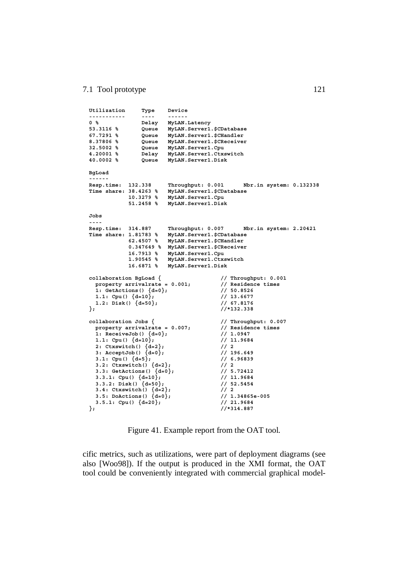#### 7.1 Tool prototype 121

```
Utilization Type Device
----------- ---- ------
0 % Delay MyLAN.Latency
53.3116 % Queue MyLAN.Server1.$CDatabase
67.7291 % Queue MyLAN.Server1.$CHandler
8.37806 % Queue MyLAN.Server1.$CReceiver
32.5002 % Queue MyLAN.Server1.Cpu
4.20001 % Delay MyLAN.Server1.Ctxswitch
40.0002 % Queue MyLAN.Server1.Disk
BgLoad
------
Resp.time: 132.338 Throughput: 0.001 Nbr.in system: 0.132338
Time share: 38.4263 % MyLAN.Server1.$CDatabase
 10.3279 % MyLAN.Server1.Cpu
 51.2458 % MyLAN.Server1.Disk
Jobs
----
Resp.time: 314.887 Throughput: 0.007 Nbr.in system: 2.20421
Time share: 1.81783 % MyLAN.Server1.$CDatabase
             62.4507 % MyLAN.Server1.$CHandler
             0.347649 % MyLAN.Server1.$CReceiver
             16.7913 % MyLAN.Server1.Cpu
             1.90545 % MyLAN.Server1.Ctxswitch
                         16.6871 % MyLAN.Server1.Disk
collaboration BgLoad { // Throughput: 0.001
  property arrivalrate = 0.001; // Residence times<br>1: GetActions() {d=0}; // 50.8526
  1: GetActions() {d=0};<br>
1.1: Cpu() {d=10};<br>
1.2: Disk() {d=50};<br>
1.2: Disk() {d=50};<br>
1.3.6677
 1.1: Cpu() {d=10}; // 13.6677
 1.2: Disk() {d=50}; // 67.8176
}; //*132.338
collaboration Jobs { // Throughput: 0.007
 property arrivalrate = 0.007;<br>
1: ReceiveJob() {d=0};<br>
1.1: Cpu() {d=10};<br>
1.1: Cpu() {d=10};<br>
(/ 11.9684
   1: ReceiveJob() {d=0}; // 1.0947
 1.1: Cpu() \{d=10\}; <br>
2: Ctxswitch() \{d=2\}; <br>
3: AcceptJob() \{d=0\}; <br>
7/ 11.9684<br>
7/ 2<br>
7/ 11.9684
 2: Ctxswitch() {d=2}; // 2
 3: AcceptJob() {d=0}; // 196.649
  3.1: Cpu() \{d=5\}; // 6.96839<br>3.2: Ctxswitch() \{d=2\}; // 2
  3.2: Ctxswitch() {d=2}; <br>3.3: GetActions() {d=0}; <br>// 5.72412
  3.3: GetActions() {d=0};<br>
3.3.1: Cpu() {d=10};<br>
3.3.2: Disk() {d=50};<br>
3.3.2: Disk() {d=50};<br>
3.3.4: // 52.5454
 3.3.1: Cpu() {d=10}; // 11.9684
 3.3.2: Disk() {d=50}; // 52.5454
 3.4: Ctxswitch() {d=2}; // 2
 3.5: DoActions() {d=0}; // 1.34865e-005
3.4: Ctxswitch() {d=2};<br>
3.5: DoActions() {d=0};<br>
3.5.1: Cpu() {d=20};<br>
<br>
1/ 21.9684<br>
<br>
1/*314.887
                                         }; //*314.887
```
Figure 41. Example report from the OAT tool.

cific metrics, such as utilizations, were part of deployment diagrams (see also [Woo98]). If the output is produced in the XMI format, the OAT tool could be conveniently integrated with commercial graphical model-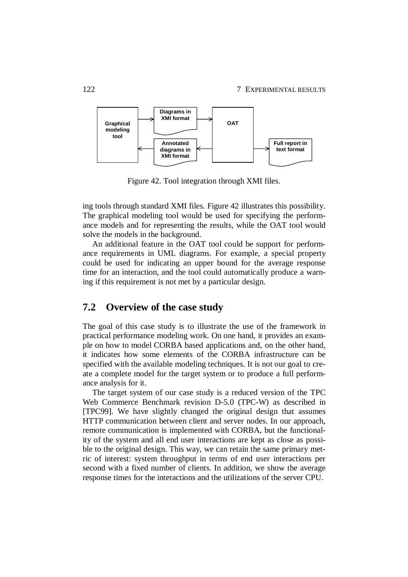

Figure 42. Tool integration through XMI files.

ing tools through standard XMI files. Figure 42 illustrates this possibility. The graphical modeling tool would be used for specifying the performance models and for representing the results, while the OAT tool would solve the models in the background.

An additional feature in the OAT tool could be support for performance requirements in UML diagrams. For example, a special property could be used for indicating an upper bound for the average response time for an interaction, and the tool could automatically produce a warning if this requirement is not met by a particular design.

## **7.2 Overview of the case study**

The goal of this case study is to illustrate the use of the framework in practical performance modeling work. On one hand, it provides an example on how to model CORBA based applications and, on the other hand, it indicates how some elements of the CORBA infrastructure can be specified with the available modeling techniques. It is not our goal to create a complete model for the target system or to produce a full performance analysis for it.

The target system of our case study is a reduced version of the TPC Web Commerce Benchmark revision D-5.0 (TPC-W) as described in [TPC99]. We have slightly changed the original design that assumes HTTP communication between client and server nodes. In our approach, remote communication is implemented with CORBA, but the functionality of the system and all end user interactions are kept as close as possible to the original design. This way, we can retain the same primary metric of interest: system throughput in terms of end user interactions per second with a fixed number of clients. In addition, we show the average response times for the interactions and the utilizations of the server CPU.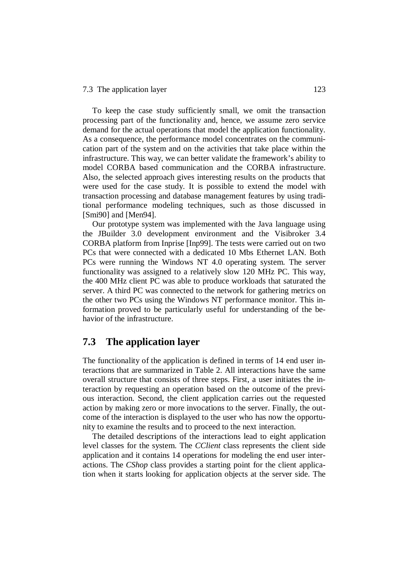#### 7.3 The application layer 123

To keep the case study sufficiently small, we omit the transaction processing part of the functionality and, hence, we assume zero service demand for the actual operations that model the application functionality. As a consequence, the performance model concentrates on the communication part of the system and on the activities that take place within the infrastructure. This way, we can better validate the framework's ability to model CORBA based communication and the CORBA infrastructure. Also, the selected approach gives interesting results on the products that were used for the case study. It is possible to extend the model with transaction processing and database management features by using traditional performance modeling techniques, such as those discussed in [Smi90] and [Men94].

Our prototype system was implemented with the Java language using the JBuilder 3.0 development environment and the Visibroker 3.4 CORBA platform from Inprise [Inp99]. The tests were carried out on two PCs that were connected with a dedicated 10 Mbs Ethernet LAN. Both PCs were running the Windows NT 4.0 operating system. The server functionality was assigned to a relatively slow 120 MHz PC. This way, the 400 MHz client PC was able to produce workloads that saturated the server. A third PC was connected to the network for gathering metrics on the other two PCs using the Windows NT performance monitor. This information proved to be particularly useful for understanding of the behavior of the infrastructure.

### **7.3 The application layer**

The functionality of the application is defined in terms of 14 end user interactions that are summarized in Table 2. All interactions have the same overall structure that consists of three steps. First, a user initiates the interaction by requesting an operation based on the outcome of the previous interaction. Second, the client application carries out the requested action by making zero or more invocations to the server. Finally, the outcome of the interaction is displayed to the user who has now the opportunity to examine the results and to proceed to the next interaction.

The detailed descriptions of the interactions lead to eight application level classes for the system. The *CClient* class represents the client side application and it contains 14 operations for modeling the end user interactions. The *CShop* class provides a starting point for the client application when it starts looking for application objects at the server side. The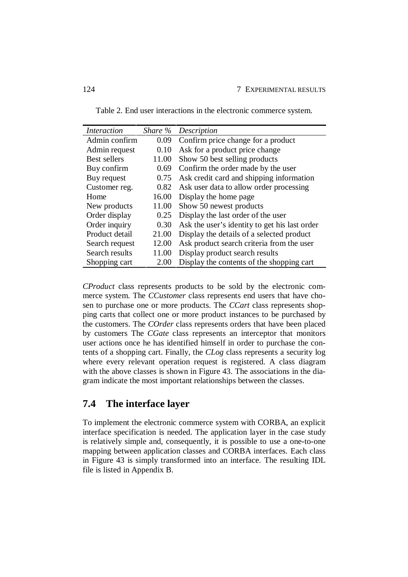Table 2. End user interactions in the electronic commerce system.

| <i>Interaction</i>  | Share % | Description                                   |
|---------------------|---------|-----------------------------------------------|
| Admin confirm       | 0.09    | Confirm price change for a product            |
| Admin request       | 0.10    | Ask for a product price change                |
| <b>Best sellers</b> | 11.00   | Show 50 best selling products                 |
| Buy confirm         | 0.69    | Confirm the order made by the user            |
| Buy request         | 0.75    | Ask credit card and shipping information      |
| Customer reg.       | 0.82    | Ask user data to allow order processing       |
| Home                | 16.00   | Display the home page                         |
| New products        | 11.00   | Show 50 newest products                       |
| Order display       | 0.25    | Display the last order of the user            |
| Order inquiry       | 0.30    | Ask the user's identity to get his last order |
| Product detail      | 21.00   | Display the details of a selected product     |
| Search request      | 12.00   | Ask product search criteria from the user     |
| Search results      | 11.00   | Display product search results                |
| Shopping cart       | 2.00    | Display the contents of the shopping cart     |

*CProduct* class represents products to be sold by the electronic commerce system. The *CCustomer* class represents end users that have chosen to purchase one or more products. The *CCart* class represents shopping carts that collect one or more product instances to be purchased by the customers. The *COrder* class represents orders that have been placed by customers The *CGate* class represents an interceptor that monitors user actions once he has identified himself in order to purchase the contents of a shopping cart. Finally, the *CLog* class represents a security log where every relevant operation request is registered. A class diagram with the above classes is shown in Figure 43. The associations in the diagram indicate the most important relationships between the classes.

## **7.4 The interface layer**

To implement the electronic commerce system with CORBA, an explicit interface specification is needed. The application layer in the case study is relatively simple and, consequently, it is possible to use a one-to-one mapping between application classes and CORBA interfaces. Each class in Figure 43 is simply transformed into an interface. The resulting IDL file is listed in Appendix B.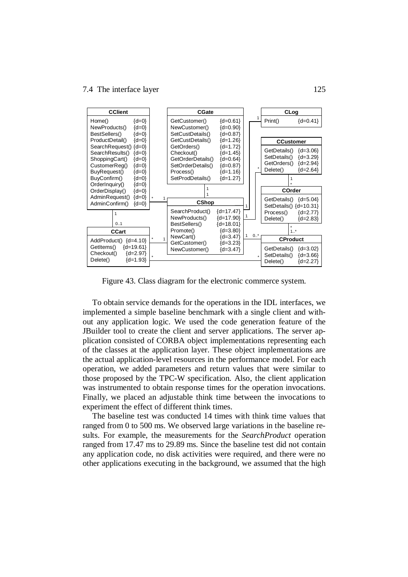#### 7.4 The interface layer 125



Figure 43. Class diagram for the electronic commerce system.

To obtain service demands for the operations in the IDL interfaces, we implemented a simple baseline benchmark with a single client and without any application logic. We used the code generation feature of the JBuilder tool to create the client and server applications. The server application consisted of CORBA object implementations representing each of the classes at the application layer. These object implementations are the actual application-level resources in the performance model. For each operation, we added parameters and return values that were similar to those proposed by the TPC-W specification. Also, the client application was instrumented to obtain response times for the operation invocations. Finally, we placed an adjustable think time between the invocations to experiment the effect of different think times.

The baseline test was conducted 14 times with think time values that ranged from 0 to 500 ms. We observed large variations in the baseline results. For example, the measurements for the *SearchProduct* operation ranged from 17.47 ms to 29.89 ms. Since the baseline test did not contain any application code, no disk activities were required, and there were no other applications executing in the background, we assumed that the high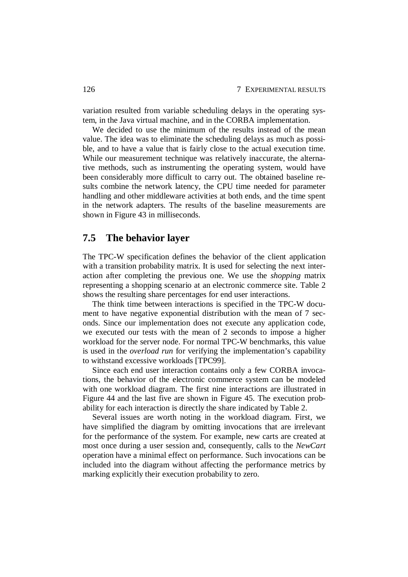variation resulted from variable scheduling delays in the operating system, in the Java virtual machine, and in the CORBA implementation.

We decided to use the minimum of the results instead of the mean value. The idea was to eliminate the scheduling delays as much as possible, and to have a value that is fairly close to the actual execution time. While our measurement technique was relatively inaccurate, the alternative methods, such as instrumenting the operating system, would have been considerably more difficult to carry out. The obtained baseline results combine the network latency, the CPU time needed for parameter handling and other middleware activities at both ends, and the time spent in the network adapters. The results of the baseline measurements are shown in Figure 43 in milliseconds.

### **7.5 The behavior layer**

The TPC-W specification defines the behavior of the client application with a transition probability matrix. It is used for selecting the next interaction after completing the previous one. We use the *shopping* matrix representing a shopping scenario at an electronic commerce site. Table 2 shows the resulting share percentages for end user interactions.

The think time between interactions is specified in the TPC-W document to have negative exponential distribution with the mean of 7 seconds. Since our implementation does not execute any application code, we executed our tests with the mean of 2 seconds to impose a higher workload for the server node. For normal TPC-W benchmarks, this value is used in the *overload run* for verifying the implementation's capability to withstand excessive workloads [TPC99].

Since each end user interaction contains only a few CORBA invocations, the behavior of the electronic commerce system can be modeled with one workload diagram. The first nine interactions are illustrated in Figure 44 and the last five are shown in Figure 45. The execution probability for each interaction is directly the share indicated by Table 2.

Several issues are worth noting in the workload diagram. First, we have simplified the diagram by omitting invocations that are irrelevant for the performance of the system. For example, new carts are created at most once during a user session and, consequently, calls to the *NewCart* operation have a minimal effect on performance. Such invocations can be included into the diagram without affecting the performance metrics by marking explicitly their execution probability to zero.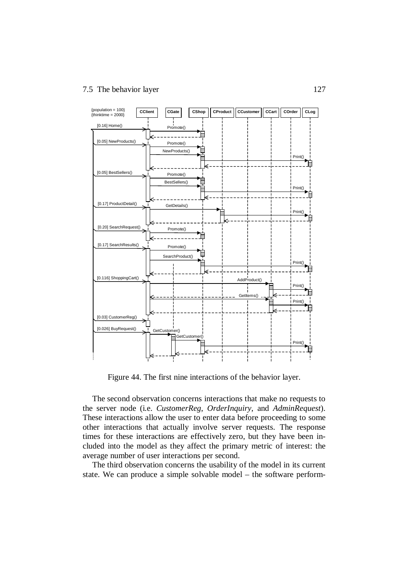#### 7.5 The behavior layer 127



Figure 44. The first nine interactions of the behavior layer.

The second observation concerns interactions that make no requests to the server node (i.e. *CustomerReg*, *OrderInquiry*, and *AdminRequest*). These interactions allow the user to enter data before proceeding to some other interactions that actually involve server requests. The response times for these interactions are effectively zero, but they have been included into the model as they affect the primary metric of interest: the average number of user interactions per second.

The third observation concerns the usability of the model in its current state. We can produce a simple solvable model – the software perform-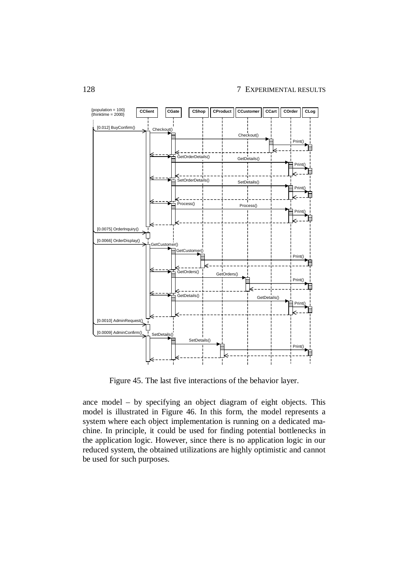

Figure 45. The last five interactions of the behavior layer.

ance model – by specifying an object diagram of eight objects. This model is illustrated in Figure 46. In this form, the model represents a system where each object implementation is running on a dedicated machine. In principle, it could be used for finding potential bottlenecks in the application logic. However, since there is no application logic in our reduced system, the obtained utilizations are highly optimistic and cannot be used for such purposes.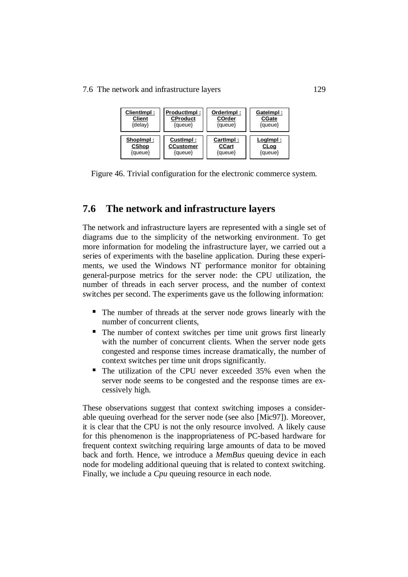#### 7.6 The network and infrastructure layers 129



Figure 46. Trivial configuration for the electronic commerce system.

### **7.6 The network and infrastructure layers**

The network and infrastructure layers are represented with a single set of diagrams due to the simplicity of the networking environment. To get more information for modeling the infrastructure layer, we carried out a series of experiments with the baseline application. During these experiments, we used the Windows NT performance monitor for obtaining general-purpose metrics for the server node: the CPU utilization, the number of threads in each server process, and the number of context switches per second. The experiments gave us the following information:

- The number of threads at the server node grows linearly with the number of concurrent clients,
- The number of context switches per time unit grows first linearly with the number of concurrent clients. When the server node gets congested and response times increase dramatically, the number of context switches per time unit drops significantly.
- The utilization of the CPU never exceeded 35% even when the server node seems to be congested and the response times are excessively high.

These observations suggest that context switching imposes a considerable queuing overhead for the server node (see also [Mic97]). Moreover, it is clear that the CPU is not the only resource involved. A likely cause for this phenomenon is the inappropriateness of PC-based hardware for frequent context switching requiring large amounts of data to be moved back and forth. Hence, we introduce a *MemBus* queuing device in each node for modeling additional queuing that is related to context switching. Finally, we include a *Cpu* queuing resource in each node.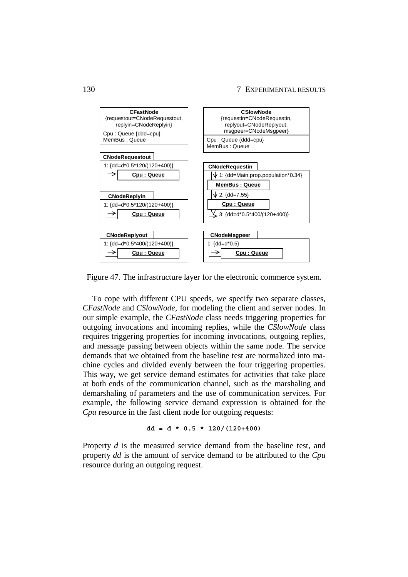

Figure 47. The infrastructure layer for the electronic commerce system.

To cope with different CPU speeds, we specify two separate classes, *CFastNode* and *CSlowNode*, for modeling the client and server nodes. In our simple example, the *CFastNode* class needs triggering properties for outgoing invocations and incoming replies, while the *CSlowNode* class requires triggering properties for incoming invocations, outgoing replies, and message passing between objects within the same node. The service demands that we obtained from the baseline test are normalized into machine cycles and divided evenly between the four triggering properties. This way, we get service demand estimates for activities that take place at both ends of the communication channel, such as the marshaling and demarshaling of parameters and the use of communication services. For example, the following service demand expression is obtained for the *Cpu* resource in the fast client node for outgoing requests:

#### **dd = d \* 0.5 \* 120/(120+400)**

Property *d* is the measured service demand from the baseline test, and property *dd* is the amount of service demand to be attributed to the *Cpu* resource during an outgoing request.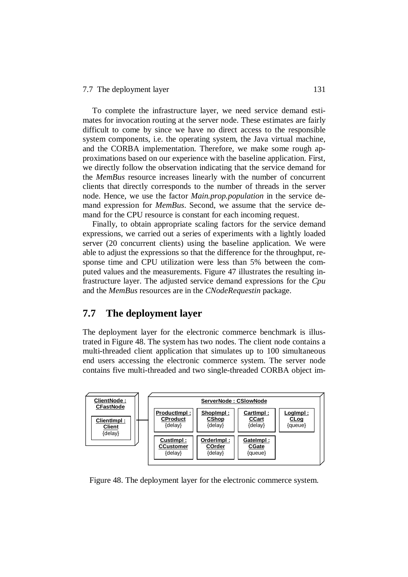#### 7.7 The deployment layer 131

To complete the infrastructure layer, we need service demand estimates for invocation routing at the server node. These estimates are fairly difficult to come by since we have no direct access to the responsible system components, i.e. the operating system, the Java virtual machine, and the CORBA implementation. Therefore, we make some rough approximations based on our experience with the baseline application. First, we directly follow the observation indicating that the service demand for the *MemBus* resource increases linearly with the number of concurrent clients that directly corresponds to the number of threads in the server node. Hence, we use the factor *Main.prop.population* in the service demand expression for *MemBus*. Second, we assume that the service demand for the CPU resource is constant for each incoming request.

Finally, to obtain appropriate scaling factors for the service demand expressions, we carried out a series of experiments with a lightly loaded server (20 concurrent clients) using the baseline application. We were able to adjust the expressions so that the difference for the throughput, response time and CPU utilization were less than 5% between the computed values and the measurements. Figure 47 illustrates the resulting infrastructure layer. The adjusted service demand expressions for the *Cpu* and the *MemBus* resources are in the *CNodeRequestin* package.

## **7.7 The deployment layer**

The deployment layer for the electronic commerce benchmark is illustrated in Figure 48. The system has two nodes. The client node contains a multi-threaded client application that simulates up to 100 simultaneous end users accessing the electronic commerce system. The server node contains five multi-threaded and two single-threaded CORBA object im-



Figure 48. The deployment layer for the electronic commerce system.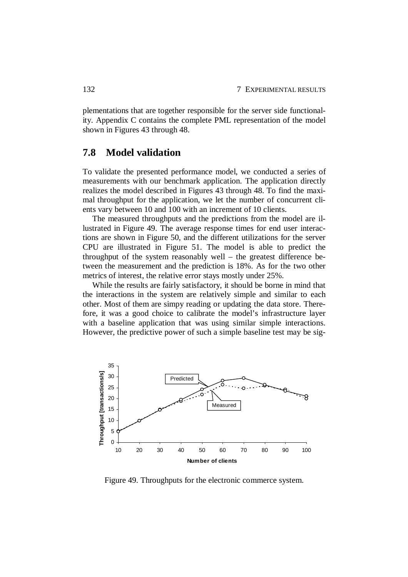plementations that are together responsible for the server side functionality. Appendix C contains the complete PML representation of the model shown in Figures 43 through 48.

### **7.8 Model validation**

To validate the presented performance model, we conducted a series of measurements with our benchmark application. The application directly realizes the model described in Figures 43 through 48. To find the maximal throughput for the application, we let the number of concurrent clients vary between 10 and 100 with an increment of 10 clients.

The measured throughputs and the predictions from the model are illustrated in Figure 49. The average response times for end user interactions are shown in Figure 50, and the different utilizations for the server CPU are illustrated in Figure 51. The model is able to predict the throughput of the system reasonably well – the greatest difference between the measurement and the prediction is 18%. As for the two other metrics of interest, the relative error stays mostly under 25%.

While the results are fairly satisfactory, it should be borne in mind that the interactions in the system are relatively simple and similar to each other. Most of them are simpy reading or updating the data store. Therefore, it was a good choice to calibrate the model's infrastructure layer with a baseline application that was using similar simple interactions. However, the predictive power of such a simple baseline test may be sig-



Figure 49. Throughputs for the electronic commerce system.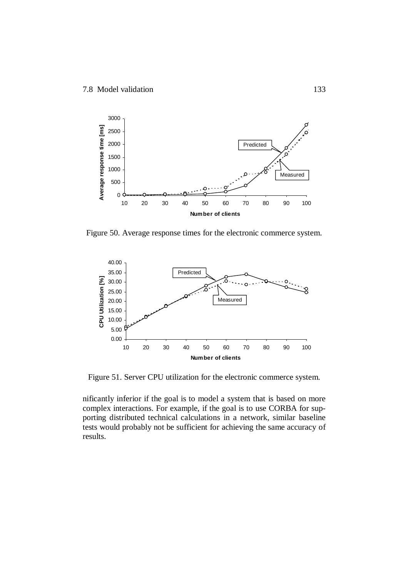

Figure 50. Average response times for the electronic commerce system.



Figure 51. Server CPU utilization for the electronic commerce system.

nificantly inferior if the goal is to model a system that is based on more complex interactions. For example, if the goal is to use CORBA for supporting distributed technical calculations in a network, similar baseline tests would probably not be sufficient for achieving the same accuracy of results.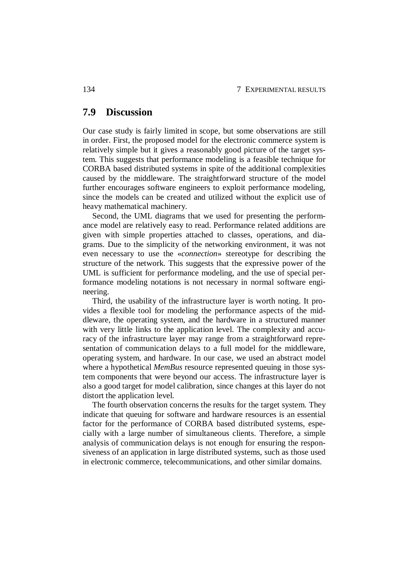### **7.9 Discussion**

Our case study is fairly limited in scope, but some observations are still in order. First, the proposed model for the electronic commerce system is relatively simple but it gives a reasonably good picture of the target system. This suggests that performance modeling is a feasible technique for CORBA based distributed systems in spite of the additional complexities caused by the middleware. The straightforward structure of the model further encourages software engineers to exploit performance modeling, since the models can be created and utilized without the explicit use of heavy mathematical machinery.

Second, the UML diagrams that we used for presenting the performance model are relatively easy to read. Performance related additions are given with simple properties attached to classes, operations, and diagrams. Due to the simplicity of the networking environment, it was not even necessary to use the «*connection*» stereotype for describing the structure of the network. This suggests that the expressive power of the UML is sufficient for performance modeling, and the use of special performance modeling notations is not necessary in normal software engineering.

Third, the usability of the infrastructure layer is worth noting. It provides a flexible tool for modeling the performance aspects of the middleware, the operating system, and the hardware in a structured manner with very little links to the application level. The complexity and accuracy of the infrastructure layer may range from a straightforward representation of communication delays to a full model for the middleware, operating system, and hardware. In our case, we used an abstract model where a hypothetical *MemBus* resource represented queuing in those system components that were beyond our access. The infrastructure layer is also a good target for model calibration, since changes at this layer do not distort the application level.

The fourth observation concerns the results for the target system. They indicate that queuing for software and hardware resources is an essential factor for the performance of CORBA based distributed systems, especially with a large number of simultaneous clients. Therefore, a simple analysis of communication delays is not enough for ensuring the responsiveness of an application in large distributed systems, such as those used in electronic commerce, telecommunications, and other similar domains.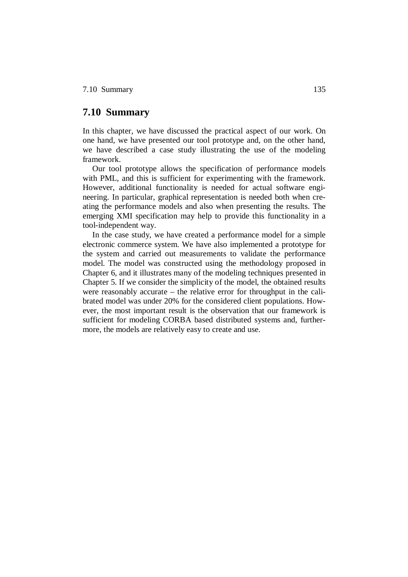### **7.10 Summary**

In this chapter, we have discussed the practical aspect of our work. On one hand, we have presented our tool prototype and, on the other hand, we have described a case study illustrating the use of the modeling framework.

Our tool prototype allows the specification of performance models with PML, and this is sufficient for experimenting with the framework. However, additional functionality is needed for actual software engineering. In particular, graphical representation is needed both when creating the performance models and also when presenting the results. The emerging XMI specification may help to provide this functionality in a tool-independent way.

In the case study, we have created a performance model for a simple electronic commerce system. We have also implemented a prototype for the system and carried out measurements to validate the performance model. The model was constructed using the methodology proposed in Chapter 6, and it illustrates many of the modeling techniques presented in Chapter 5. If we consider the simplicity of the model, the obtained results were reasonably accurate – the relative error for throughput in the calibrated model was under 20% for the considered client populations. However, the most important result is the observation that our framework is sufficient for modeling CORBA based distributed systems and, furthermore, the models are relatively easy to create and use.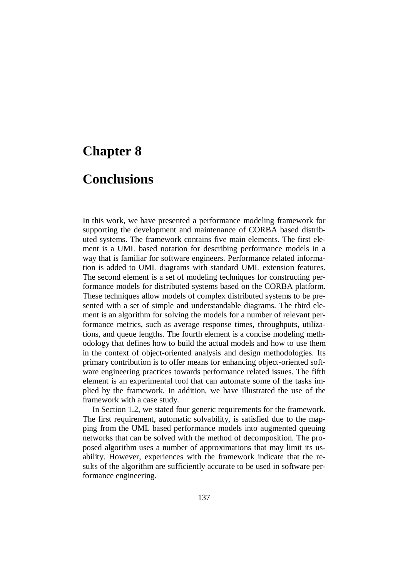#### **Chapter 8**

### **Conclusions**

In this work, we have presented a performance modeling framework for supporting the development and maintenance of CORBA based distributed systems. The framework contains five main elements. The first element is a UML based notation for describing performance models in a way that is familiar for software engineers. Performance related information is added to UML diagrams with standard UML extension features. The second element is a set of modeling techniques for constructing performance models for distributed systems based on the CORBA platform. These techniques allow models of complex distributed systems to be presented with a set of simple and understandable diagrams. The third element is an algorithm for solving the models for a number of relevant performance metrics, such as average response times, throughputs, utilizations, and queue lengths. The fourth element is a concise modeling methodology that defines how to build the actual models and how to use them in the context of object-oriented analysis and design methodologies. Its primary contribution is to offer means for enhancing object-oriented software engineering practices towards performance related issues. The fifth element is an experimental tool that can automate some of the tasks implied by the framework. In addition, we have illustrated the use of the framework with a case study.

In Section 1.2, we stated four generic requirements for the framework. The first requirement, automatic solvability, is satisfied due to the mapping from the UML based performance models into augmented queuing networks that can be solved with the method of decomposition. The proposed algorithm uses a number of approximations that may limit its usability. However, experiences with the framework indicate that the results of the algorithm are sufficiently accurate to be used in software performance engineering.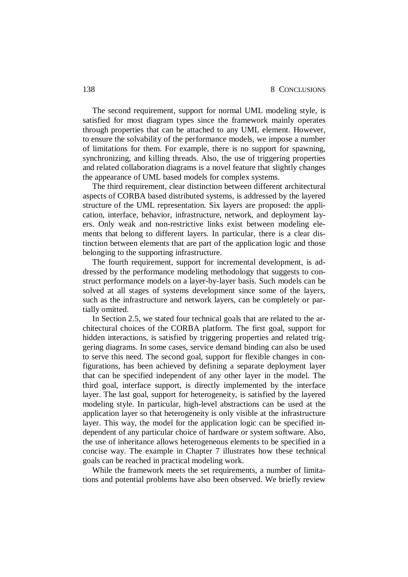The second requirement, support for normal UML modeling style, is satisfied for most diagram types since the framework mainly operates through properties that can be attached to any UML element. However, to ensure the solvability of the performance models, we impose a number of limitations for them. For example, there is no support for spawning, synchronizing, and killing threads. Also, the use of triggering properties and related collaboration diagrams is a novel feature that slightly changes the appearance of UML based models for complex systems.

The third requirement, clear distinction between different architectural aspects of CORBA based distributed systems, is addressed by the layered structure of the UML representation. Six layers are proposed: the application, interface, behavior, infrastructure, network, and deployment layers. Only weak and non-restrictive links exist between modeling elements that belong to different layers. In particular, there is a clear distinction between elements that are part of the application logic and those belonging to the supporting infrastructure.

The fourth requirement, support for incremental development, is addressed by the performance modeling methodology that suggests to construct performance models on a layer-by-layer basis. Such models can be solved at all stages of systems development since some of the layers, such as the infrastructure and network layers, can be completely or partially omitted.

In Section 2.5, we stated four technical goals that are related to the architectural choices of the CORBA platform. The first goal, support for hidden interactions, is satisfied by triggering properties and related triggering diagrams. In some cases, service demand binding can also be used to serve this need. The second goal, support for flexible changes in configurations, has been achieved by defining a separate deployment layer that can be specified independent of any other layer in the model. The third goal, interface support, is directly implemented by the interface layer. The last goal, support for heterogeneity, is satisfied by the layered modeling style. In particular, high-level abstractions can be used at the application layer so that heterogeneity is only visible at the infrastructure layer. This way, the model for the application logic can be specified independent of any particular choice of hardware or system software. Also, the use of inheritance allows heterogeneous elements to be specified in a concise way. The example in Chapter 7 illustrates how these technical goals can be reached in practical modeling work.

While the framework meets the set requirements, a number of limitations and potential problems have also been observed. We briefly review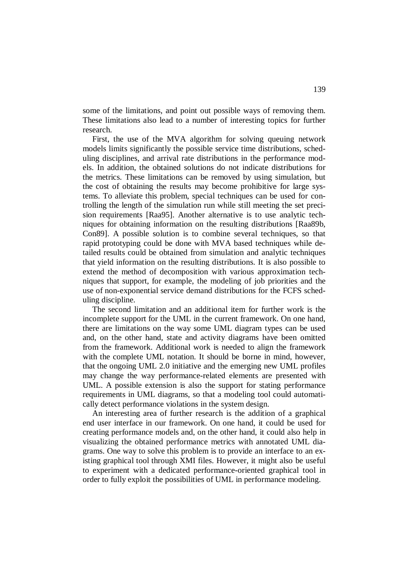some of the limitations, and point out possible ways of removing them. These limitations also lead to a number of interesting topics for further research.

First, the use of the MVA algorithm for solving queuing network models limits significantly the possible service time distributions, scheduling disciplines, and arrival rate distributions in the performance models. In addition, the obtained solutions do not indicate distributions for the metrics. These limitations can be removed by using simulation, but the cost of obtaining the results may become prohibitive for large systems. To alleviate this problem, special techniques can be used for controlling the length of the simulation run while still meeting the set precision requirements [Raa95]. Another alternative is to use analytic techniques for obtaining information on the resulting distributions [Raa89b, Con89]. A possible solution is to combine several techniques, so that rapid prototyping could be done with MVA based techniques while detailed results could be obtained from simulation and analytic techniques that yield information on the resulting distributions. It is also possible to extend the method of decomposition with various approximation techniques that support, for example, the modeling of job priorities and the use of non-exponential service demand distributions for the FCFS scheduling discipline.

The second limitation and an additional item for further work is the incomplete support for the UML in the current framework. On one hand, there are limitations on the way some UML diagram types can be used and, on the other hand, state and activity diagrams have been omitted from the framework. Additional work is needed to align the framework with the complete UML notation. It should be borne in mind, however, that the ongoing UML 2.0 initiative and the emerging new UML profiles may change the way performance-related elements are presented with UML. A possible extension is also the support for stating performance requirements in UML diagrams, so that a modeling tool could automatically detect performance violations in the system design.

An interesting area of further research is the addition of a graphical end user interface in our framework. On one hand, it could be used for creating performance models and, on the other hand, it could also help in visualizing the obtained performance metrics with annotated UML diagrams. One way to solve this problem is to provide an interface to an existing graphical tool through XMI files. However, it might also be useful to experiment with a dedicated performance-oriented graphical tool in order to fully exploit the possibilities of UML in performance modeling.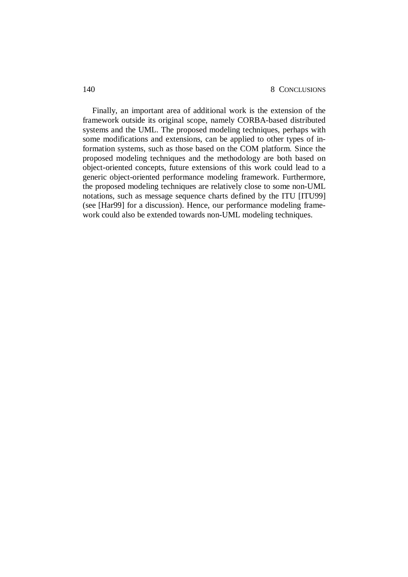Finally, an important area of additional work is the extension of the framework outside its original scope, namely CORBA-based distributed systems and the UML. The proposed modeling techniques, perhaps with some modifications and extensions, can be applied to other types of information systems, such as those based on the COM platform. Since the proposed modeling techniques and the methodology are both based on object-oriented concepts, future extensions of this work could lead to a generic object-oriented performance modeling framework. Furthermore, the proposed modeling techniques are relatively close to some non-UML notations, such as message sequence charts defined by the ITU [ITU99] (see [Har99] for a discussion). Hence, our performance modeling framework could also be extended towards non-UML modeling techniques.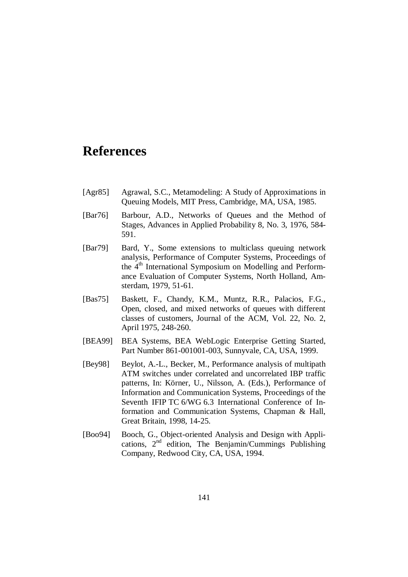### **References**

- [Agr85] Agrawal, S.C., Metamodeling: A Study of Approximations in Queuing Models, MIT Press, Cambridge, MA, USA, 1985.
- [Bar76] Barbour, A.D., Networks of Queues and the Method of Stages, Advances in Applied Probability 8, No. 3, 1976, 584- 591.
- [Bar79] Bard, Y., Some extensions to multiclass queuing network analysis, Performance of Computer Systems, Proceedings of the  $4<sup>th</sup>$  International Symposium on Modelling and Performance Evaluation of Computer Systems, North Holland, Amsterdam, 1979, 51-61.
- [Bas75] Baskett, F., Chandy, K.M., Muntz, R.R., Palacios, F.G., Open, closed, and mixed networks of queues with different classes of customers, Journal of the ACM, Vol. 22, No. 2, April 1975, 248-260.
- [BEA99] BEA Systems, BEA WebLogic Enterprise Getting Started, Part Number 861-001001-003, Sunnyvale, CA, USA, 1999.
- [Bey98] Beylot, A.-L., Becker, M., Performance analysis of multipath ATM switches under correlated and uncorrelated IBP traffic patterns, In: Körner, U., Nilsson, A. (Eds.), Performance of Information and Communication Systems, Proceedings of the Seventh IFIP TC 6/WG 6.3 International Conference of Information and Communication Systems, Chapman & Hall, Great Britain, 1998, 14-25.
- [Boo94] Booch, G., Object-oriented Analysis and Design with Applications,  $2<sup>nd</sup>$  edition, The Benjamin/Cummings Publishing Company, Redwood City, CA, USA, 1994.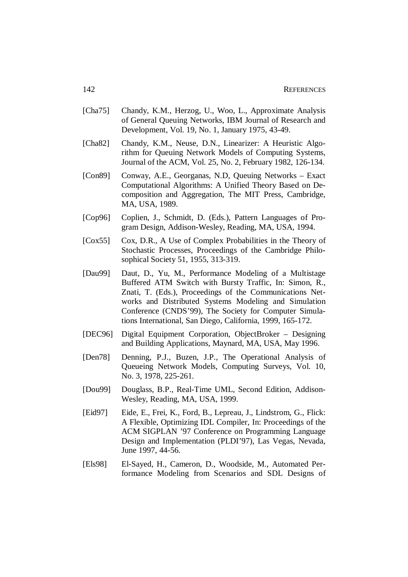- [Cha75] Chandy, K.M., Herzog, U., Woo, L., Approximate Analysis of General Queuing Networks, IBM Journal of Research and Development, Vol. 19, No. 1, January 1975, 43-49.
- [Cha82] Chandy, K.M., Neuse, D.N., Linearizer: A Heuristic Algorithm for Queuing Network Models of Computing Systems, Journal of the ACM, Vol. 25, No. 2, February 1982, 126-134.
- [Con89] Conway, A.E., Georganas, N.D, Queuing Networks Exact Computational Algorithms: A Unified Theory Based on Decomposition and Aggregation, The MIT Press, Cambridge, MA, USA, 1989.
- [Cop96] Coplien, J., Schmidt, D. (Eds.), Pattern Languages of Program Design, Addison-Wesley, Reading, MA, USA, 1994.
- [Cox55] Cox, D.R., A Use of Complex Probabilities in the Theory of Stochastic Processes, Proceedings of the Cambridge Philosophical Society 51, 1955, 313-319.
- [Dau99] Daut, D., Yu, M., Performance Modeling of a Multistage Buffered ATM Switch with Bursty Traffic, In: Simon, R., Znati, T. (Eds.), Proceedings of the Communications Networks and Distributed Systems Modeling and Simulation Conference (CNDS'99), The Society for Computer Simulations International, San Diego, California, 1999, 165-172.
- [DEC96] Digital Equipment Corporation, ObjectBroker Designing and Building Applications, Maynard, MA, USA, May 1996.
- [Den78] Denning, P.J., Buzen, J.P., The Operational Analysis of Queueing Network Models, Computing Surveys, Vol. 10, No. 3, 1978, 225-261.
- [Dou99] Douglass, B.P., Real-Time UML, Second Edition, Addison-Wesley, Reading, MA, USA, 1999.
- [Eid97] Eide, E., Frei, K., Ford, B., Lepreau, J., Lindstrom, G., Flick: A Flexible, Optimizing IDL Compiler, In: Proceedings of the ACM SIGPLAN '97 Conference on Programming Language Design and Implementation (PLDI'97), Las Vegas, Nevada, June 1997, 44-56.
- [Els98] El-Sayed, H., Cameron, D., Woodside, M., Automated Performance Modeling from Scenarios and SDL Designs of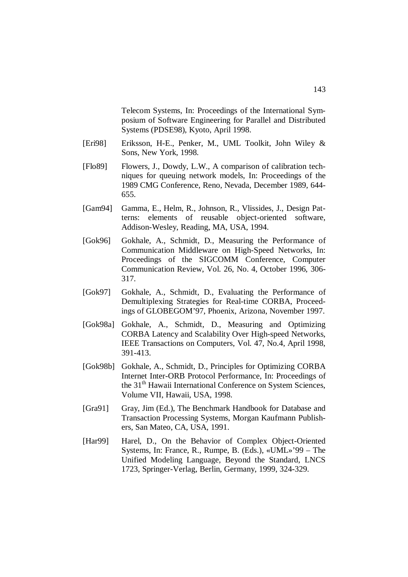Telecom Systems, In: Proceedings of the International Symposium of Software Engineering for Parallel and Distributed Systems (PDSE98), Kyoto, April 1998.

- [Eri98] Eriksson, H-E., Penker, M., UML Toolkit, John Wiley & Sons, New York, 1998.
- [Flo89] Flowers, J., Dowdy, L.W., A comparison of calibration techniques for queuing network models, In: Proceedings of the 1989 CMG Conference, Reno, Nevada, December 1989, 644- 655.
- [Gam94] Gamma, E., Helm, R., Johnson, R., Vlissides, J., Design Patterns: elements of reusable object-oriented software, Addison-Wesley, Reading, MA, USA, 1994.
- [Gok96] Gokhale, A., Schmidt, D., Measuring the Performance of Communication Middleware on High-Speed Networks, In: Proceedings of the SIGCOMM Conference, Computer Communication Review, Vol. 26, No. 4, October 1996, 306- 317.
- [Gok97] Gokhale, A., Schmidt, D., Evaluating the Performance of Demultiplexing Strategies for Real-time CORBA, Proceedings of GLOBEGOM'97, Phoenix, Arizona, November 1997.
- [Gok98a] Gokhale, A., Schmidt, D., Measuring and Optimizing CORBA Latency and Scalability Over High-speed Networks, IEEE Transactions on Computers, Vol. 47, No.4, April 1998, 391-413.
- [Gok98b] Gokhale, A., Schmidt, D., Principles for Optimizing CORBA Internet Inter-ORB Protocol Performance, In: Proceedings of the 31<sup>th</sup> Hawaii International Conference on System Sciences, Volume VII, Hawaii, USA, 1998.
- [Gra91] Gray, Jim (Ed.), The Benchmark Handbook for Database and Transaction Processing Systems, Morgan Kaufmann Publishers, San Mateo, CA, USA, 1991.
- [Har99] Harel, D., On the Behavior of Complex Object-Oriented Systems, In: France, R., Rumpe, B. (Eds.), «UML»'99 – The Unified Modeling Language, Beyond the Standard, LNCS 1723, Springer-Verlag, Berlin, Germany, 1999, 324-329.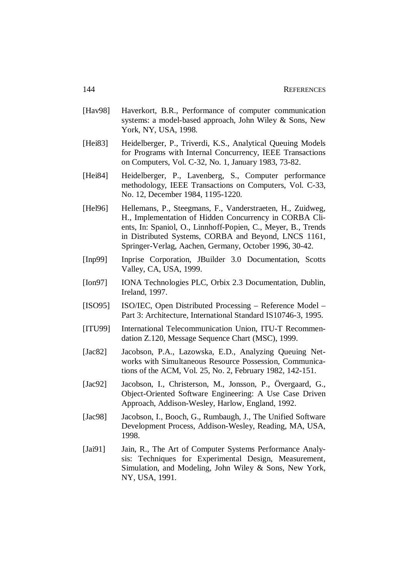- [Hav98] Haverkort, B.R., Performance of computer communication systems: a model-based approach, John Wiley & Sons, New York, NY, USA, 1998.
- [Hei83] Heidelberger, P., Triverdi, K.S., Analytical Queuing Models for Programs with Internal Concurrency, IEEE Transactions on Computers, Vol. C-32, No. 1, January 1983, 73-82.
- [Hei84] Heidelberger, P., Lavenberg, S., Computer performance methodology, IEEE Transactions on Computers, Vol. C-33, No. 12, December 1984, 1195-1220.
- [Hel96] Hellemans, P., Steegmans, F., Vanderstraeten, H., Zuidweg, H., Implementation of Hidden Concurrency in CORBA Clients, In: Spaniol, O., Linnhoff-Popien, C., Meyer, B., Trends in Distributed Systems, CORBA and Beyond, LNCS 1161, Springer-Verlag, Aachen, Germany, October 1996, 30-42.
- [Inp99] Inprise Corporation, JBuilder 3.0 Documentation, Scotts Valley, CA, USA, 1999.
- [Ion97] IONA Technologies PLC, Orbix 2.3 Documentation, Dublin, Ireland, 1997.
- [ISO95] ISO/IEC, Open Distributed Processing Reference Model Part 3: Architecture, International Standard IS10746-3, 1995.
- [ITU99] International Telecommunication Union, ITU-T Recommendation Z.120, Message Sequence Chart (MSC), 1999.
- [Jac82] Jacobson, P.A., Lazowska, E.D., Analyzing Queuing Networks with Simultaneous Resource Possession, Communications of the ACM, Vol. 25, No. 2, February 1982, 142-151.
- [Jac92] Jacobson, I., Christerson, M., Jonsson, P., Övergaard, G., Object-Oriented Software Engineering: A Use Case Driven Approach, Addison-Wesley, Harlow, England, 1992.
- [Jac98] Jacobson, I., Booch, G., Rumbaugh, J., The Unified Software Development Process, Addison-Wesley, Reading, MA, USA, 1998.
- [Jai91] Jain, R., The Art of Computer Systems Performance Analysis: Techniques for Experimental Design, Measurement, Simulation, and Modeling, John Wiley & Sons, New York, NY, USA, 1991.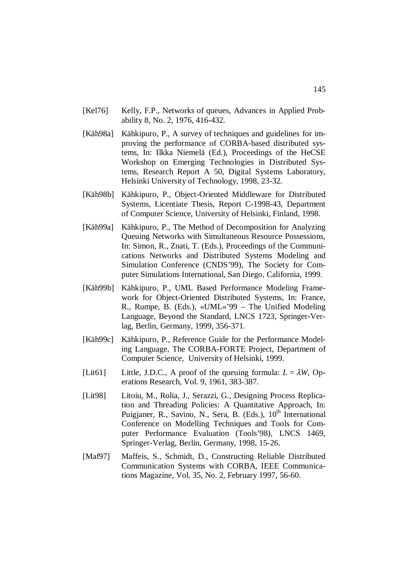- [Kel76] Kelly, F.P., Networks of queues, Advances in Applied Probability 8, No. 2, 1976, 416-432.
- [Käh98a] Kähkipuro, P., A survey of techniques and guidelines for improving the performance of CORBA-based distributed systems, In: Ilkka Niemelä (Ed.), Proceedings of the HeCSE Workshop on Emerging Technologies in Distributed Systems, Research Report A 50, Digital Systems Laboratory, Helsinki University of Technology, 1998, 23-32.
- [Käh98b] Kähkipuro, P., Object-Oriented Middleware for Distributed Systems, Licentiate Thesis, Report C-1998-43, Department of Computer Science, University of Helsinki, Finland, 1998.
- [Käh99a] Kähkipuro, P., The Method of Decomposition for Analyzing Queuing Networks with Simultaneous Resource Possessions, In: Simon, R., Znati, T. (Eds.), Proceedings of the Communications Networks and Distributed Systems Modeling and Simulation Conference (CNDS'99), The Society for Computer Simulations International, San Diego, California, 1999.
- [Käh99b] Kähkipuro, P., UML Based Performance Modeling Framework for Object-Oriented Distributed Systems, In: France, R., Rumpe, B. (Eds.), «UML»'99 – The Unified Modeling Language, Beyond the Standard, LNCS 1723, Springer-Verlag, Berlin, Germany, 1999, 356-371.
- [Käh99c] Kähkipuro, P., Reference Guide for the Performance Modeling Language, The CORBA-FORTE Project, Department of Computer Science, University of Helsinki, 1999.
- [Litter] Little, J.D.C., A proof of the queuing formula:  $L = \lambda W$ , Operations Research, Vol. 9, 1961, 383-387.
- [Lit98] Litoiu, M., Rolia, J., Serazzi, G., Designing Process Replication and Threading Policies: A Quantitative Approach, In: Puigjaner, R., Savino, N., Sera, B. (Eds.), 10<sup>th</sup> International Conference on Modelling Techniques and Tools for Computer Performance Evaluation (Tools'98), LNCS 1469, Springer-Verlag, Berlin, Germany, 1998, 15-26.
- [Maf97] Maffeis, S., Schmidt, D., Constructing Reliable Distributed Communication Systems with CORBA, IEEE Communications Magazine, Vol. 35, No. 2, February 1997, 56-60.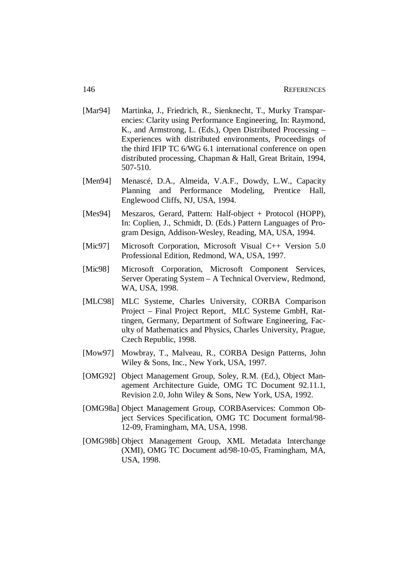- [Mar94] Martinka, J., Friedrich, R., Sienknecht, T., Murky Transparencies: Clarity using Performance Engineering, In: Raymond, K., and Armstrong, L. (Eds.), Open Distributed Processing – Experiences with distributed environments, Proceedings of the third IFIP TC 6/WG 6.1 international conference on open distributed processing, Chapman & Hall, Great Britain, 1994, 507-510.
- [Men94] Menascé, D.A., Almeida, V.A.F., Dowdy, L.W., Capacity Planning and Performance Modeling, Prentice Hall, Englewood Cliffs, NJ, USA, 1994.
- [Mes94] Meszaros, Gerard, Pattern: Half-object + Protocol (HOPP), In: Coplien, J., Schmidt, D. (Eds.) Pattern Languages of Program Design, Addison-Wesley, Reading, MA, USA, 1994.
- [Mic97] Microsoft Corporation, Microsoft Visual C++ Version 5.0 Professional Edition, Redmond, WA, USA, 1997.
- [Mic98] Microsoft Corporation, Microsoft Component Services, Server Operating System – A Technical Overview, Redmond, WA, USA, 1998.
- [MLC98] MLC Systeme, Charles University, CORBA Comparison Project – Final Project Report, MLC Systeme GmbH, Rattingen, Germany, Department of Software Engineering, Faculty of Mathematics and Physics, Charles University, Prague, Czech Republic, 1998.
- [Mow97] Mowbray, T., Malveau, R., CORBA Design Patterns, John Wiley & Sons, Inc., New York, USA, 1997.
- [OMG92] Object Management Group, Soley, R.M. (Ed.), Object Management Architecture Guide, OMG TC Document 92.11.1, Revision 2.0, John Wiley & Sons, New York, USA, 1992.
- [OMG98a] Object Management Group, CORBAservices: Common Object Services Specification, OMG TC Document formal/98- 12-09, Framingham, MA, USA, 1998.
- [OMG98b] Object Management Group, XML Metadata Interchange (XMI), OMG TC Document ad/98-10-05, Framingham, MA, USA, 1998.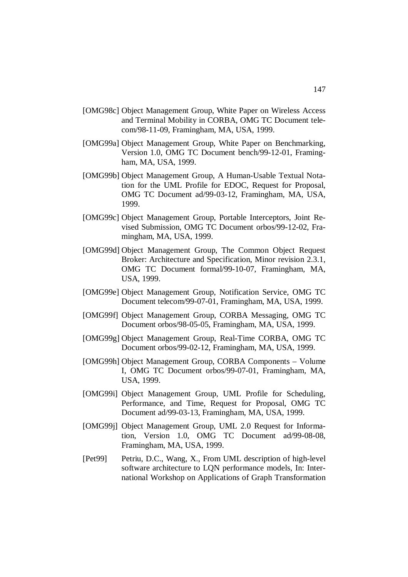- [OMG98c] Object Management Group, White Paper on Wireless Access and Terminal Mobility in CORBA, OMG TC Document telecom/98-11-09, Framingham, MA, USA, 1999.
- [OMG99a] Object Management Group, White Paper on Benchmarking, Version 1.0, OMG TC Document bench/99-12-01, Framingham, MA, USA, 1999.
- [OMG99b] Object Management Group, A Human-Usable Textual Notation for the UML Profile for EDOC, Request for Proposal, OMG TC Document ad/99-03-12, Framingham, MA, USA, 1999.
- [OMG99c] Object Management Group, Portable Interceptors, Joint Revised Submission, OMG TC Document orbos/99-12-02, Framingham, MA, USA, 1999.
- [OMG99d] Object Management Group, The Common Object Request Broker: Architecture and Specification, Minor revision 2.3.1, OMG TC Document formal/99-10-07, Framingham, MA, USA, 1999.
- [OMG99e] Object Management Group, Notification Service, OMG TC Document telecom/99-07-01, Framingham, MA, USA, 1999.
- [OMG99f] Object Management Group, CORBA Messaging, OMG TC Document orbos/98-05-05, Framingham, MA, USA, 1999.
- [OMG99g] Object Management Group, Real-Time CORBA, OMG TC Document orbos/99-02-12, Framingham, MA, USA, 1999.
- [OMG99h] Object Management Group, CORBA Components Volume I, OMG TC Document orbos/99-07-01, Framingham, MA, USA, 1999.
- [OMG99i] Object Management Group, UML Profile for Scheduling, Performance, and Time, Request for Proposal, OMG TC Document ad/99-03-13, Framingham, MA, USA, 1999.
- [OMG99j] Object Management Group, UML 2.0 Request for Information, Version 1.0, OMG TC Document ad/99-08-08, Framingham, MA, USA, 1999.
- [Pet99] Petriu, D.C., Wang, X., From UML description of high-level software architecture to LQN performance models, In: International Workshop on Applications of Graph Transformation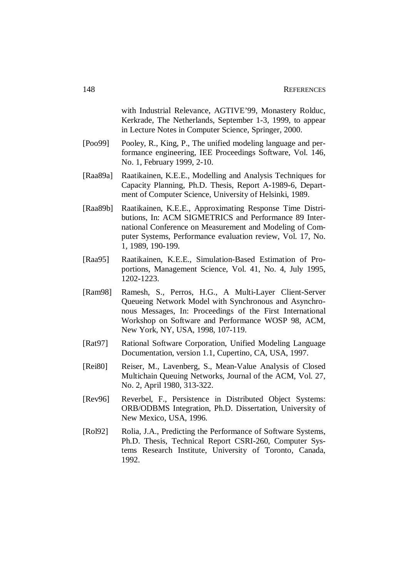with Industrial Relevance, AGTIVE'99, Monastery Rolduc, Kerkrade, The Netherlands, September 1-3, 1999, to appear in Lecture Notes in Computer Science, Springer, 2000.

- [Poo99] Pooley, R., King, P., The unified modeling language and performance engineering, IEE Proceedings Software, Vol. 146, No. 1, February 1999, 2-10.
- [Raa89a] Raatikainen, K.E.E., Modelling and Analysis Techniques for Capacity Planning, Ph.D. Thesis, Report A-1989-6, Department of Computer Science, University of Helsinki, 1989.
- [Raa89b] Raatikainen, K.E.E., Approximating Response Time Distributions, In: ACM SIGMETRICS and Performance 89 International Conference on Measurement and Modeling of Computer Systems, Performance evaluation review, Vol. 17, No. 1, 1989, 190-199.
- [Raa95] Raatikainen, K.E.E., Simulation-Based Estimation of Proportions, Management Science, Vol. 41, No. 4, July 1995, 1202-1223.
- [Ram98] Ramesh, S., Perros, H.G., A Multi-Layer Client-Server Queueing Network Model with Synchronous and Asynchronous Messages, In: Proceedings of the First International Workshop on Software and Performance WOSP 98, ACM, New York, NY, USA, 1998, 107-119.
- [Rat97] Rational Software Corporation, Unified Modeling Language Documentation, version 1.1, Cupertino, CA, USA, 1997.
- [Rei80] Reiser, M., Lavenberg, S., Mean-Value Analysis of Closed Multichain Queuing Networks, Journal of the ACM, Vol. 27, No. 2, April 1980, 313-322.
- [Rev96] Reverbel, F., Persistence in Distributed Object Systems: ORB/ODBMS Integration, Ph.D. Dissertation, University of New Mexico, USA, 1996.
- [Rol92] Rolia, J.A., Predicting the Performance of Software Systems, Ph.D. Thesis, Technical Report CSRI-260, Computer Systems Research Institute, University of Toronto, Canada, 1992.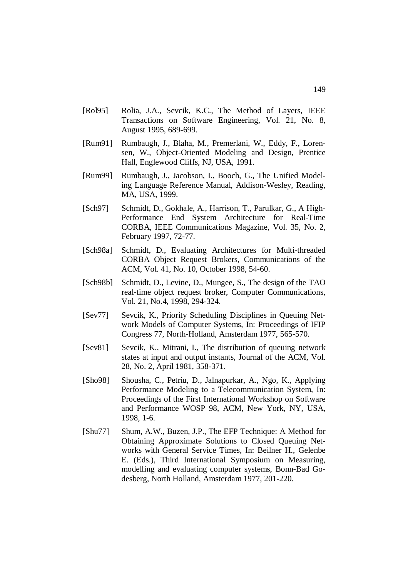- [Rol95] Rolia, J.A., Sevcik, K.C., The Method of Layers, IEEE Transactions on Software Engineering, Vol. 21, No. 8, August 1995, 689-699.
- [Rum91] Rumbaugh, J., Blaha, M., Premerlani, W., Eddy, F., Lorensen, W., Object-Oriented Modeling and Design, Prentice Hall, Englewood Cliffs, NJ, USA, 1991.
- [Rum99] Rumbaugh, J., Jacobson, I., Booch, G., The Unified Modeling Language Reference Manual, Addison-Wesley, Reading, MA, USA, 1999.
- [Sch97] Schmidt, D., Gokhale, A., Harrison, T., Parulkar, G., A High-Performance End System Architecture for Real-Time CORBA, IEEE Communications Magazine, Vol. 35, No. 2, February 1997, 72-77.
- [Sch98a] Schmidt, D., Evaluating Architectures for Multi-threaded CORBA Object Request Brokers, Communications of the ACM, Vol. 41, No. 10, October 1998, 54-60.
- [Sch98b] Schmidt, D., Levine, D., Mungee, S., The design of the TAO real-time object request broker, Computer Communications, Vol. 21, No.4, 1998, 294-324.
- [Sev77] Sevcik, K., Priority Scheduling Disciplines in Queuing Network Models of Computer Systems, In: Proceedings of IFIP Congress 77, North-Holland, Amsterdam 1977, 565-570.
- [Sev81] Sevcik, K., Mitrani, I., The distribution of queuing network states at input and output instants, Journal of the ACM, Vol. 28, No. 2, April 1981, 358-371.
- [Sho98] Shousha, C., Petriu, D., Jalnapurkar, A., Ngo, K., Applying Performance Modeling to a Telecommunication System, In: Proceedings of the First International Workshop on Software and Performance WOSP 98, ACM, New York, NY, USA, 1998, 1-6.
- [Shu77] Shum, A.W., Buzen, J.P., The EFP Technique: A Method for Obtaining Approximate Solutions to Closed Queuing Networks with General Service Times, In: Beilner H., Gelenbe E. (Eds.), Third International Symposium on Measuring, modelling and evaluating computer systems, Bonn-Bad Godesberg, North Holland, Amsterdam 1977, 201-220.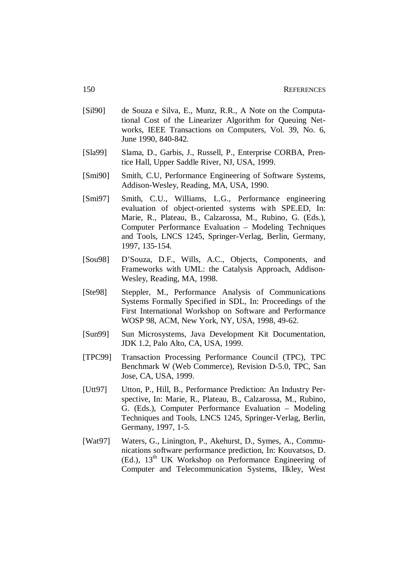- [Sil90] de Souza e Silva, E., Munz, R.R., A Note on the Computational Cost of the Linearizer Algorithm for Queuing Networks, IEEE Transactions on Computers, Vol. 39, No. 6, June 1990, 840-842.
- [Sla99] Slama, D., Garbis, J., Russell, P., Enterprise CORBA, Prentice Hall, Upper Saddle River, NJ, USA, 1999.
- [Smi90] Smith, C.U, Performance Engineering of Software Systems, Addison-Wesley, Reading, MA, USA, 1990.
- [Smi97] Smith, C.U., Williams, L.G., Performance engineering evaluation of object-oriented systems with SPE.ED, In: Marie, R., Plateau, B., Calzarossa, M., Rubino, G. (Eds.), Computer Performance Evaluation – Modeling Techniques and Tools, LNCS 1245, Springer-Verlag, Berlin, Germany, 1997, 135-154.
- [Sou98] D'Souza, D.F., Wills, A.C., Objects, Components, and Frameworks with UML: the Catalysis Approach, Addison-Wesley, Reading, MA, 1998.
- [Ste98] Steppler, M., Performance Analysis of Communications Systems Formally Specified in SDL, In: Proceedings of the First International Workshop on Software and Performance WOSP 98, ACM, New York, NY, USA, 1998, 49-62.
- [Sun99] Sun Microsystems, Java Development Kit Documentation, JDK 1.2, Palo Alto, CA, USA, 1999.
- [TPC99] Transaction Processing Performance Council (TPC), TPC Benchmark W (Web Commerce), Revision D-5.0, TPC, San Jose, CA, USA, 1999.
- [Utt97] Utton, P., Hill, B., Performance Prediction: An Industry Perspective, In: Marie, R., Plateau, B., Calzarossa, M., Rubino, G. (Eds.), Computer Performance Evaluation – Modeling Techniques and Tools, LNCS 1245, Springer-Verlag, Berlin, Germany, 1997, 1-5.
- [Wat97] Waters, G., Linington, P., Akehurst, D., Symes, A., Communications software performance prediction, In: Kouvatsos, D. (Ed.),  $13<sup>th</sup> UK Workshop on Performance Engineering of$ Computer and Telecommunication Systems, Ilkley, West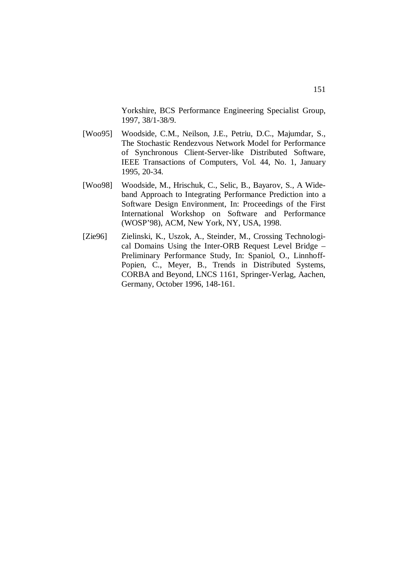Yorkshire, BCS Performance Engineering Specialist Group, 1997, 38/1-38/9.

- [Woo95] Woodside, C.M., Neilson, J.E., Petriu, D.C., Majumdar, S., The Stochastic Rendezvous Network Model for Performance of Synchronous Client-Server-like Distributed Software, IEEE Transactions of Computers, Vol. 44, No. 1, January 1995, 20-34.
- [Woo98] Woodside, M., Hrischuk, C., Selic, B., Bayarov, S., A Wideband Approach to Integrating Performance Prediction into a Software Design Environment, In: Proceedings of the First International Workshop on Software and Performance (WOSP'98), ACM, New York, NY, USA, 1998.
- [Zie96] Zielinski, K., Uszok, A., Steinder, M., Crossing Technological Domains Using the Inter-ORB Request Level Bridge – Preliminary Performance Study, In: Spaniol, O., Linnhoff-Popien, C., Meyer, B., Trends in Distributed Systems, CORBA and Beyond, LNCS 1161, Springer-Verlag, Aachen, Germany, October 1996, 148-161.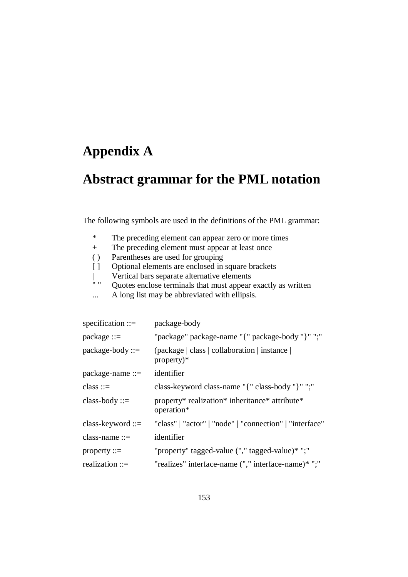## **Appendix A**

# **Abstract grammar for the PML notation**

The following symbols are used in the definitions of the PML grammar:

| *<br>$^{+}$<br>$\left( \ \right)$<br>$\lceil$ $\rceil$<br>$11 - 11$ | The preceding element can appear zero or more times<br>The preceding element must appear at least once<br>Parentheses are used for grouping<br>Optional elements are enclosed in square brackets<br>Vertical bars separate alternative elements<br>Quotes enclose terminals that must appear exactly as written<br>A long list may be abbreviated with ellipsis. |  |  |
|---------------------------------------------------------------------|------------------------------------------------------------------------------------------------------------------------------------------------------------------------------------------------------------------------------------------------------------------------------------------------------------------------------------------------------------------|--|--|
| specification $::=$                                                 | package-body                                                                                                                                                                                                                                                                                                                                                     |  |  |
| $package ::=$                                                       | "package" package-name "{" package-body "}" ";"                                                                                                                                                                                                                                                                                                                  |  |  |
| $package-body ::=$                                                  | (package   class   collaboration   instance  <br>property)*                                                                                                                                                                                                                                                                                                      |  |  |
| package-name ::=                                                    | identifier                                                                                                                                                                                                                                                                                                                                                       |  |  |
| $class ::=$                                                         | class-keyword class-name "{" class-body "}" ";"                                                                                                                                                                                                                                                                                                                  |  |  |
| class-body ::=                                                      | property* realization* inheritance* attribute*<br>operation*                                                                                                                                                                                                                                                                                                     |  |  |
| $class$ -keyword ::=                                                | "class"   "actor"   "node"   "connection"   "interface"                                                                                                                                                                                                                                                                                                          |  |  |
| $class$ -name ::=                                                   | identifier                                                                                                                                                                                                                                                                                                                                                       |  |  |
| $property ::=$                                                      | "property" tagged-value ("," tagged-value)* ";"                                                                                                                                                                                                                                                                                                                  |  |  |
| $realization ::=$                                                   | "realizes" interface-name ("," interface-name)* ";"                                                                                                                                                                                                                                                                                                              |  |  |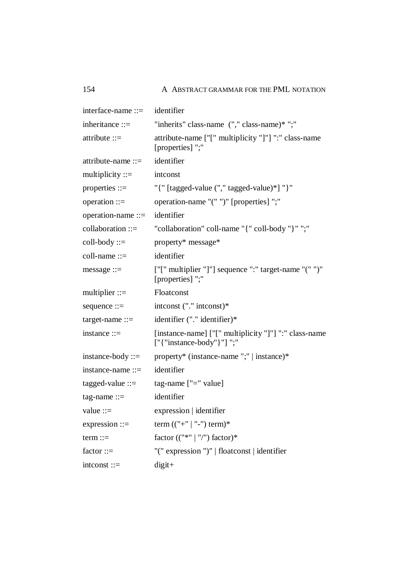| 154<br>A ABSTRACT GRAMMAR FOR THE PML NOTATION |
|------------------------------------------------|
|------------------------------------------------|

| $interface-name ::=$       | identifier                                                                         |  |
|----------------------------|------------------------------------------------------------------------------------|--|
| inheritance $::=$          | "inherits" class-name ("," class-name)* ";"                                        |  |
| $attribute ::=$            | attribute-name ["[" multiplicity "]"] ":" class-name<br>[properties] ";"           |  |
| $attribute$ -name ::=      | identifier                                                                         |  |
| multiplicity $ ::=$        | intconst                                                                           |  |
| properties $::=$           | "{" [tagged-value ("," tagged-value)*] "}"                                         |  |
| $operation ::=$            | operation-name "(" ")" [properties] ";"                                            |  |
| $operation$ -name ::=      | identifier                                                                         |  |
| $\text{collaboration} ::=$ | "collaboration" coll-name "{" coll-body "}" ";"                                    |  |
| $\text{coll-body} ::=$     | property* message*                                                                 |  |
| $coll$ -name ::=           | identifier                                                                         |  |
| $message ::=$              | ["[" multiplier "]"] sequence ":" target-name "(" ")"<br>[properties] ";"          |  |
| multiplier $ ::=$          | Floatconst                                                                         |  |
| $sequence ::=$             | intconst ("." intconst)*                                                           |  |
| $target$ -name ::=         | identifier ("." identifier)*                                                       |  |
| $instance ::=$             | [instance-name] ["[" multiplicity "]"] ":" class-name<br>["{"instance-body"}"] ";" |  |
| $instance-body ::=$        | property* (instance-name ";"   instance)*                                          |  |
| $instance$ -name $ ::=$    | identifier                                                                         |  |
| tagged-value $::=$         | tag-name ["=" value]                                                               |  |
| $tag-name ::=$             | identifier                                                                         |  |
| value $ ::=$               | expression   identifier                                                            |  |
| $expression ::=$           | term $(("+'"   "-")$ term)*                                                        |  |
| $term ::=$                 | factor $(("^{*"   "}'')$ factor)*                                                  |  |
| $factor ::=$               | "(" expression ")"   floatconst   identifier                                       |  |
| $intconst ::=$             | $digit+$                                                                           |  |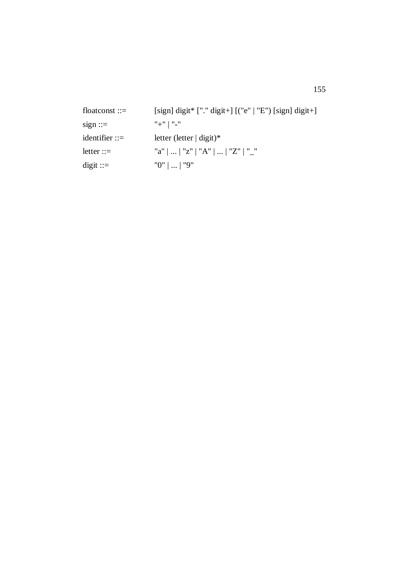| floatconst $ ::=$  | [sign] digit* ["." digit+] [("e"   "E") [sign] digit+] |
|--------------------|--------------------------------------------------------|
| $sign ::=$         | $"$ +"   "-"                                           |
| $identifier ::=$   | letter (letter $\frac{1}{2}$ digit)*                   |
| $letter ::=$       | "a"      "z"   "A"      "Z"   "                        |
| $\text{digit} ::=$ | "0"      "9"                                           |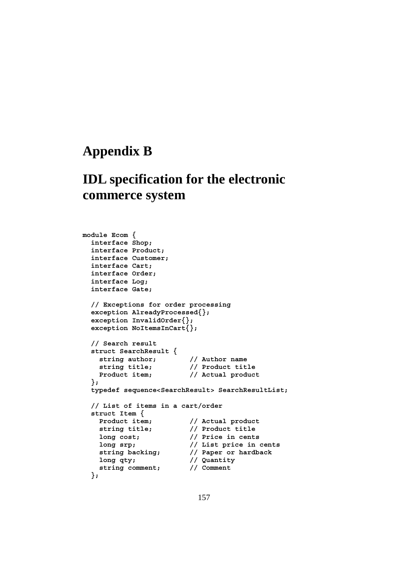#### **Appendix B**

## **IDL specification for the electronic commerce system**

```
module Ecom {
  interface Shop;
  interface Product;
  interface Customer;
  interface Cart;
  interface Order;
  interface Log;
  interface Gate;
  // Exceptions for order processing
  exception AlreadyProcessed{};
  exception InvalidOrder{};
  exception NoItemsInCart{};
  // Search result
  struct SearchResult {
    string author; // Author name
    string title; // Product title
    Product item; // Actual product
   };
   typedef sequence<SearchResult> SearchResultList;
  // List of items in a cart/order
  struct Item {
 Product item; // Actual product
 string title; // Product title
 long cost; // Price in cents
 long srp; // List price in cents
 string backing; // Paper or hardback
 long qty; // Quantity
 string comment; // Comment
  };
```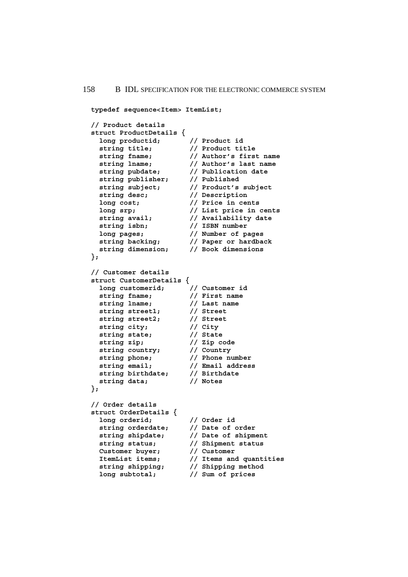```
 typedef sequence<Item> ItemList;
  // Product details
  struct ProductDetails {
    long productid; // Product id
    string title; // Product title
 string fname; // Author's first name
 string lname; // Author's last name
 string pubdate; // Publication date
 string publisher; // Published
    string subject; // Product's subject
    string desc; // Description
    long cost; // Price in cents
 long srp; // List price in cents
 string avail; // Availability date
 string isbn; // ISBN number
 long pages; // Number of pages
 string backing; // Paper or hardback
 string dimension; // Book dimensions
  };
  // Customer details
  struct CustomerDetails {
    long customerid; // Customer id
 string fname; // First name
 string lname; // Last name
   string street1;
   string street2; // Stree<br>string city; // City<br>string state; // State
   string city;
    string state; // State
    string zip; // Zip code
   string country;
    string phone; // Phone number
    string email; // Email address
   string birthdate;
    string data; // Notes
  };
  // Order details
  struct OrderDetails {
    long orderid; // Order id
    string orderdate; // Date of order
    string shipdate; // Date of shipment
    string status; // Shipment status
    Customer buyer; // Customer
    ItemList items; // Items and quantities
    string shipping; // Shipping method
    long subtotal; // Sum of prices
```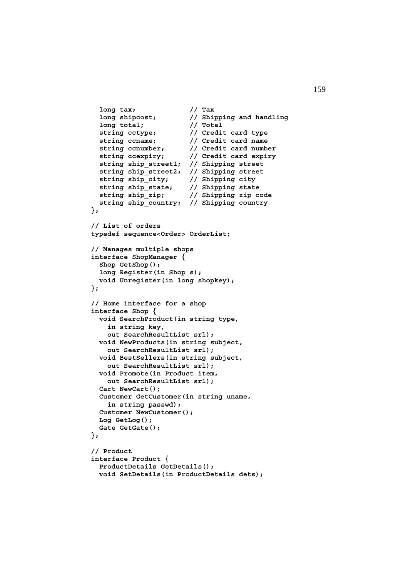```
 long tax; // Tax
   long shipcost; // Shipping and handling
   long total; // Total
   string cctype; // Credit card type
  string ccname; // Credit card name
  string ccnumber; // Credit card number
  string ccexpiry; // Credit card expiry
  string ship_street1; // Shipping street
  string ship_street2; // Shipping street
  string ship_city; // Shipping city
 string ship state;
  string ship_zip; // Shipping zip code
 string ship<sup>_</sup>country; // Shipping country
 };
 // List of orders
 typedef sequence<Order> OrderList;
 // Manages multiple shops
 interface ShopManager {
   Shop GetShop();
   long Register(in Shop s);
  void Unregister(in long shopkey);
 };
 // Home interface for a shop
 interface Shop {
  void SearchProduct(in string type,
     in string key,
     out SearchResultList srl);
  void NewProducts(in string subject,
     out SearchResultList srl);
  void BestSellers(in string subject,
     out SearchResultList srl);
  void Promote(in Product item,
     out SearchResultList srl);
   Cart NewCart();
  Customer GetCustomer(in string uname,
     in string passwd);
   Customer NewCustomer();
  Log GetLog();
  Gate GetGate();
 };
 // Product
 interface Product {
  ProductDetails GetDetails();
  void SetDetails(in ProductDetails dets);
```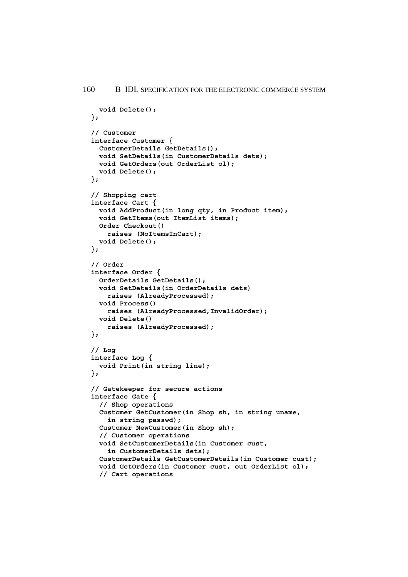```
 void Delete();
 };
 // Customer
 interface Customer {
   CustomerDetails GetDetails();
  void SetDetails(in CustomerDetails dets);
  void GetOrders(out OrderList ol);
  void Delete();
 };
 // Shopping cart
 interface Cart {
  void AddProduct(in long qty, in Product item);
```

```
 void GetItems(out ItemList items);
   Order Checkout()
     raises (NoItemsInCart);
   void Delete();
 };
```

```
 // Order
 interface Order {
   OrderDetails GetDetails();
   void SetDetails(in OrderDetails dets)
     raises (AlreadyProcessed);
   void Process()
     raises (AlreadyProcessed,InvalidOrder);
  void Delete()
```
 **raises (AlreadyProcessed);**

```
 };
 // Log
 interface Log {
  void Print(in string line);
 };
 // Gatekeeper for secure actions
 interface Gate {
   // Shop operations
   Customer GetCustomer(in Shop sh, in string uname,
     in string passwd);
   Customer NewCustomer(in Shop sh);
  // Customer operations
  void SetCustomerDetails(in Customer cust,
     in CustomerDetails dets);
  CustomerDetails GetCustomerDetails(in Customer cust);
  void GetOrders(in Customer cust, out OrderList ol);
   // Cart operations
```
160 B IDL SPECIFICATION FOR THE ELECTRONIC COMMERCE SYSTEM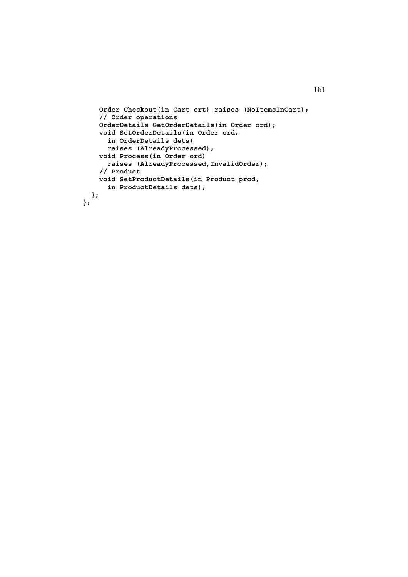```
 Order Checkout(in Cart crt) raises (NoItemsInCart);
    // Order operations
    OrderDetails GetOrderDetails(in Order ord);
    void SetOrderDetails(in Order ord,
      in OrderDetails dets)
      raises (AlreadyProcessed);
    void Process(in Order ord)
      raises (AlreadyProcessed,InvalidOrder);
    // Product
    void SetProductDetails(in Product prod,
      in ProductDetails dets);
 };
};
```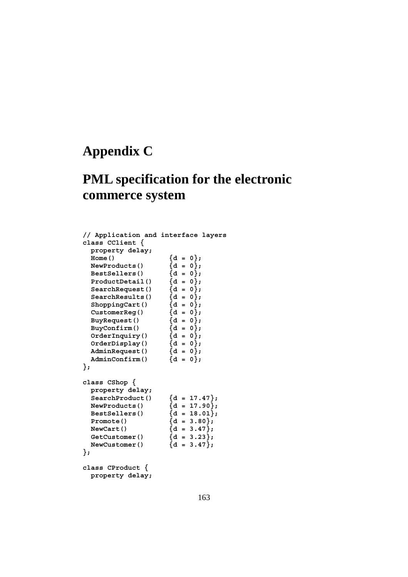# **Appendix C**

# **PML specification for the electronic commerce system**

| // Application and interface layers |                   |
|-------------------------------------|-------------------|
| class CClient $\{$                  |                   |
| property delay;                     |                   |
| Home()                              | $\{d = 0\}$ ;     |
| NewProducts()                       | ${d = 0};$        |
| BestSellers()                       | ${d = 0};$        |
| ProductDetail()                     | ${d = 0};$        |
| SearchRequest()                     | ${d = 0};$        |
| SearchResults()                     | ${d = 0};$        |
| $\mathsf{ShoppingCart}()$           | ${d = 0};$        |
| CustomerReg()                       | $\{d = 0\};$      |
| BuyRequest()                        | ${d = 0};$        |
| BuyConfirm()                        | ${d = 0};$        |
| OrderInquiry()                      | ${d = 0};$        |
| OrderDisplay()                      | ${d = 0};$        |
| AdminRequest()                      | ${d = 0};$        |
| AdminConfirm()                      | $\{d = 0\};$      |
| };                                  |                   |
|                                     |                   |
| class CShop {                       |                   |
| property delay;                     |                   |
| SearchProduct()                     | $\{d = 17.47\};$  |
| NewProducts()                       | $\{d = 17.90\};$  |
| BestSellers()                       | $\{d = 18.01\}$ ; |
| Promote()                           | $\{d = 3.80\};$   |
| NewCart()                           | $\{d = 3.47\}$ ;  |
| GetCustomer()                       | ${d = 3.23};$     |
| NewCustomer()                       | $\{d = 3.47\}$ ;  |
| };                                  |                   |
|                                     |                   |
| class $C$ Product $\{$              |                   |
| property delay;                     |                   |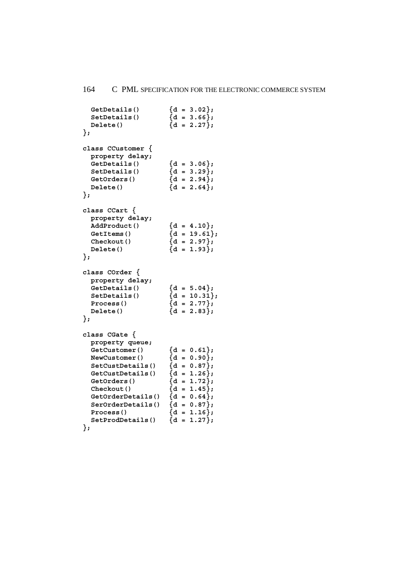```
 GetDetails() {d = 3.02};
   SetDetails() {d = 3.66};
  Delta(1) \{d = 2.27\};};
class CCustomer {
  property delay;
   GetDetails() {d = 3.06};
  SetDetails() {d = 3.29}GetOrders() \{d = 2.94\};Delta() \{d = 2.64\};};
class CCart {
  property delay;
   AddProduct() {d = 4.10};
  GetItems() \{d = 19.61\};
  Checkout () \{d = 2.97\};
 Delta() \{d = 1.93\};};
class COrder {
   property delay;
   GetDetails() {d = 5.04};
   SetDetails() {d = 10.31};
  Process() {d = 2.77};Delta() \{d = 2.83\};};
class CGate {
   property queue;
  GetCustomer() {d = 0.61};<br>NewCustomer() {d = 0.90};
  NewCustomer() {d = 0.90};<br>SetCustDetails() {d = 0.87};
  SetCustDetails() {d = 0.87};<br>GetCustDetails() {d = 1.26};
  GetCustDetails()<br>GetOrders()
                     {d = 1.72};
  Checkout () \{d = 1.45\};
  GetOrderDetails() \{d = 0.64\};
  SerOrderDetails() \{d = 0.87\};
  Process() {d = 1.16};SetProdDetails() \{d = 1.27\};
};
```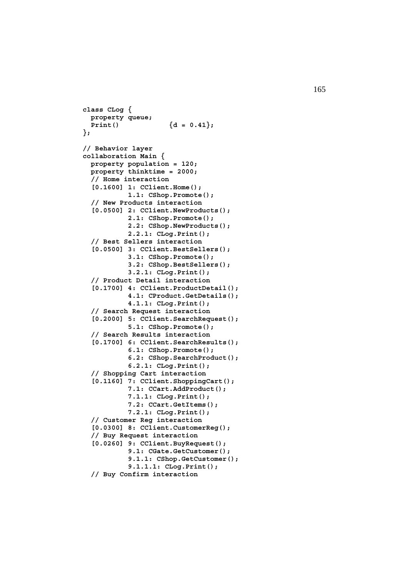```
class CLog {
   property queue;
  \text{Print}() \{d = 0.41\};};
// Behavior layer
collaboration Main {
   property population = 120;
  property thinktime = 2000;
   // Home interaction
   [0.1600] 1: CClient.Home();
            1.1: CShop.Promote();
   // New Products interaction
   [0.0500] 2: CClient.NewProducts();
            2.1: CShop.Promote();
            2.2: CShop.NewProducts();
            2.2.1: CLog.Print();
   // Best Sellers interaction
   [0.0500] 3: CClient.BestSellers();
            3.1: CShop.Promote();
            3.2: CShop.BestSellers();
            3.2.1: CLog.Print();
   // Product Detail interaction
   [0.1700] 4: CClient.ProductDetail();
            4.1: CProduct.GetDetails();
            4.1.1: CLog.Print();
   // Search Request interaction
   [0.2000] 5: CClient.SearchRequest();
            5.1: CShop.Promote();
   // Search Results interaction
   [0.1700] 6: CClient.SearchResults();
            6.1: CShop.Promote();
            6.2: CShop.SearchProduct();
            6.2.1: CLog.Print();
   // Shopping Cart interaction
   [0.1160] 7: CClient.ShoppingCart();
            7.1: CCart.AddProduct();
            7.1.1: CLog.Print();
            7.2: CCart.GetItems();
            7.2.1: CLog.Print();
   // Customer Reg interaction
   [0.0300] 8: CClient.CustomerReg();
   // Buy Request interaction
   [0.0260] 9: CClient.BuyRequest();
            9.1: CGate.GetCustomer();
            9.1.1: CShop.GetCustomer();
            9.1.1.1: CLog.Print();
   // Buy Confirm interaction
```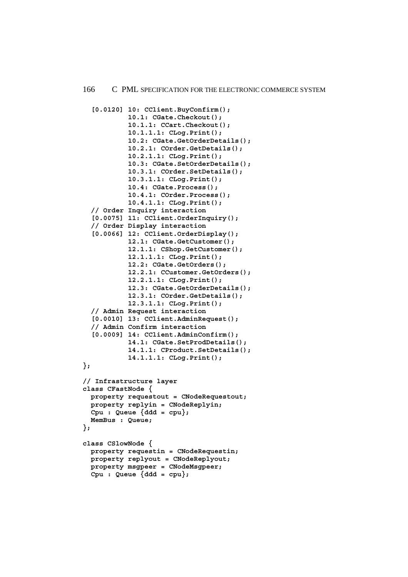```
 [0.0120] 10: CClient.BuyConfirm();
            10.1: CGate.Checkout();
            10.1.1: CCart.Checkout();
            10.1.1.1: CLog.Print();
            10.2: CGate.GetOrderDetails();
            10.2.1: COrder.GetDetails();
            10.2.1.1: CLog.Print();
            10.3: CGate.SetOrderDetails();
            10.3.1: COrder.SetDetails();
            10.3.1.1: CLog.Print();
            10.4: CGate.Process();
            10.4.1: COrder.Process();
            10.4.1.1: CLog.Print();
   // Order Inquiry interaction
   [0.0075] 11: CClient.OrderInquiry();
   // Order Display interaction
   [0.0066] 12: CClient.OrderDisplay();
            12.1: CGate.GetCustomer();
            12.1.1: CShop.GetCustomer();
            12.1.1.1: CLog.Print();
            12.2: CGate.GetOrders();
            12.2.1: CCustomer.GetOrders();
            12.2.1.1: CLog.Print();
            12.3: CGate.GetOrderDetails();
            12.3.1: COrder.GetDetails();
            12.3.1.1: CLog.Print();
   // Admin Request interaction
   [0.0010] 13: CClient.AdminRequest();
   // Admin Confirm interaction
   [0.0009] 14: CClient.AdminConfirm();
            14.1: CGate.SetProdDetails();
            14.1.1: CProduct.SetDetails();
            14.1.1.1: CLog.Print();
};
// Infrastructure layer
class CFastNode {
  property requestout = CNodeRequestout;
   property replyin = CNodeReplyin;
   Cpu : Queue {ddd = cpu};
   MemBus : Queue;
};
class CSlowNode {
  property requestin = CNodeRequestin;
  property replyout = CNodeReplyout;
   property msgpeer = CNodeMsgpeer;
   Cpu : Queue {ddd = cpu};
```